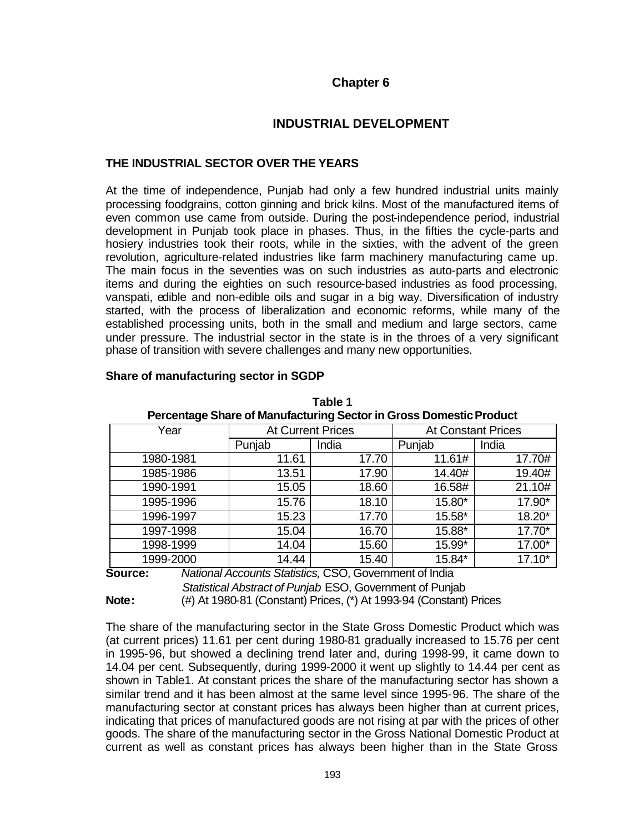# **Chapter 6**

# **INDUSTRIAL DEVELOPMENT**

# **THE INDUSTRIAL SECTOR OVER THE YEARS**

At the time of independence, Punjab had only a few hundred industrial units mainly processing foodgrains, cotton ginning and brick kilns. Most of the manufactured items of even common use came from outside. During the post-independence period, industrial development in Punjab took place in phases. Thus, in the fifties the cycle-parts and hosiery industries took their roots, while in the sixties, with the advent of the green revolution, agriculture-related industries like farm machinery manufacturing came up. The main focus in the seventies was on such industries as auto-parts and electronic items and during the eighties on such resource-based industries as food processing, vanspati, edible and non-edible oils and sugar in a big way. Diversification of industry started, with the process of liberalization and economic reforms, while many of the established processing units, both in the small and medium and large sectors, came under pressure. The industrial sector in the state is in the throes of a very significant phase of transition with severe challenges and many new opportunities.

|               | Percentage Share of Manufacturing Sector in Gross Domestic Product |        |                               |                           |          |  |  |  |  |  |
|---------------|--------------------------------------------------------------------|--------|-------------------------------|---------------------------|----------|--|--|--|--|--|
|               | Year                                                               |        | <b>At Current Prices</b>      | <b>At Constant Prices</b> |          |  |  |  |  |  |
|               |                                                                    | Punjab | India                         | Punjab                    | India    |  |  |  |  |  |
|               | 1980-1981                                                          | 11.61  | 17.70                         | 11.61#                    | 17.70#   |  |  |  |  |  |
|               | 1985-1986                                                          | 13.51  | 17.90                         | 14.40#                    | 19.40#   |  |  |  |  |  |
|               | 1990-1991                                                          | 15.05  | 18.60                         | 16.58#                    | 21.10#   |  |  |  |  |  |
|               | 1995-1996                                                          | 15.76  | 18.10                         | 15.80*                    | 17.90*   |  |  |  |  |  |
|               | 1996-1997                                                          | 15.23  | 17.70                         | 15.58*                    | 18.20*   |  |  |  |  |  |
|               | 1997-1998                                                          | 15.04  | 16.70                         | 15.88*                    | 17.70*   |  |  |  |  |  |
|               | 1998-1999                                                          | 14.04  | 15.60                         | 15.99*                    | 17.00*   |  |  |  |  |  |
|               | 1999-2000                                                          | 14.44  | 15.40                         | 15.84*                    | $17.10*$ |  |  |  |  |  |
| $\rightarrow$ | $\cdot$ $\cdot$<br>$\cdots$                                        | .      | $\hat{\phantom{a}}$<br>$\sim$ | .                         |          |  |  |  |  |  |

**Table 1**

# **Share of manufacturing sector in SGDP**

**Source:** *National Accounts Statistics,* CSO, Government of India *Statistical Abstract of Punjab* ESO, Government of Punjab **Note:** (#) At 1980-81 (Constant) Prices, (\*) At 1993-94 (Constant) Prices

The share of the manufacturing sector in the State Gross Domestic Product which was (at current prices) 11.61 per cent during 1980-81 gradually increased to 15.76 per cent in 1995-96, but showed a declining trend later and, during 1998-99, it came down to 14.04 per cent. Subsequently, during 1999-2000 it went up slightly to 14.44 per cent as shown in Table1. At constant prices the share of the manufacturing sector has shown a similar trend and it has been almost at the same level since 1995-96. The share of the manufacturing sector at constant prices has always been higher than at current prices, indicating that prices of manufactured goods are not rising at par with the prices of other goods. The share of the manufacturing sector in the Gross National Domestic Product at current as well as constant prices has always been higher than in the State Gross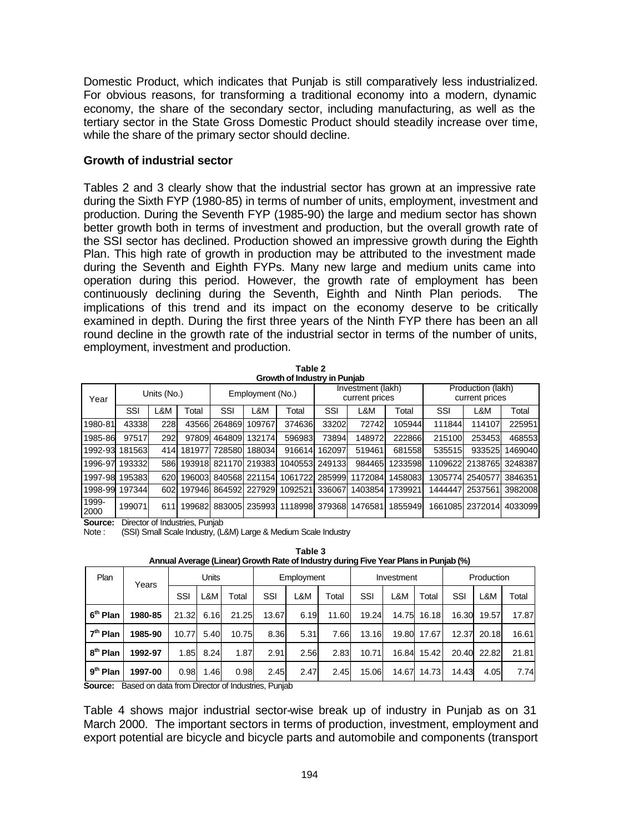Domestic Product, which indicates that Punjab is still comparatively less industrialized. For obvious reasons, for transforming a traditional economy into a modern, dynamic economy, the share of the secondary sector, including manufacturing, as well as the tertiary sector in the State Gross Domestic Product should steadily increase over time, while the share of the primary sector should decline.

#### **Growth of industrial sector**

Tables 2 and 3 clearly show that the industrial sector has grown at an impressive rate during the Sixth FYP (1980-85) in terms of number of units, employment, investment and production. During the Seventh FYP (1985-90) the large and medium sector has shown better growth both in terms of investment and production, but the overall growth rate of the SSI sector has declined. Production showed an impressive growth during the Eighth Plan. This high rate of growth in production may be attributed to the investment made during the Seventh and Eighth FYPs. Many new large and medium units came into operation during this period. However, the growth rate of employment has been continuously declining during the Seventh, Eighth and Ninth Plan periods. The implications of this trend and its impact on the economy deserve to be critically examined in depth. During the first three years of the Ninth FYP there has been an all round decline in the growth rate of the industrial sector in terms of the number of units, employment, investment and production.

**Table 2 Growth of Industry in Punjab**

|               | 0.000.000.000.000.000.000 |     |        |                  |                      |                |                                     |         |         |                                     |                 |         |
|---------------|---------------------------|-----|--------|------------------|----------------------|----------------|-------------------------------------|---------|---------|-------------------------------------|-----------------|---------|
| Year          | Units (No.)               |     |        | Employment (No.) |                      |                | Investment (lakh)<br>current prices |         |         | Production (lakh)<br>current prices |                 |         |
|               | SSI                       | L&M | Total  | SSI              | L&M                  | Total          | SSI                                 | L&M     | Total   | SSI                                 | L&M             | Total   |
| 1980-81       | 43338                     | 228 | 43566  | 264869           | 109767               | 374636         | 33202                               | 72742   | 105944  | 111844                              | 114107          | 225951  |
| 1985-86       | 97517                     | 292 | 97809  | 464809           | 132174               | 596983         | 73894                               | 148972  | 222866  | 215100                              | 2534531         | 468553  |
| 1992-93       | 181563                    | 414 | 181977 | 728580           | 1880341              | 916614         | 162097                              | 519461  | 681558  | 535515                              | 933525          | 1469040 |
| 1996-97       | 193332                    | 586 |        |                  | 193918 821170 219383 | 1040553 249133 |                                     | 984465  | 1233598 |                                     | 1109622 2138765 | 3248387 |
| 1997-98       | 195383                    | 620 | 196003 |                  | 840568 221154        | 1061722        | 285999                              | 1172084 | 1458083 | 1305774                             | 2540577         | 3846351 |
| 1998-99       | 197344                    | 602 | 197946 |                  | 864592 227929        | 1092521        | 336067                              | 1403854 | 1739921 | 1444447                             | 2537561         | 3982008 |
| 1999-<br>2000 | 199071                    | 611 | 199682 |                  | 883005 235993        | 1118998 379368 |                                     | 1476581 | 1855949 |                                     | 1661085 2372014 | 4033099 |

**Source:** Director of Industries, Punjab

Note : (SSI) Small Scale Industry, (L&M) Large & Medium Scale Industry

| Annual Average (Einear) Orowan Rate or inductive during Five Team Ratio in Furgao (70) |       |     |                                |                              |                |                               |              |               |                                  |                                           |                         |                                                                                                                   |
|----------------------------------------------------------------------------------------|-------|-----|--------------------------------|------------------------------|----------------|-------------------------------|--------------|---------------|----------------------------------|-------------------------------------------|-------------------------|-------------------------------------------------------------------------------------------------------------------|
|                                                                                        | Units |     | Employment                     |                              |                | Investment                    |              |               | Production                       |                                           |                         |                                                                                                                   |
|                                                                                        | SSI   | L&M | Total                          | SSI                          | L&M            | Total                         | SSI          | L&M           | Total                            | SSI                                       | L&M                     | Total                                                                                                             |
| 1980-85                                                                                |       |     |                                |                              |                |                               |              |               |                                  |                                           | 19.57                   | 17.87                                                                                                             |
| 1985-90                                                                                |       |     |                                |                              | 5.31           | 7.66                          |              |               |                                  |                                           |                         | 16.61                                                                                                             |
| 1992-97                                                                                |       |     | 1.87                           |                              |                |                               |              |               |                                  |                                           |                         | 21.81                                                                                                             |
| 1997-00                                                                                |       |     | 0.98                           |                              | 2.47           | 2.45                          |              |               |                                  |                                           | 4.05                    | 7.74                                                                                                              |
|                                                                                        | Years |     | 21.32<br>10.77<br>1.85<br>0.98 | 6.16<br>5.40<br>8.24<br>1.46 | 21.25<br>10.75 | 13.67<br>8.36<br>2.91<br>2.45 | 6.19<br>2.56 | 11.60<br>2.83 | 19.24<br>13.16<br>10.71<br>15.06 | 14.75<br>19.80<br>17.67<br>16.84<br>14.67 | 16.18<br>15.42<br>14.73 | 16.30<br>12.37<br>20.18<br>20.40 22.82<br>14.43<br>Corresponding the state from Director of Indicates of Director |

**Table 3 Annual Average (Linear) Growth Rate of Industry during Five Year Plans in Punjab (%)**

**Source:** Based on data from Director of Industries, Punjab

Table 4 shows major industrial sector-wise break up of industry in Punjab as on 31 March 2000. The important sectors in terms of production, investment, employment and export potential are bicycle and bicycle parts and automobile and components (transport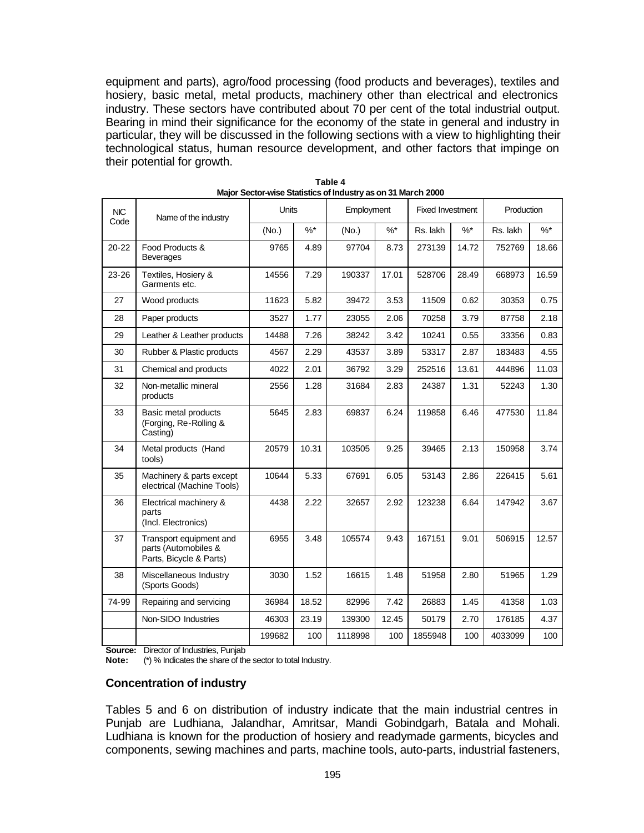equipment and parts), agro/food processing (food products and beverages), textiles and hosiery, basic metal, metal products, machinery other than electrical and electronics industry. These sectors have contributed about 70 per cent of the total industrial output. Bearing in mind their significance for the economy of the state in general and industry in particular, they will be discussed in the following sections with a view to highlighting their technological status, human resource development, and other factors that impinge on their potential for growth.

| NIC.      | Name of the industry                                                       | <b>Units</b> |        | Employment |        | <b>Fixed Investment</b> |        | Production |        |
|-----------|----------------------------------------------------------------------------|--------------|--------|------------|--------|-------------------------|--------|------------|--------|
| Code      |                                                                            | (No.)        | $\%$ * | (No.)      | $\%$ * | Rs. lakh                | $\%$ * | Rs. lakh   | $\%$ * |
| $20 - 22$ | Food Products &<br><b>Beverages</b>                                        | 9765         | 4.89   | 97704      | 8.73   | 273139                  | 14.72  | 752769     | 18.66  |
| 23-26     | Textiles, Hosiery &<br>Garments etc.                                       | 14556        | 7.29   | 190337     | 17.01  | 528706                  | 28.49  | 668973     | 16.59  |
| 27        | Wood products                                                              | 11623        | 5.82   | 39472      | 3.53   | 11509                   | 0.62   | 30353      | 0.75   |
| 28        | Paper products                                                             | 3527         | 1.77   | 23055      | 2.06   | 70258                   | 3.79   | 87758      | 2.18   |
| 29        | Leather & Leather products                                                 | 14488        | 7.26   | 38242      | 3.42   | 10241                   | 0.55   | 33356      | 0.83   |
| 30        | Rubber & Plastic products                                                  | 4567         | 2.29   | 43537      | 3.89   | 53317                   | 2.87   | 183483     | 4.55   |
| 31        | Chemical and products                                                      | 4022         | 2.01   | 36792      | 3.29   | 252516                  | 13.61  | 444896     | 11.03  |
| 32        | Non-metallic mineral<br>products                                           | 2556         | 1.28   | 31684      | 2.83   | 24387                   | 1.31   | 52243      | 1.30   |
| 33        | Basic metal products<br>(Forging, Re-Rolling &<br>Casting)                 | 5645         | 2.83   | 69837      | 6.24   | 119858                  | 6.46   | 477530     | 11.84  |
| 34        | Metal products (Hand<br>tools)                                             | 20579        | 10.31  | 103505     | 9.25   | 39465                   | 2.13   | 150958     | 3.74   |
| 35        | Machinery & parts except<br>electrical (Machine Tools)                     | 10644        | 5.33   | 67691      | 6.05   | 53143                   | 2.86   | 226415     | 5.61   |
| 36        | Electrical machinery &<br>parts<br>(Incl. Electronics)                     | 4438         | 2.22   | 32657      | 2.92   | 123238                  | 6.64   | 147942     | 3.67   |
| 37        | Transport equipment and<br>parts (Automobiles &<br>Parts, Bicycle & Parts) | 6955         | 3.48   | 105574     | 9.43   | 167151                  | 9.01   | 506915     | 12.57  |
| 38        | Miscellaneous Industry<br>(Sports Goods)                                   | 3030         | 1.52   | 16615      | 1.48   | 51958                   | 2.80   | 51965      | 1.29   |
| 74-99     | Repairing and servicing                                                    | 36984        | 18.52  | 82996      | 7.42   | 26883                   | 1.45   | 41358      | 1.03   |
|           | Non-SIDO Industries                                                        | 46303        | 23.19  | 139300     | 12.45  | 50179                   | 2.70   | 176185     | 4.37   |
|           |                                                                            | 199682       | 100    | 1118998    | 100    | 1855948                 | 100    | 4033099    | 100    |

**Table 4 Major Sector-wise Statistics of Industry as on 31 March 2000**

**Source:** Director of Industries, Punjab

**Note:** (\*) % Indicates the share of the sector to total Industry.

# **Concentration of industry**

Tables 5 and 6 on distribution of industry indicate that the main industrial centres in Punjab are Ludhiana, Jalandhar, Amritsar, Mandi Gobindgarh, Batala and Mohali. Ludhiana is known for the production of hosiery and readymade garments, bicycles and components, sewing machines and parts, machine tools, auto-parts, industrial fasteners,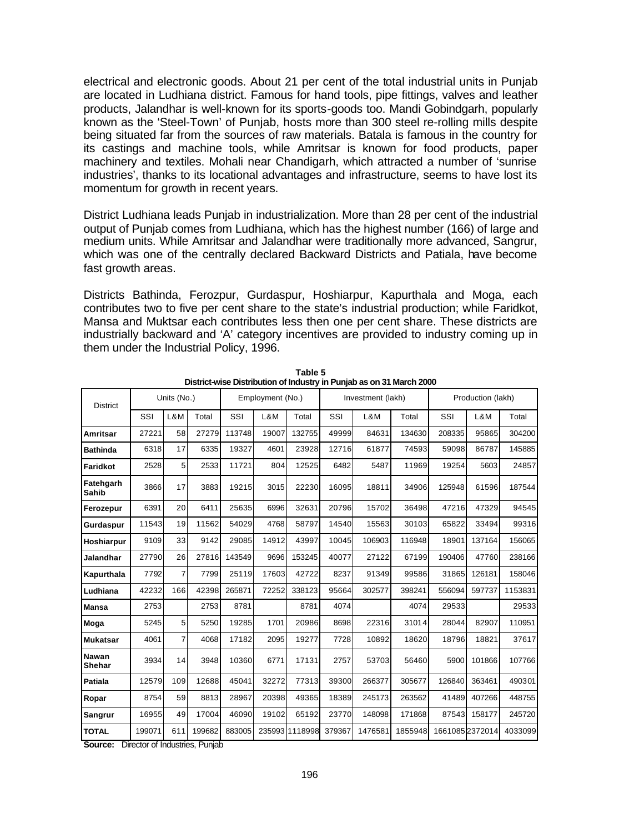electrical and electronic goods. About 21 per cent of the total industrial units in Punjab are located in Ludhiana district. Famous for hand tools, pipe fittings, valves and leather products, Jalandhar is well-known for its sports-goods too. Mandi Gobindgarh, popularly known as the 'Steel-Town' of Punjab, hosts more than 300 steel re-rolling mills despite being situated far from the sources of raw materials. Batala is famous in the country for its castings and machine tools, while Amritsar is known for food products, paper machinery and textiles. Mohali near Chandigarh, which attracted a number of 'sunrise industries', thanks to its locational advantages and infrastructure, seems to have lost its momentum for growth in recent years.

District Ludhiana leads Punjab in industrialization. More than 28 per cent of the industrial output of Punjab comes from Ludhiana, which has the highest number (166) of large and medium units. While Amritsar and Jalandhar were traditionally more advanced, Sangrur, which was one of the centrally declared Backward Districts and Patiala, have become fast growth areas.

Districts Bathinda, Ferozpur, Gurdaspur, Hoshiarpur, Kapurthala and Moga, each contributes two to five per cent share to the state's industrial production; while Faridkot, Mansa and Muktsar each contributes less then one per cent share. These districts are industrially backward and 'A' category incentives are provided to industry coming up in them under the Industrial Policy, 1996.

| <b>District</b>               |        | Units (No.) |        | Employment (No.) |       |                | Investment (lakh) |         |         | Production (lakh) |        |         |  |
|-------------------------------|--------|-------------|--------|------------------|-------|----------------|-------------------|---------|---------|-------------------|--------|---------|--|
|                               | SSI    | L&M         | Total  | SSI              | L&M   | Total          | SSI               | L&M     | Total   | SSI               | L&M    | Total   |  |
| Amritsar                      | 27221  | 58          | 27279  | 113748           | 19007 | 132755         | 49999             | 84631   | 134630  | 208335            | 95865  | 304200  |  |
| <b>Bathinda</b>               | 6318   | 17          | 6335   | 19327            | 4601  | 23928          | 12716             | 61877   | 74593   | 59098             | 86787  | 145885  |  |
| Faridkot                      | 2528   | 5           | 2533   | 11721            | 804   | 12525          | 6482              | 5487    | 11969   | 19254             | 5603   | 24857   |  |
| Fatehgarh<br>Sahib            | 3866   | 17          | 3883   | 19215            | 3015  | 22230          | 16095             | 18811   | 34906   | 125948            | 61596  | 187544  |  |
| Ferozepur                     | 6391   | 20          | 6411   | 25635            | 6996  | 32631          | 20796             | 15702   | 36498   | 47216             | 47329  | 94545   |  |
| Gurdaspur                     | 11543  | 19          | 11562  | 54029            | 4768  | 58797          | 14540             | 15563   | 30103   | 65822             | 33494  | 99316   |  |
| Hoshiarpur                    | 9109   | 33          | 9142   | 29085            | 14912 | 43997          | 10045             | 106903  | 116948  | 18901             | 137164 | 156065  |  |
| <b>Jalandhar</b>              | 27790  | 26          | 27816  | 143549           | 9696  | 153245         | 40077             | 27122   | 67199   | 190406            | 47760  | 238166  |  |
| Kapurthala                    | 7792   | 7           | 7799   | 25119            | 17603 | 42722          | 8237              | 91349   | 99586   | 31865             | 126181 | 158046  |  |
| Ludhiana                      | 42232  | 166         | 42398  | 265871           | 72252 | 338123         | 95664             | 302577  | 398241  | 556094            | 597737 | 1153831 |  |
| <b>Mansa</b>                  | 2753   |             | 2753   | 8781             |       | 8781           | 4074              |         | 4074    | 29533             |        | 29533   |  |
| Moga                          | 5245   | 5           | 5250   | 19285            | 1701  | 20986          | 8698              | 22316   | 31014   | 28044             | 82907  | 110951  |  |
| <b>Mukatsar</b>               | 4061   | 7           | 4068   | 17182            | 2095  | 19277          | 7728              | 10892   | 18620   | 18796             | 18821  | 37617   |  |
| <b>Nawan</b><br><b>Shehar</b> | 3934   | 14          | 3948   | 10360            | 6771  | 17131          | 2757              | 53703   | 56460   | 5900              | 101866 | 107766  |  |
| Patiala                       | 12579  | 109         | 12688  | 45041            | 32272 | 77313          | 39300             | 266377  | 305677  | 126840            | 363461 | 490301  |  |
| Ropar                         | 8754   | 59          | 8813   | 28967            | 20398 | 49365          | 18389             | 245173  | 263562  | 41489             | 407266 | 448755  |  |
| <b>Sangrur</b>                | 16955  | 49          | 17004  | 46090            | 19102 | 65192          | 23770             | 148098  | 171868  | 87543             | 158177 | 245720  |  |
| <b>TOTAL</b>                  | 199071 | 611         | 199682 | 883005           |       | 235993 1118998 | 379367            | 1476581 | 1855948 | 1661085 2372014   |        | 4033099 |  |

**Table 5 District-wise Distribution of Industry in Punjab as on 31 March 2000**

**Source:** Director of Industries, Punjab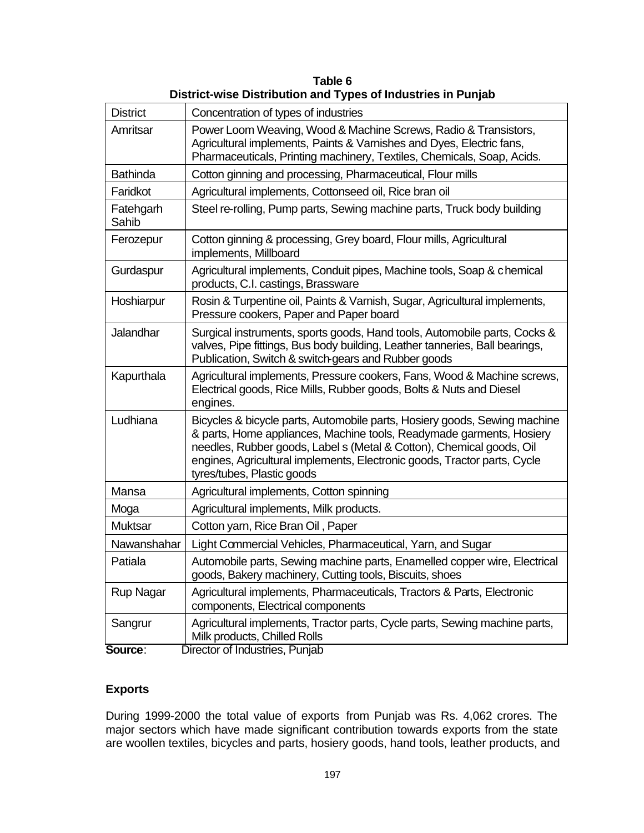| <b>District</b>    | Concentration of types of industries                                                                                                                                                                                                                                                                                                |
|--------------------|-------------------------------------------------------------------------------------------------------------------------------------------------------------------------------------------------------------------------------------------------------------------------------------------------------------------------------------|
| Amritsar           | Power Loom Weaving, Wood & Machine Screws, Radio & Transistors,<br>Agricultural implements, Paints & Varnishes and Dyes, Electric fans,<br>Pharmaceuticals, Printing machinery, Textiles, Chemicals, Soap, Acids.                                                                                                                   |
| <b>Bathinda</b>    | Cotton ginning and processing, Pharmaceutical, Flour mills                                                                                                                                                                                                                                                                          |
| Faridkot           | Agricultural implements, Cottonseed oil, Rice bran oil                                                                                                                                                                                                                                                                              |
| Fatehgarh<br>Sahib | Steel re-rolling, Pump parts, Sewing machine parts, Truck body building                                                                                                                                                                                                                                                             |
| Ferozepur          | Cotton ginning & processing, Grey board, Flour mills, Agricultural<br>implements, Millboard                                                                                                                                                                                                                                         |
| Gurdaspur          | Agricultural implements, Conduit pipes, Machine tools, Soap & chemical<br>products, C.I. castings, Brassware                                                                                                                                                                                                                        |
| Hoshiarpur         | Rosin & Turpentine oil, Paints & Varnish, Sugar, Agricultural implements,<br>Pressure cookers, Paper and Paper board                                                                                                                                                                                                                |
| Jalandhar          | Surgical instruments, sports goods, Hand tools, Automobile parts, Cocks &<br>valves, Pipe fittings, Bus body building, Leather tanneries, Ball bearings,<br>Publication, Switch & switch-gears and Rubber goods                                                                                                                     |
| Kapurthala         | Agricultural implements, Pressure cookers, Fans, Wood & Machine screws,<br>Electrical goods, Rice Mills, Rubber goods, Bolts & Nuts and Diesel<br>engines.                                                                                                                                                                          |
| Ludhiana           | Bicycles & bicycle parts, Automobile parts, Hosiery goods, Sewing machine<br>& parts, Home appliances, Machine tools, Readymade garments, Hosiery<br>needles, Rubber goods, Label s (Metal & Cotton), Chemical goods, Oil<br>engines, Agricultural implements, Electronic goods, Tractor parts, Cycle<br>tyres/tubes, Plastic goods |
| Mansa              | Agricultural implements, Cotton spinning                                                                                                                                                                                                                                                                                            |
| Moga               | Agricultural implements, Milk products.                                                                                                                                                                                                                                                                                             |
| <b>Muktsar</b>     | Cotton yarn, Rice Bran Oil, Paper                                                                                                                                                                                                                                                                                                   |
| Nawanshahar        | Light Commercial Vehicles, Pharmaceutical, Yarn, and Sugar                                                                                                                                                                                                                                                                          |
| Patiala            | Automobile parts, Sewing machine parts, Enamelled copper wire, Electrical<br>goods, Bakery machinery, Cutting tools, Biscuits, shoes                                                                                                                                                                                                |
| <b>Rup Nagar</b>   | Agricultural implements, Pharmaceuticals, Tractors & Parts, Electronic<br>components, Electrical components                                                                                                                                                                                                                         |
| Sangrur            | Agricultural implements, Tractor parts, Cycle parts, Sewing machine parts,<br>Milk products, Chilled Rolls                                                                                                                                                                                                                          |
| Source:            | Director of Industries, Punjab                                                                                                                                                                                                                                                                                                      |

**Table 6 District-wise Distribution and Types of Industries in Punjab**

# **Exports**

During 1999-2000 the total value of exports from Punjab was Rs. 4,062 crores. The major sectors which have made significant contribution towards exports from the state are woollen textiles, bicycles and parts, hosiery goods, hand tools, leather products, and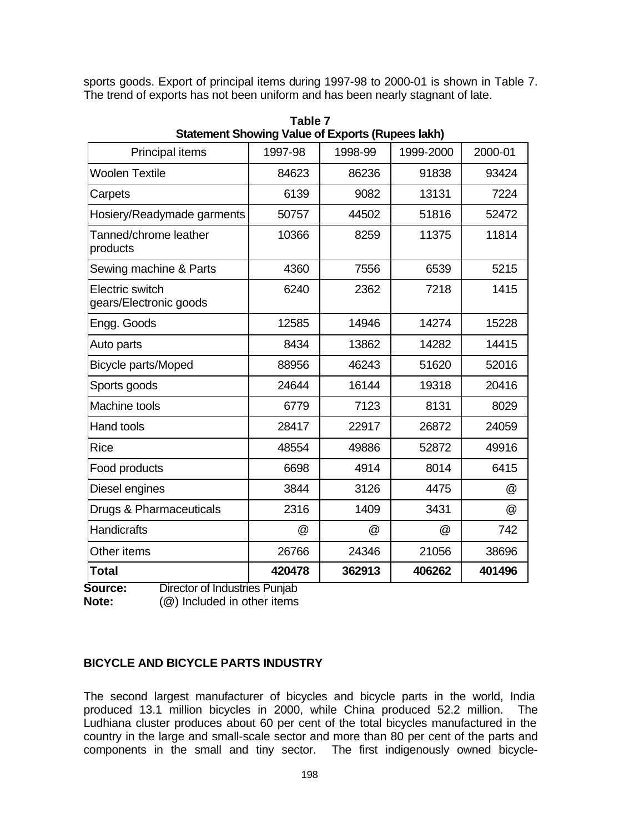sports goods. Export of principal items during 1997-98 to 2000-01 is shown in Table 7. The trend of exports has not been uniform and has been nearly stagnant of late.

| Principal items                                  | <u>Ulalufilum Uniowing</u> value of Exports (Rupees land)<br>1997-98 | 1998-99 | 1999-2000 | 2000-01 |
|--------------------------------------------------|----------------------------------------------------------------------|---------|-----------|---------|
| <b>Woolen Textile</b>                            | 84623                                                                | 86236   | 91838     | 93424   |
| Carpets                                          | 6139                                                                 | 9082    | 13131     | 7224    |
| Hosiery/Readymade garments                       | 50757                                                                | 44502   | 51816     | 52472   |
| Tanned/chrome leather<br>products                | 10366                                                                | 8259    | 11375     | 11814   |
| Sewing machine & Parts                           | 4360                                                                 | 7556    | 6539      | 5215    |
| <b>Electric switch</b><br>gears/Electronic goods | 6240                                                                 | 2362    | 7218      | 1415    |
| Engg. Goods                                      | 12585                                                                | 14946   | 14274     | 15228   |
| Auto parts                                       | 8434                                                                 | 13862   | 14282     | 14415   |
| <b>Bicycle parts/Moped</b>                       | 88956                                                                | 46243   | 51620     | 52016   |
| Sports goods                                     | 24644                                                                | 16144   | 19318     | 20416   |
| Machine tools                                    | 6779                                                                 | 7123    | 8131      | 8029    |
| Hand tools                                       | 28417                                                                | 22917   | 26872     | 24059   |
| <b>Rice</b>                                      | 48554                                                                | 49886   | 52872     | 49916   |
| Food products                                    | 6698                                                                 | 4914    | 8014      | 6415    |
| Diesel engines                                   | 3844                                                                 | 3126    | 4475      | @       |
| Drugs & Pharmaceuticals                          | 2316                                                                 | 1409    | 3431      | @       |
| <b>Handicrafts</b>                               | @                                                                    | @       | @         | 742     |
| Other items                                      | 26766                                                                | 24346   | 21056     | 38696   |
| <b>Total</b><br>Director of Industries Dunich    | 420478                                                               | 362913  | 406262    | 401496  |

**Table 7 Statement Showing Value of Exports (Rupees lakh)**

**Source:** Director of Industries Punjab **Note:** (@) Included in other items

# **BICYCLE AND BICYCLE PARTS INDUSTRY**

The second largest manufacturer of bicycles and bicycle parts in the world, India produced 13.1 million bicycles in 2000, while China produced 52.2 million. The Ludhiana cluster produces about 60 per cent of the total bicycles manufactured in the country in the large and small-scale sector and more than 80 per cent of the parts and components in the small and tiny sector. The first indigenously owned bicycle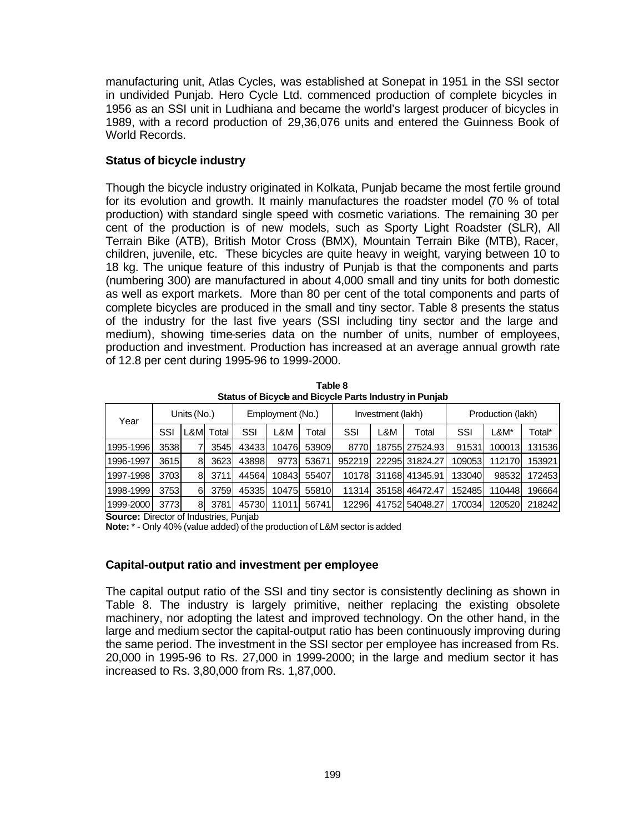manufacturing unit, Atlas Cycles, was established at Sonepat in 1951 in the SSI sector in undivided Punjab. Hero Cycle Ltd. commenced production of complete bicycles in 1956 as an SSI unit in Ludhiana and became the world's largest producer of bicycles in 1989, with a record production of 29,36,076 units and entered the Guinness Book of World Records.

# **Status of bicycle industry**

Though the bicycle industry originated in Kolkata, Punjab became the most fertile ground for its evolution and growth. It mainly manufactures the roadster model (70 % of total production) with standard single speed with cosmetic variations. The remaining 30 per cent of the production is of new models, such as Sporty Light Roadster (SLR), All Terrain Bike (ATB), British Motor Cross (BMX), Mountain Terrain Bike (MTB), Racer, children, juvenile, etc. These bicycles are quite heavy in weight, varying between 10 to 18 kg. The unique feature of this industry of Punjab is that the components and parts (numbering 300) are manufactured in about 4,000 small and tiny units for both domestic as well as export markets. More than 80 per cent of the total components and parts of complete bicycles are produced in the small and tiny sector. Table 8 presents the status of the industry for the last five years (SSI including tiny sector and the large and medium), showing time-series data on the number of units, number of employees, production and investment. Production has increased at an average annual growth rate of 12.8 per cent during 1995-96 to 1999-2000.

| Year      |      | Units (No.) |       | Employment (No.) |       |       | Investment (lakh) |     |                | Production (lakh) |        |        |
|-----------|------|-------------|-------|------------------|-------|-------|-------------------|-----|----------------|-------------------|--------|--------|
|           | SSI  | L&M         | Total | SSI              | L&M   | Total | SSI               | L&M | Total          | SSI               | L&M*   | Total* |
| 1995-1996 | 3538 |             | 3545  | 43433            | 10476 | 53909 | 8770              |     | 18755 27524.93 | 91531             | 100013 | 131536 |
| 1996-1997 | 3615 | 8           | 3623  | 43898            | 9773  | 53671 | 952219            |     | 22295 31824.27 | 109053            | 112170 | 153921 |
| 1997-1998 | 3703 | 8           | 3711  | 44564            | 10843 | 55407 | 10178             |     | 31168 41345.91 | 133040            | 98532  | 172453 |
| 1998-1999 | 3753 | 61          | 3759  | 45335            | 10475 | 55810 | 11314             |     | 35158 46472.47 | 152485            | 110448 | 196664 |
| 1999-2000 | 3773 | 8           | 3781  | 45730            | 11011 | 56741 | 12296             |     | 41752 54048.27 | 170034            | 120520 | 218242 |

**Table 8 Status of Bicycle and Bicycle Parts Industry in Punjab**

**Source:** Director of Industries, Punjab

**Note:** \* - Only 40% (value added) of the production of L&M sector is added

# **Capital-output ratio and investment per employee**

The capital output ratio of the SSI and tiny sector is consistently declining as shown in Table 8. The industry is largely primitive, neither replacing the existing obsolete machinery, nor adopting the latest and improved technology. On the other hand, in the large and medium sector the capital-output ratio has been continuously improving during the same period. The investment in the SSI sector per employee has increased from Rs. 20,000 in 1995-96 to Rs. 27,000 in 1999-2000; in the large and medium sector it has increased to Rs. 3,80,000 from Rs. 1,87,000.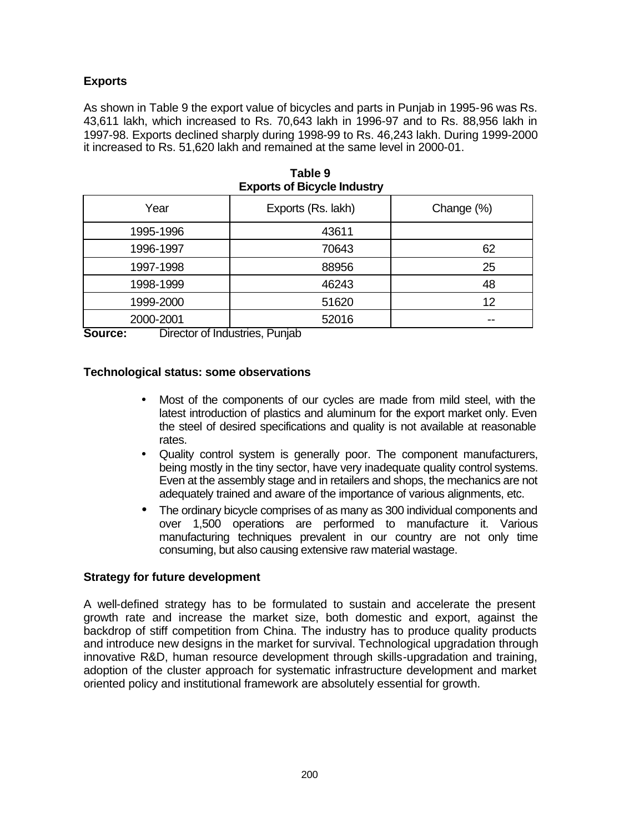# **Exports**

As shown in Table 9 the export value of bicycles and parts in Punjab in 1995-96 was Rs. 43,611 lakh, which increased to Rs. 70,643 lakh in 1996-97 and to Rs. 88,956 lakh in 1997-98. Exports declined sharply during 1998-99 to Rs. 46,243 lakh. During 1999-2000 it increased to Rs. 51,620 lakh and remained at the same level in 2000-01.

| $=$       |                    |            |  |  |  |  |  |  |  |  |
|-----------|--------------------|------------|--|--|--|--|--|--|--|--|
| Year      | Exports (Rs. lakh) | Change (%) |  |  |  |  |  |  |  |  |
| 1995-1996 | 43611              |            |  |  |  |  |  |  |  |  |
| 1996-1997 | 70643              | 62         |  |  |  |  |  |  |  |  |
| 1997-1998 | 88956              | 25         |  |  |  |  |  |  |  |  |
| 1998-1999 | 46243              | 48         |  |  |  |  |  |  |  |  |
| 1999-2000 | 51620              | 12         |  |  |  |  |  |  |  |  |
| 2000-2001 | 52016              | --         |  |  |  |  |  |  |  |  |

**Table 9 Exports of Bicycle Industry**

**Source:** Director of Industries, Punjab

## **Technological status: some observations**

- Most of the components of our cycles are made from mild steel, with the latest introduction of plastics and aluminum for the export market only. Even the steel of desired specifications and quality is not available at reasonable rates.
- Quality control system is generally poor. The component manufacturers, being mostly in the tiny sector, have very inadequate quality control systems. Even at the assembly stage and in retailers and shops, the mechanics are not adequately trained and aware of the importance of various alignments, etc.
- The ordinary bicycle comprises of as many as 300 individual components and over 1,500 operations are performed to manufacture it. Various manufacturing techniques prevalent in our country are not only time consuming, but also causing extensive raw material wastage.

# **Strategy for future development**

A well-defined strategy has to be formulated to sustain and accelerate the present growth rate and increase the market size, both domestic and export, against the backdrop of stiff competition from China. The industry has to produce quality products and introduce new designs in the market for survival. Technological upgradation through innovative R&D, human resource development through skills-upgradation and training, adoption of the cluster approach for systematic infrastructure development and market oriented policy and institutional framework are absolutely essential for growth.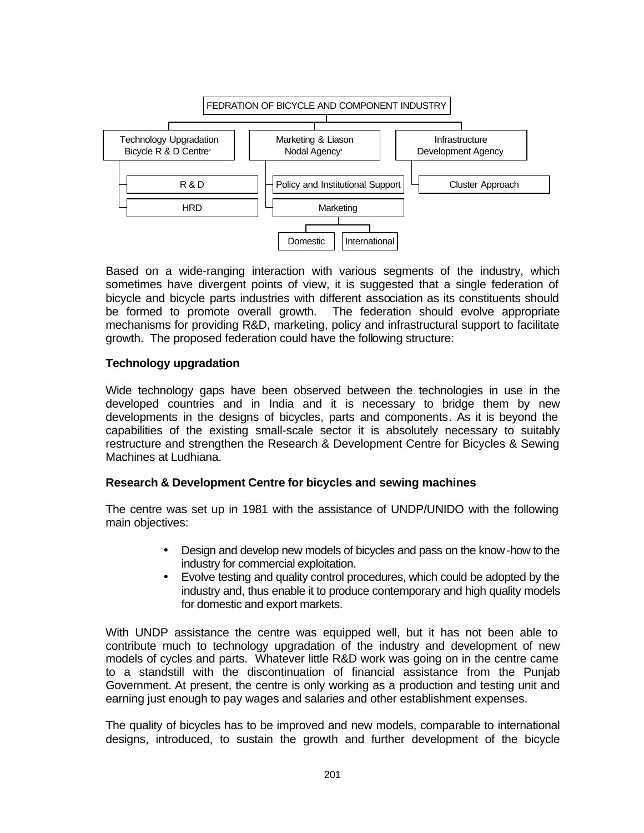

Based on a wide-ranging interaction with various segments of the industry, which sometimes have divergent points of view, it is suggested that a single federation of bicycle and bicycle parts industries with different association as its constituents should be formed to promote overall growth. The federation should evolve appropriate mechanisms for providing R&D, marketing, policy and infrastructural support to facilitate growth. The proposed federation could have the following structure:

# **Technology upgradation**

Wide technology gaps have been observed between the technologies in use in the developed countries and in India and it is necessary to bridge them by new developments in the designs of bicycles, parts and components. As it is beyond the capabilities of the existing small-scale sector it is absolutely necessary to suitably restructure and strengthen the Research & Development Centre for Bicycles & Sewing Machines at Ludhiana.

#### **Research & Development Centre for bicycles and sewing machines**

The centre was set up in 1981 with the assistance of UNDP/UNIDO with the following main objectives:

- Design and develop new models of bicycles and pass on the know-how to the industry for commercial exploitation.
- Evolve testing and quality control procedures, which could be adopted by the industry and, thus enable it to produce contemporary and high quality models for domestic and export markets.

With UNDP assistance the centre was equipped well, but it has not been able to contribute much to technology upgradation of the industry and development of new models of cycles and parts. Whatever little R&D work was going on in the centre came to a standstill with the discontinuation of financial assistance from the Punjab Government. At present, the centre is only working as a production and testing unit and earning just enough to pay wages and salaries and other establishment expenses.

The quality of bicycles has to be improved and new models, comparable to international designs, introduced, to sustain the growth and further development of the bicycle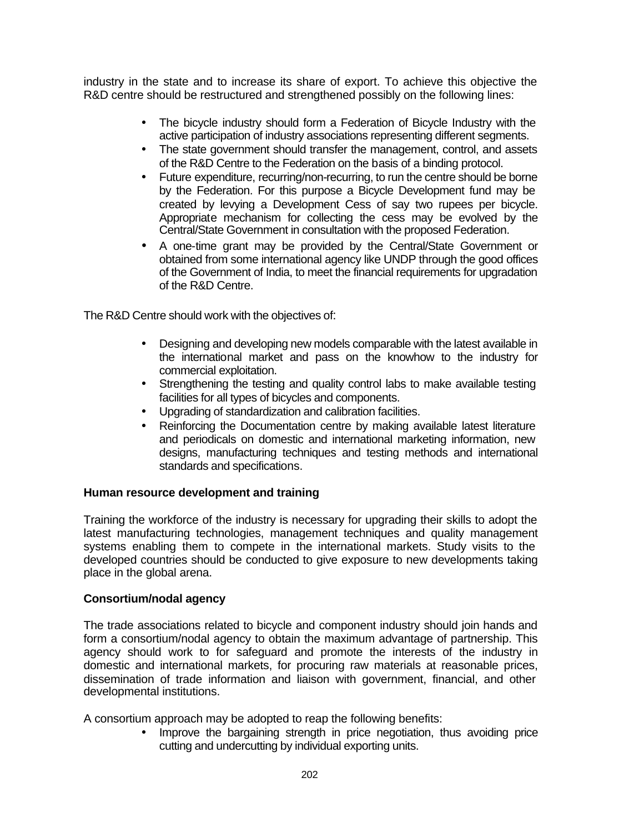industry in the state and to increase its share of export. To achieve this objective the R&D centre should be restructured and strengthened possibly on the following lines:

- The bicycle industry should form a Federation of Bicycle Industry with the active participation of industry associations representing different segments.
- The state government should transfer the management, control, and assets of the R&D Centre to the Federation on the basis of a binding protocol.
- Future expenditure, recurring/non-recurring, to run the centre should be borne by the Federation. For this purpose a Bicycle Development fund may be created by levying a Development Cess of say two rupees per bicycle. Appropriate mechanism for collecting the cess may be evolved by the Central/State Government in consultation with the proposed Federation.
- A one-time grant may be provided by the Central/State Government or obtained from some international agency like UNDP through the good offices of the Government of India, to meet the financial requirements for upgradation of the R&D Centre.

The R&D Centre should work with the objectives of:

- Designing and developing new models comparable with the latest available in the international market and pass on the knowhow to the industry for commercial exploitation.
- Strengthening the testing and quality control labs to make available testing facilities for all types of bicycles and components.
- Upgrading of standardization and calibration facilities.
- Reinforcing the Documentation centre by making available latest literature and periodicals on domestic and international marketing information, new designs, manufacturing techniques and testing methods and international standards and specifications.

# **Human resource development and training**

Training the workforce of the industry is necessary for upgrading their skills to adopt the latest manufacturing technologies, management techniques and quality management systems enabling them to compete in the international markets. Study visits to the developed countries should be conducted to give exposure to new developments taking place in the global arena.

# **Consortium/nodal agency**

The trade associations related to bicycle and component industry should join hands and form a consortium/nodal agency to obtain the maximum advantage of partnership. This agency should work to for safeguard and promote the interests of the industry in domestic and international markets, for procuring raw materials at reasonable prices, dissemination of trade information and liaison with government, financial, and other developmental institutions.

A consortium approach may be adopted to reap the following benefits:

• Improve the bargaining strength in price negotiation, thus avoiding price cutting and undercutting by individual exporting units.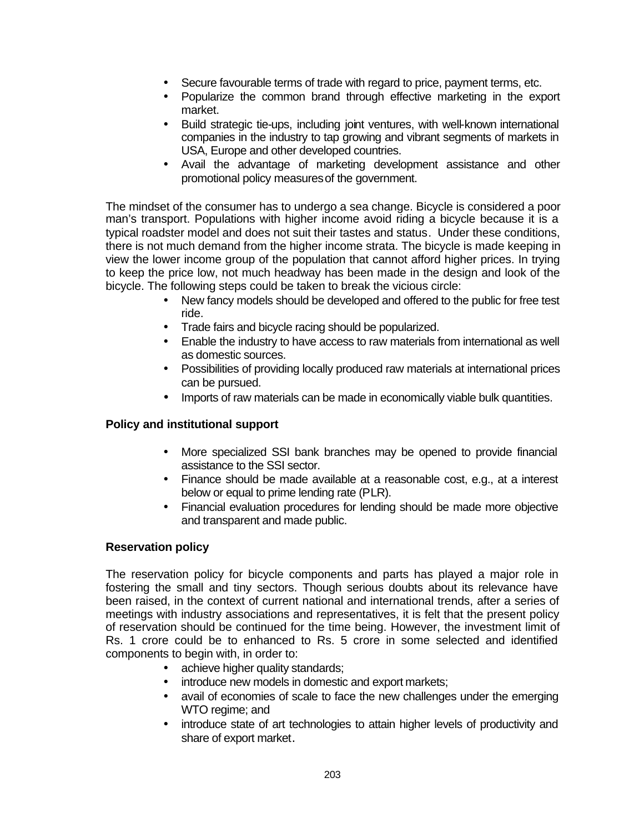- Secure favourable terms of trade with regard to price, payment terms, etc.
- Popularize the common brand through effective marketing in the export market.
- Build strategic tie-ups, including joint ventures, with well-known international companies in the industry to tap growing and vibrant segments of markets in USA, Europe and other developed countries.
- Avail the advantage of marketing development assistance and other promotional policy measures of the government.

The mindset of the consumer has to undergo a sea change. Bicycle is considered a poor man's transport. Populations with higher income avoid riding a bicycle because it is a typical roadster model and does not suit their tastes and status. Under these conditions, there is not much demand from the higher income strata. The bicycle is made keeping in view the lower income group of the population that cannot afford higher prices. In trying to keep the price low, not much headway has been made in the design and look of the bicycle. The following steps could be taken to break the vicious circle:

- New fancy models should be developed and offered to the public for free test ride.
- Trade fairs and bicycle racing should be popularized.
- Enable the industry to have access to raw materials from international as well as domestic sources.
- Possibilities of providing locally produced raw materials at international prices can be pursued.
- Imports of raw materials can be made in economically viable bulk quantities.

# **Policy and institutional support**

- More specialized SSI bank branches may be opened to provide financial assistance to the SSI sector.
- Finance should be made available at a reasonable cost, e.g., at a interest below or equal to prime lending rate (PLR).
- Financial evaluation procedures for lending should be made more objective and transparent and made public.

# **Reservation policy**

The reservation policy for bicycle components and parts has played a major role in fostering the small and tiny sectors. Though serious doubts about its relevance have been raised, in the context of current national and international trends, after a series of meetings with industry associations and representatives, it is felt that the present policy of reservation should be continued for the time being. However, the investment limit of Rs. 1 crore could be to enhanced to Rs. 5 crore in some selected and identified components to begin with, in order to:

- achieve higher quality standards;
- introduce new models in domestic and export markets;
- avail of economies of scale to face the new challenges under the emerging WTO regime; and
- introduce state of art technologies to attain higher levels of productivity and share of export market.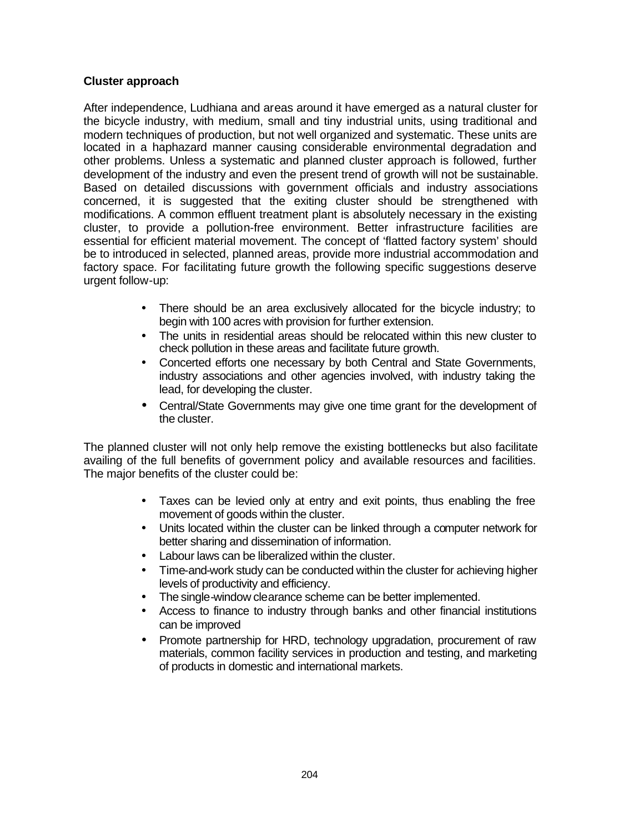# **Cluster approach**

After independence, Ludhiana and areas around it have emerged as a natural cluster for the bicycle industry, with medium, small and tiny industrial units, using traditional and modern techniques of production, but not well organized and systematic. These units are located in a haphazard manner causing considerable environmental degradation and other problems. Unless a systematic and planned cluster approach is followed, further development of the industry and even the present trend of growth will not be sustainable. Based on detailed discussions with government officials and industry associations concerned, it is suggested that the exiting cluster should be strengthened with modifications. A common effluent treatment plant is absolutely necessary in the existing cluster, to provide a pollution-free environment. Better infrastructure facilities are essential for efficient material movement. The concept of 'flatted factory system' should be to introduced in selected, planned areas, provide more industrial accommodation and factory space. For facilitating future growth the following specific suggestions deserve urgent follow-up:

- There should be an area exclusively allocated for the bicycle industry; to begin with 100 acres with provision for further extension.
- The units in residential areas should be relocated within this new cluster to check pollution in these areas and facilitate future growth.
- Concerted efforts one necessary by both Central and State Governments, industry associations and other agencies involved, with industry taking the lead, for developing the cluster.
- Central/State Governments may give one time grant for the development of the cluster.

The planned cluster will not only help remove the existing bottlenecks but also facilitate availing of the full benefits of government policy and available resources and facilities. The major benefits of the cluster could be:

- Taxes can be levied only at entry and exit points, thus enabling the free movement of goods within the cluster.
- Units located within the cluster can be linked through a computer network for better sharing and dissemination of information.
- Labour laws can be liberalized within the cluster.
- Time-and-work study can be conducted within the cluster for achieving higher levels of productivity and efficiency.
- The single-window clearance scheme can be better implemented.
- Access to finance to industry through banks and other financial institutions can be improved
- Promote partnership for HRD, technology upgradation, procurement of raw materials, common facility services in production and testing, and marketing of products in domestic and international markets.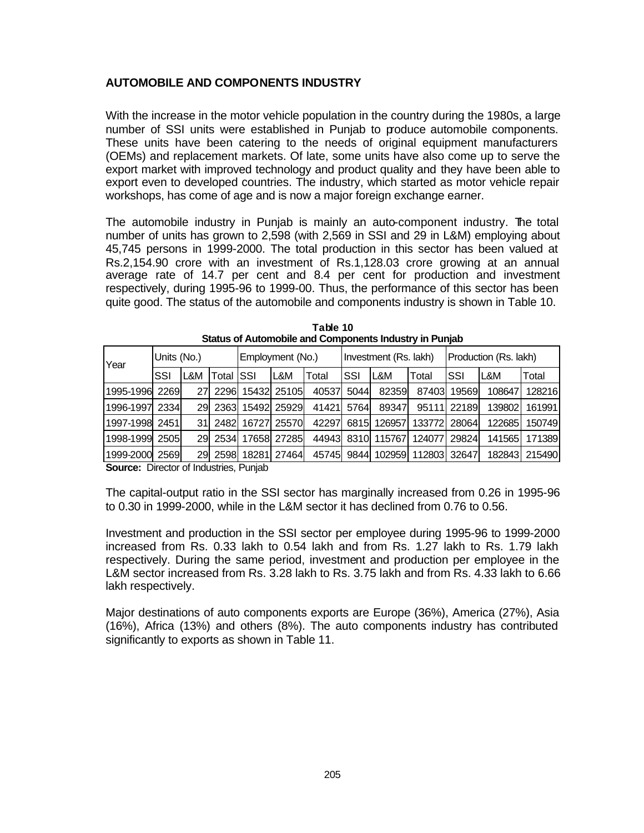# **AUTOMOBILE AND COMPONENTS INDUSTRY**

With the increase in the motor vehicle population in the country during the 1980s, a large number of SSI units were established in Punjab to produce automobile components. These units have been catering to the needs of original equipment manufacturers (OEMs) and replacement markets. Of late, some units have also come up to serve the export market with improved technology and product quality and they have been able to export even to developed countries. The industry, which started as motor vehicle repair workshops, has come of age and is now a major foreign exchange earner.

The automobile industry in Punjab is mainly an auto-component industry. The total number of units has grown to 2,598 (with 2,569 in SSI and 29 in L&M) employing about 45,745 persons in 1999-2000. The total production in this sector has been valued at Rs.2,154.90 crore with an investment of Rs.1,128.03 crore growing at an annual average rate of 14.7 per cent and 8.4 per cent for production and investment respectively, during 1995-96 to 1999-00. Thus, the performance of this sector has been quite good. The status of the automobile and components industry is shown in Table 10.

| Year            | Units (No.) |     |                   | Employment (No.) |             |            | Investment (Rs. lakh) |                   |        | Production (Rs. lakh) |        |        |  |
|-----------------|-------------|-----|-------------------|------------------|-------------|------------|-----------------------|-------------------|--------|-----------------------|--------|--------|--|
|                 | SSI         | L&M | <b>Total ISSI</b> |                  | L&M         | Total      | <b>SSI</b>            | L&M               | Total  | SSI                   | IL&M   | Total  |  |
| 1995-1996       | 2269        | 271 | 2296              |                  | 15432 25105 | 40537      | 5044                  | 82359             | 87403  | 19569                 | 108647 | 128216 |  |
| 1996-1997       | 2334        | 291 | 2363              |                  | 15492 25929 | 41421      | 5764                  | 89347             | 95111  | 22189                 | 139802 | 161991 |  |
| 1997-1998  2451 |             | 311 | 2482              | 16727            | 25570       | 42297      | 6815                  | 126957            | 133772 | 28064                 | 122685 | 150749 |  |
| 1998-1999       | 2505        | 291 | 2534              |                  | 17658 27285 | 44943 8310 |                       | 115767            | 124077 | 29824                 | 141565 | 171389 |  |
| 1999-2000 2569  |             | 291 | 2598              | 18281            | 27464       |            |                       | 45745 9844 102959 | 112803 | 32647                 | 182843 | 215490 |  |

| Table 10                                               |  |
|--------------------------------------------------------|--|
| Status of Automobile and Components Industry in Punjab |  |

**Source:** Director of Industries, Punjab

The capital-output ratio in the SSI sector has marginally increased from 0.26 in 1995-96 to 0.30 in 1999-2000, while in the L&M sector it has declined from 0.76 to 0.56.

Investment and production in the SSI sector per employee during 1995-96 to 1999-2000 increased from Rs. 0.33 lakh to 0.54 lakh and from Rs. 1.27 lakh to Rs. 1.79 lakh respectively. During the same period, investment and production per employee in the L&M sector increased from Rs. 3.28 lakh to Rs. 3.75 lakh and from Rs. 4.33 lakh to 6.66 lakh respectively.

Major destinations of auto components exports are Europe (36%), America (27%), Asia (16%), Africa (13%) and others (8%). The auto components industry has contributed significantly to exports as shown in Table 11.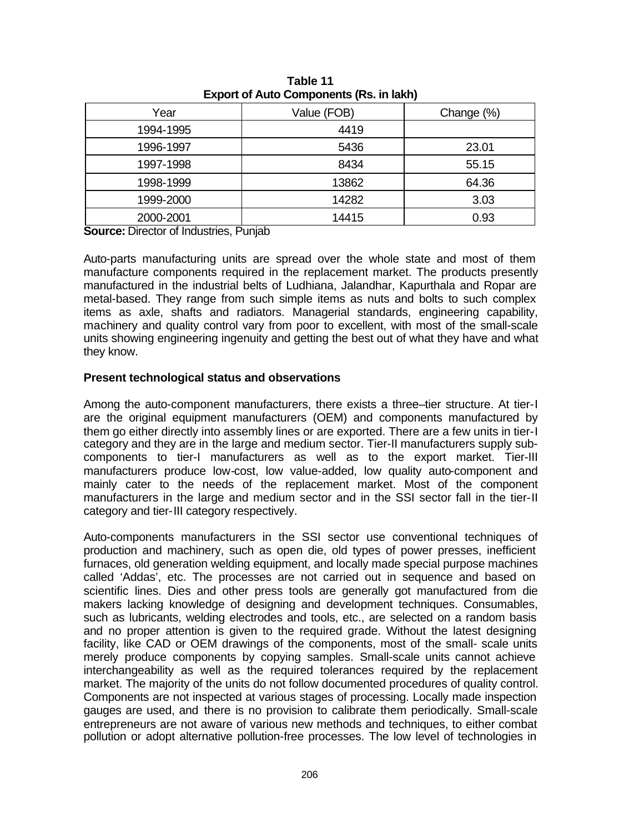| Year      | Value (FOB) | Change (%) |
|-----------|-------------|------------|
| 1994-1995 | 4419        |            |
| 1996-1997 | 5436        | 23.01      |
| 1997-1998 | 8434        | 55.15      |
| 1998-1999 | 13862       | 64.36      |
| 1999-2000 | 14282       | 3.03       |
| 2000-2001 | 14415       | 0.93       |

**Table 11 Export of Auto Components (Rs. in lakh)**

**Source:** Director of Industries, Punjab

Auto-parts manufacturing units are spread over the whole state and most of them manufacture components required in the replacement market. The products presently manufactured in the industrial belts of Ludhiana, Jalandhar, Kapurthala and Ropar are metal-based. They range from such simple items as nuts and bolts to such complex items as axle, shafts and radiators. Managerial standards, engineering capability, machinery and quality control vary from poor to excellent, with most of the small-scale units showing engineering ingenuity and getting the best out of what they have and what they know.

#### **Present technological status and observations**

Among the auto-component manufacturers, there exists a three–tier structure. At tier-I are the original equipment manufacturers (OEM) and components manufactured by them go either directly into assembly lines or are exported. There are a few units in tier-I category and they are in the large and medium sector. Tier-II manufacturers supply subcomponents to tier-I manufacturers as well as to the export market. Tier-III manufacturers produce low-cost, low value-added, low quality auto-component and mainly cater to the needs of the replacement market. Most of the component manufacturers in the large and medium sector and in the SSI sector fall in the tier-II category and tier-III category respectively.

Auto-components manufacturers in the SSI sector use conventional techniques of production and machinery, such as open die, old types of power presses, inefficient furnaces, old generation welding equipment, and locally made special purpose machines called 'Addas', etc. The processes are not carried out in sequence and based on scientific lines. Dies and other press tools are generally got manufactured from die makers lacking knowledge of designing and development techniques. Consumables, such as lubricants, welding electrodes and tools, etc., are selected on a random basis and no proper attention is given to the required grade. Without the latest designing facility, like CAD or OEM drawings of the components, most of the small- scale units merely produce components by copying samples. Small-scale units cannot achieve interchangeability as well as the required tolerances required by the replacement market. The majority of the units do not follow documented procedures of quality control. Components are not inspected at various stages of processing. Locally made inspection gauges are used, and there is no provision to calibrate them periodically. Small-scale entrepreneurs are not aware of various new methods and techniques, to either combat pollution or adopt alternative pollution-free processes. The low level of technologies in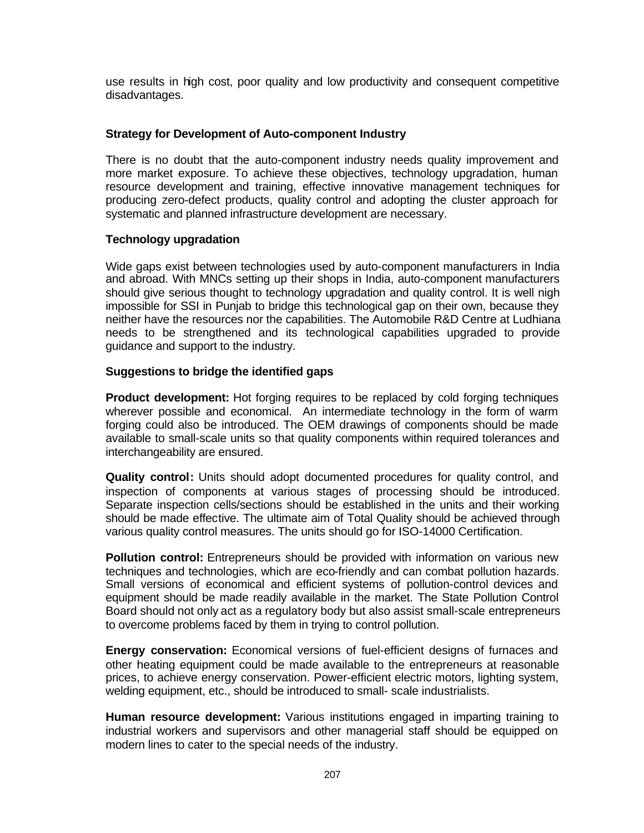use results in high cost, poor quality and low productivity and consequent competitive disadvantages.

# **Strategy for Development of Auto-component Industry**

There is no doubt that the auto-component industry needs quality improvement and more market exposure. To achieve these objectives, technology upgradation, human resource development and training, effective innovative management techniques for producing zero-defect products, quality control and adopting the cluster approach for systematic and planned infrastructure development are necessary.

# **Technology upgradation**

Wide gaps exist between technologies used by auto-component manufacturers in India and abroad. With MNCs setting up their shops in India, auto-component manufacturers should give serious thought to technology upgradation and quality control. It is well nigh impossible for SSI in Punjab to bridge this technological gap on their own, because they neither have the resources nor the capabilities. The Automobile R&D Centre at Ludhiana needs to be strengthened and its technological capabilities upgraded to provide guidance and support to the industry.

# **Suggestions to bridge the identified gaps**

**Product development:** Hot forging requires to be replaced by cold forging techniques wherever possible and economical. An intermediate technology in the form of warm forging could also be introduced. The OEM drawings of components should be made available to small-scale units so that quality components within required tolerances and interchangeability are ensured.

**Quality control:** Units should adopt documented procedures for quality control, and inspection of components at various stages of processing should be introduced. Separate inspection cells/sections should be established in the units and their working should be made effective. The ultimate aim of Total Quality should be achieved through various quality control measures. The units should go for ISO-14000 Certification.

**Pollution control:** Entrepreneurs should be provided with information on various new techniques and technologies, which are eco-friendly and can combat pollution hazards. Small versions of economical and efficient systems of pollution-control devices and equipment should be made readily available in the market. The State Pollution Control Board should not only act as a regulatory body but also assist small-scale entrepreneurs to overcome problems faced by them in trying to control pollution.

**Energy conservation:** Economical versions of fuel-efficient designs of furnaces and other heating equipment could be made available to the entrepreneurs at reasonable prices, to achieve energy conservation. Power-efficient electric motors, lighting system, welding equipment, etc., should be introduced to small- scale industrialists.

**Human resource development:** Various institutions engaged in imparting training to industrial workers and supervisors and other managerial staff should be equipped on modern lines to cater to the special needs of the industry.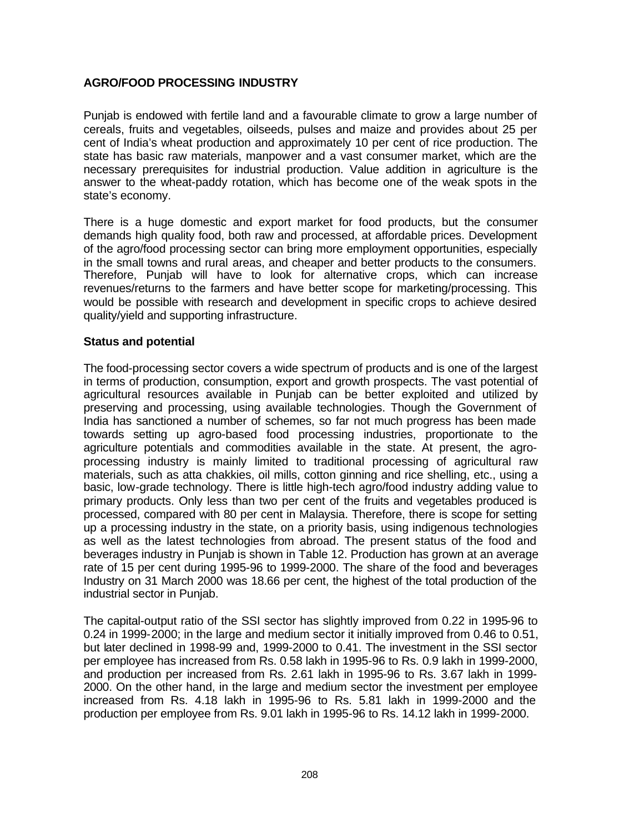# **AGRO/FOOD PROCESSING INDUSTRY**

Punjab is endowed with fertile land and a favourable climate to grow a large number of cereals, fruits and vegetables, oilseeds, pulses and maize and provides about 25 per cent of India's wheat production and approximately 10 per cent of rice production. The state has basic raw materials, manpower and a vast consumer market, which are the necessary prerequisites for industrial production. Value addition in agriculture is the answer to the wheat-paddy rotation, which has become one of the weak spots in the state's economy.

There is a huge domestic and export market for food products, but the consumer demands high quality food, both raw and processed, at affordable prices. Development of the agro/food processing sector can bring more employment opportunities, especially in the small towns and rural areas, and cheaper and better products to the consumers. Therefore, Punjab will have to look for alternative crops, which can increase revenues/returns to the farmers and have better scope for marketing/processing. This would be possible with research and development in specific crops to achieve desired quality/yield and supporting infrastructure.

# **Status and potential**

The food-processing sector covers a wide spectrum of products and is one of the largest in terms of production, consumption, export and growth prospects. The vast potential of agricultural resources available in Punjab can be better exploited and utilized by preserving and processing, using available technologies. Though the Government of India has sanctioned a number of schemes, so far not much progress has been made towards setting up agro-based food processing industries, proportionate to the agriculture potentials and commodities available in the state. At present, the agroprocessing industry is mainly limited to traditional processing of agricultural raw materials, such as atta chakkies, oil mills, cotton ginning and rice shelling, etc., using a basic, low-grade technology. There is little high-tech agro/food industry adding value to primary products. Only less than two per cent of the fruits and vegetables produced is processed, compared with 80 per cent in Malaysia. Therefore, there is scope for setting up a processing industry in the state, on a priority basis, using indigenous technologies as well as the latest technologies from abroad. The present status of the food and beverages industry in Punjab is shown in Table 12. Production has grown at an average rate of 15 per cent during 1995-96 to 1999-2000. The share of the food and beverages Industry on 31 March 2000 was 18.66 per cent, the highest of the total production of the industrial sector in Punjab.

The capital-output ratio of the SSI sector has slightly improved from 0.22 in 1995-96 to 0.24 in 1999-2000; in the large and medium sector it initially improved from 0.46 to 0.51, but later declined in 1998-99 and, 1999-2000 to 0.41. The investment in the SSI sector per employee has increased from Rs. 0.58 lakh in 1995-96 to Rs. 0.9 lakh in 1999-2000, and production per increased from Rs. 2.61 lakh in 1995-96 to Rs. 3.67 lakh in 1999- 2000. On the other hand, in the large and medium sector the investment per employee increased from Rs. 4.18 lakh in 1995-96 to Rs. 5.81 lakh in 1999-2000 and the production per employee from Rs. 9.01 lakh in 1995-96 to Rs. 14.12 lakh in 1999-2000.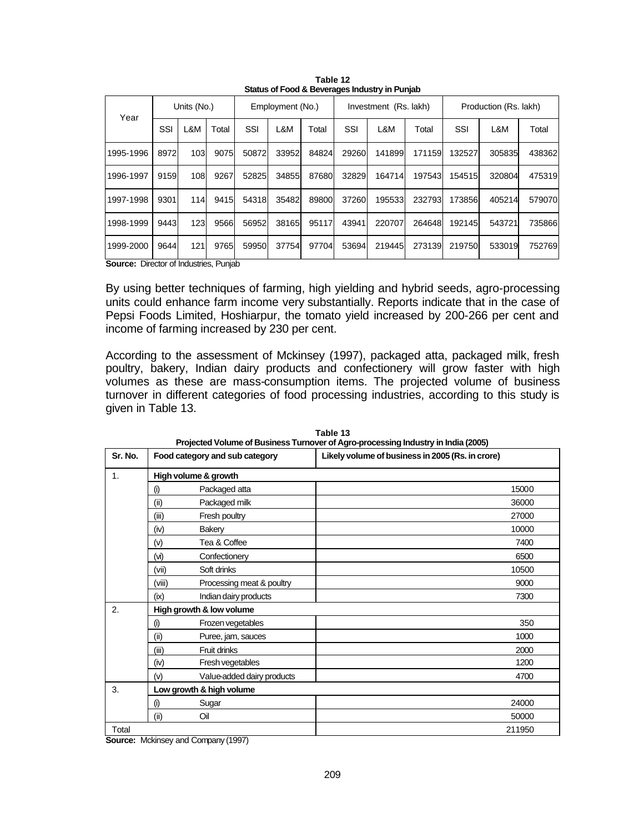|           | Units (No.)    |     |       | Employment (No.)  |       |                     | Investment (Rs. lakh) |        |       | Production (Rs. lakh) |                                                |                                                |
|-----------|----------------|-----|-------|-------------------|-------|---------------------|-----------------------|--------|-------|-----------------------|------------------------------------------------|------------------------------------------------|
|           | SSI            | L&M | Total | SSI               | L&M   | Total               | SSI                   | L&M    | Total | SSI                   | L&M                                            | Total                                          |
| 1995-1996 | 8972           |     | 9075  | 50872             | 33952 | 84824               | 29260                 | 141899 |       | 132527                | 305835                                         | 438362                                         |
| 1996-1997 | 9159           | 108 | 9267  | 52825             | 34855 |                     | 32829                 | 164714 |       | 154515                |                                                | 475319                                         |
| 1997-1998 | 9301           |     | 9415  |                   | 35482 |                     |                       |        |       | 1738561               |                                                | 579070                                         |
| 1998-1999 | 9443           |     | 9566  |                   | 38165 | 95117               | 43941                 | 220707 |       |                       | 543721                                         | 735866                                         |
| 1999-2000 | 9644           | 121 | 9765  | 59950             | 37754 | 97704               | 53694                 | 219445 |       |                       |                                                | 752769                                         |
|           | Year<br>$\sim$ |     |       | 103<br>114<br>123 |       | 54318<br>56952<br>. | 87680<br>89800        |        | 37260 | 195533                | 171159<br>197543<br>232793<br>264648<br>273139 | 320804<br>405214<br>192145<br>219750<br>533019 |

**Table 12 Status of Food & Beverages Industry in Punjab**

**Source:** Director of Industries, Punjab

By using better techniques of farming, high yielding and hybrid seeds, agro-processing units could enhance farm income very substantially. Reports indicate that in the case of Pepsi Foods Limited, Hoshiarpur, the tomato yield increased by 200-266 per cent and income of farming increased by 230 per cent.

According to the assessment of Mckinsey (1997), packaged atta, packaged milk, fresh poultry, bakery, Indian dairy products and confectionery will grow faster with high volumes as these are mass-consumption items. The projected volume of business turnover in different categories of food processing industries, according to this study is given in Table 13.

| Sr. No. |                   | Food category and sub category | Likely volume of business in 2005 (Rs. in crore) |
|---------|-------------------|--------------------------------|--------------------------------------------------|
| 1.      |                   | High volume & growth           |                                                  |
|         | $\left( i\right)$ | Packaged atta                  | 15000                                            |
|         | (ii)              | Packaged milk                  | 36000                                            |
|         | (iii)             | Fresh poultry                  | 27000                                            |
|         | (iv)              | Bakery                         | 10000                                            |
|         | (v)               | Tea & Coffee                   | 7400                                             |
|         | (v)               | Confectionery                  | 6500                                             |
|         | (vii)             | Soft drinks                    | 10500                                            |
|         | (viii)            | Processing meat & poultry      | 9000                                             |
|         | (ix)              | Indian dairy products          | 7300                                             |
| 2.      |                   | High growth & low volume       |                                                  |
|         | $($ i $)$         | Frozen vegetables              | 350                                              |
|         | (ii)              | Puree, jam, sauces             | 1000                                             |
|         | (iii)             | Fruit drinks                   | 2000                                             |
|         | (iv)              | Fresh vegetables               | 1200                                             |
|         | (v)               | Value-added dairy products     | 4700                                             |
| 3.      |                   | Low growth & high volume       |                                                  |
|         | (i)               | Sugar                          | 24000                                            |
|         | (ii)              | Oil                            | 50000                                            |
| Total   |                   |                                | 211950                                           |

**Table 13 Projected Volume of Business Turnover of Agro-processing Industry in India (2005)**

**Source:** Mckinsey and Company (1997)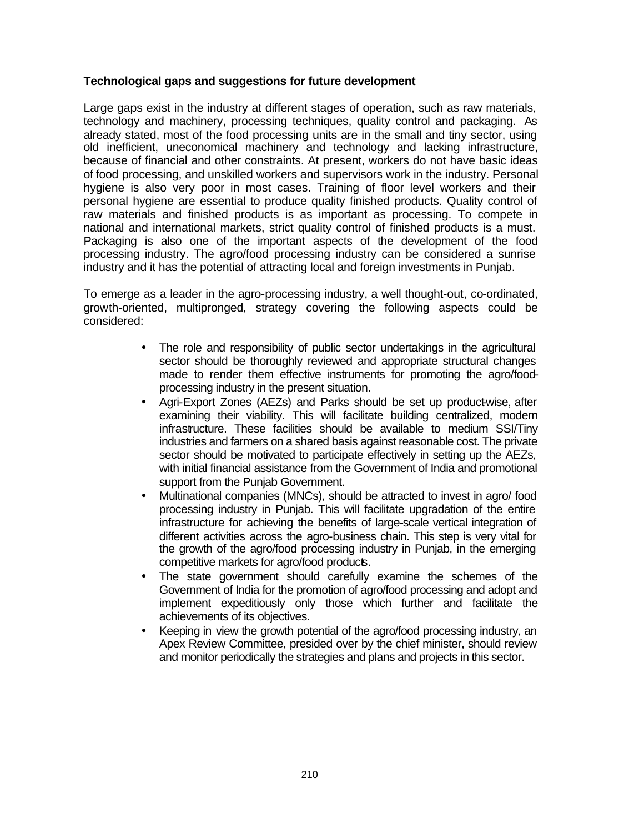# **Technological gaps and suggestions for future development**

Large gaps exist in the industry at different stages of operation, such as raw materials, technology and machinery, processing techniques, quality control and packaging. As already stated, most of the food processing units are in the small and tiny sector, using old inefficient, uneconomical machinery and technology and lacking infrastructure, because of financial and other constraints. At present, workers do not have basic ideas of food processing, and unskilled workers and supervisors work in the industry. Personal hygiene is also very poor in most cases. Training of floor level workers and their personal hygiene are essential to produce quality finished products. Quality control of raw materials and finished products is as important as processing. To compete in national and international markets, strict quality control of finished products is a must. Packaging is also one of the important aspects of the development of the food processing industry. The agro/food processing industry can be considered a sunrise industry and it has the potential of attracting local and foreign investments in Punjab.

To emerge as a leader in the agro-processing industry, a well thought-out, co-ordinated, growth-oriented, multipronged, strategy covering the following aspects could be considered:

- The role and responsibility of public sector undertakings in the agricultural sector should be thoroughly reviewed and appropriate structural changes made to render them effective instruments for promoting the agro/foodprocessing industry in the present situation.
- Agri-Export Zones (AEZs) and Parks should be set up product-wise, after examining their viability. This will facilitate building centralized, modern infrastructure. These facilities should be available to medium SSI/Tiny industries and farmers on a shared basis against reasonable cost. The private sector should be motivated to participate effectively in setting up the AEZs, with initial financial assistance from the Government of India and promotional support from the Punjab Government.
- Multinational companies (MNCs), should be attracted to invest in agro/ food processing industry in Punjab. This will facilitate upgradation of the entire infrastructure for achieving the benefits of large-scale vertical integration of different activities across the agro-business chain. This step is very vital for the growth of the agro/food processing industry in Punjab, in the emerging competitive markets for agro/food products.
- The state government should carefully examine the schemes of the Government of India for the promotion of agro/food processing and adopt and implement expeditiously only those which further and facilitate the achievements of its objectives.
- Keeping in view the growth potential of the agro/food processing industry, an Apex Review Committee, presided over by the chief minister, should review and monitor periodically the strategies and plans and projects in this sector.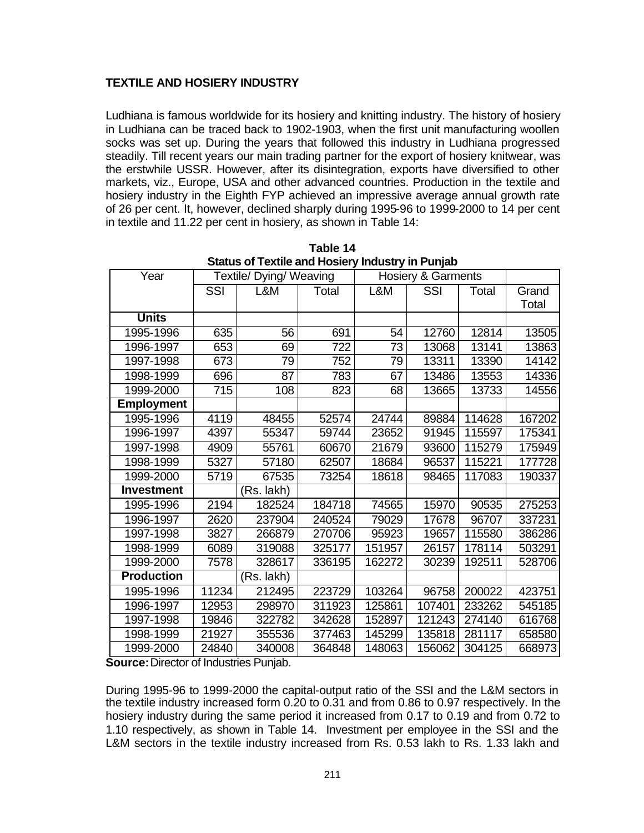# **TEXTILE AND HOSIERY INDUSTRY**

Ludhiana is famous worldwide for its hosiery and knitting industry. The history of hosiery in Ludhiana can be traced back to 1902-1903, when the first unit manufacturing woollen socks was set up. During the years that followed this industry in Ludhiana progressed steadily. Till recent years our main trading partner for the export of hosiery knitwear, was the erstwhile USSR. However, after its disintegration, exports have diversified to other markets, viz., Europe, USA and other advanced countries. Production in the textile and hosiery industry in the Eighth FYP achieved an impressive average annual growth rate of 26 per cent. It, however, declined sharply during 1995-96 to 1999-2000 to 14 per cent in textile and 11.22 per cent in hosiery, as shown in Table 14:

| Year              |                  | Textile/ Dying/ Weaving |        |        | Hosiery & Garments |        |        |
|-------------------|------------------|-------------------------|--------|--------|--------------------|--------|--------|
|                   | SSI              | L&M                     | Total  | L&M    | SSI                | Total  | Grand  |
|                   |                  |                         |        |        |                    |        | Total  |
| <b>Units</b>      |                  |                         |        |        |                    |        |        |
| 1995-1996         | 635              | 56                      | 691    | 54     | 12760              | 12814  | 13505  |
| 1996-1997         | 653              | 69                      | 722    | 73     | 13068              | 13141  | 13863  |
| 1997-1998         | 673              | $\overline{79}$         | 752    | 79     | 13311              | 13390  | 14142  |
| 1998-1999         | 696              | 87                      | 783    | 67     | 13486              | 13553  | 14336  |
| 1999-2000         | $\overline{715}$ | 108                     | 823    | 68     | 13665              | 13733  | 14556  |
| <b>Employment</b> |                  |                         |        |        |                    |        |        |
| 1995-1996         | 4119             | 48455                   | 52574  | 24744  | 89884              | 114628 | 167202 |
| 1996-1997         | 4397             | 55347                   | 59744  | 23652  | 91945              | 115597 | 175341 |
| 1997-1998         | 4909             | 55761                   | 60670  | 21679  | 93600              | 115279 | 175949 |
| 1998-1999         | 5327             | 57180                   | 62507  | 18684  | 96537              | 115221 | 177728 |
| 1999-2000         | 5719             | 67535                   | 73254  | 18618  | 98465              | 117083 | 190337 |
| <b>Investment</b> |                  | (Rs. lakh)              |        |        |                    |        |        |
| 1995-1996         | 2194             | 182524                  | 184718 | 74565  | 15970              | 90535  | 275253 |
| 1996-1997         | 2620             | 237904                  | 240524 | 79029  | 17678              | 96707  | 337231 |
| 1997-1998         | 3827             | 266879                  | 270706 | 95923  | 19657              | 115580 | 386286 |
| 1998-1999         | 6089             | 319088                  | 325177 | 151957 | 26157              | 178114 | 503291 |
| 1999-2000         | 7578             | 328617                  | 336195 | 162272 | 30239              | 192511 | 528706 |
| <b>Production</b> |                  | (Rs. lakh)              |        |        |                    |        |        |
| 1995-1996         | 11234            | 212495                  | 223729 | 103264 | 96758              | 200022 | 423751 |
| 1996-1997         | 12953            | 298970                  | 311923 | 125861 | 107401             | 233262 | 545185 |
| 1997-1998         | 19846            | 322782                  | 342628 | 152897 | 121243             | 274140 | 616768 |
| 1998-1999         | 21927            | 355536                  | 377463 | 145299 | 135818             | 281117 | 658580 |
| 1999-2000         | 24840            | 340008                  | 364848 | 148063 | 156062             | 304125 | 668973 |

**Table 14 Status of Textile and Hosiery Industry in Punjab**

**Source:** Director of Industries Punjab.

During 1995-96 to 1999-2000 the capital-output ratio of the SSI and the L&M sectors in the textile industry increased form 0.20 to 0.31 and from 0.86 to 0.97 respectively. In the hosiery industry during the same period it increased from 0.17 to 0.19 and from 0.72 to 1.10 respectively, as shown in Table 14. Investment per employee in the SSI and the L&M sectors in the textile industry increased from Rs. 0.53 lakh to Rs. 1.33 lakh and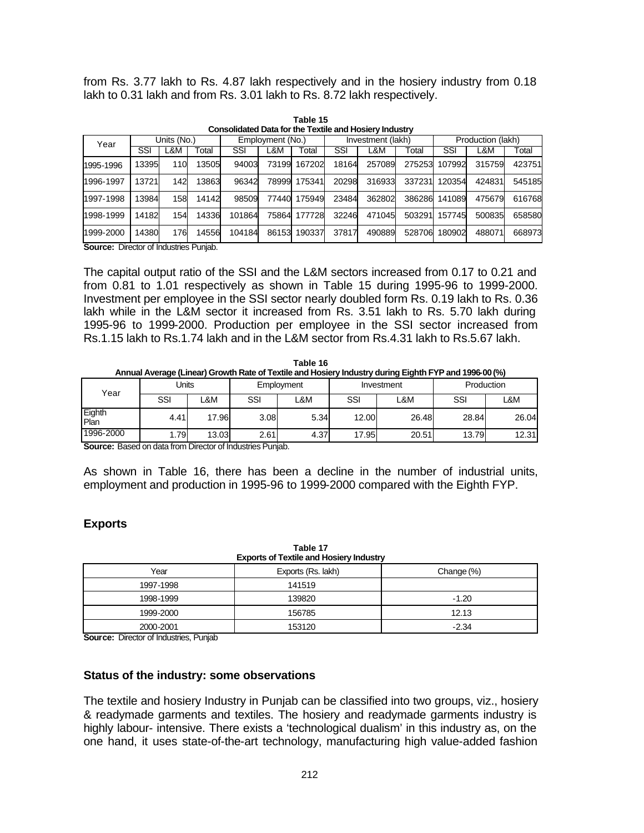from Rs. 3.77 lakh to Rs. 4.87 lakh respectively and in the hosiery industry from 0.18 lakh to 0.31 lakh and from Rs. 3.01 lakh to Rs. 8.72 lakh respectively.

|                                              |       |             |       | Consolidated Data for the Textile and Hosiery Industry |       |         |                   |        |        |                   |        |        |
|----------------------------------------------|-------|-------------|-------|--------------------------------------------------------|-------|---------|-------------------|--------|--------|-------------------|--------|--------|
| Year                                         |       | Units (No.) |       | Employment (No.)                                       |       |         | Investment (lakh) |        |        | Production (lakh) |        |        |
|                                              | SSI   | ∟&M         | Гоtal | SSI                                                    | ∟&M   | Total   | SSI               | L&M    | Total  | SSI               | L&M    | Total  |
| 1995-1996                                    | 13395 | 110         | 13505 | 94003                                                  | 73199 | 1672021 | 18164             | 257089 | 275253 | 107992            | 315759 | 423751 |
| 1996-1997                                    | 13721 | 142         | 13863 | 96342                                                  | 78999 | 175341  | 20298             | 316933 | 337231 | 120354            | 424831 | 545185 |
| 1997-1998                                    | 13984 | 158         | 14142 | 98509                                                  | 77440 | 175949  | 23484             | 362802 | 386286 | 141089            | 475679 | 616768 |
| 1998-1999                                    | 14182 | 154         | 14336 | 101864                                                 | 75864 | 177728  | 32246             | 471045 | 503291 | 157745            | 500835 | 658580 |
| 1999-2000                                    | 14380 | 176         | 14556 | 104184                                                 | 86153 | 190337  | 37817             | 490889 | 528706 | 180902            | 488071 | 668973 |
| <b>Causes:</b> Director of Industries Dunjob |       |             |       |                                                        |       |         |                   |        |        |                   |        |        |

**Table 15 Consolidated Data for the Textile and Hosiery Industry**

**Source:** Director of Industries Punjab.

The capital output ratio of the SSI and the L&M sectors increased from 0.17 to 0.21 and from 0.81 to 1.01 respectively as shown in Table 15 during 1995-96 to 1999-2000. Investment per employee in the SSI sector nearly doubled form Rs. 0.19 lakh to Rs. 0.36 lakh while in the L&M sector it increased from Rs. 3.51 lakh to Rs. 5.70 lakh during 1995-96 to 1999-2000. Production per employee in the SSI sector increased from Rs.1.15 lakh to Rs.1.74 lakh and in the L&M sector from Rs.4.31 lakh to Rs.5.67 lakh.

|                                                                                                       | Table 16 |  |  |  |  |  |  |
|-------------------------------------------------------------------------------------------------------|----------|--|--|--|--|--|--|
| Annual Average (Linear) Growth Rate of Textile and Hosiery Industry during Eighth FYP and 1996-00 (%) |          |  |  |  |  |  |  |
|                                                                                                       |          |  |  |  |  |  |  |

|                | . .   |       |      |                |       | --         |            |       |  |
|----------------|-------|-------|------|----------------|-------|------------|------------|-------|--|
| Year           | Units |       |      | Employment     |       | Investment | Production |       |  |
|                | SSI   | .&M   | SSI  | <b>_&amp;M</b> | SSI   | L&M        | SSI        | L&M   |  |
| Eighth<br>Plan | 4.41  | 17.96 | 3.08 | 5.34           | 12.00 | 26.48      | 28.84      | 26.04 |  |
| 1996-2000      | .791  | 13.03 | 2.61 | 4.37           | 17.95 | 20.51      | 13.79      | 12.31 |  |

**Source:** Based on data from Director of Industries Punjab.

As shown in Table 16, there has been a decline in the number of industrial units, employment and production in 1995-96 to 1999-2000 compared with the Eighth FYP.

# **Exports**

| Table 17<br><b>Exports of Textile and Hosiery Industry</b> |                    |            |  |  |  |  |  |  |
|------------------------------------------------------------|--------------------|------------|--|--|--|--|--|--|
| Year                                                       | Exports (Rs. lakh) | Change (%) |  |  |  |  |  |  |
| 1997-1998                                                  | 141519             |            |  |  |  |  |  |  |
| 1998-1999                                                  | 139820             | $-1.20$    |  |  |  |  |  |  |
| 1999-2000                                                  | 156785             | 12.13      |  |  |  |  |  |  |
| 2000-2001                                                  | 153120             | $-2.34$    |  |  |  |  |  |  |

**Table 17** 

**Source:** Director of Industries, Punjab

**Status of the industry: some observations**

The textile and hosiery Industry in Punjab can be classified into two groups, viz., hosiery & readymade garments and textiles. The hosiery and readymade garments industry is highly labour- intensive. There exists a 'technological dualism' in this industry as, on the one hand, it uses state-of-the-art technology, manufacturing high value-added fashion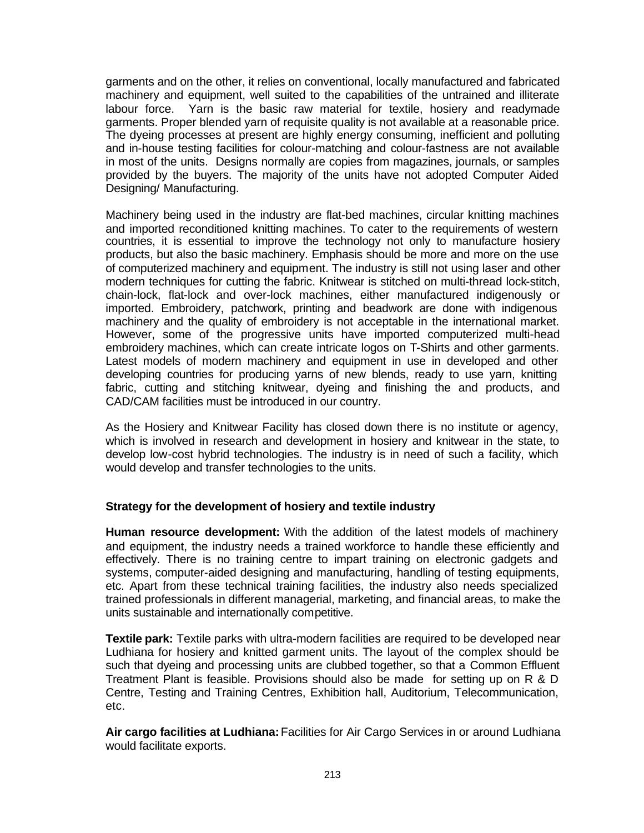garments and on the other, it relies on conventional, locally manufactured and fabricated machinery and equipment, well suited to the capabilities of the untrained and illiterate labour force. Yarn is the basic raw material for textile, hosiery and readymade garments. Proper blended yarn of requisite quality is not available at a reasonable price. The dyeing processes at present are highly energy consuming, inefficient and polluting and in-house testing facilities for colour-matching and colour-fastness are not available in most of the units. Designs normally are copies from magazines, journals, or samples provided by the buyers. The majority of the units have not adopted Computer Aided Designing/ Manufacturing.

Machinery being used in the industry are flat-bed machines, circular knitting machines and imported reconditioned knitting machines. To cater to the requirements of western countries, it is essential to improve the technology not only to manufacture hosiery products, but also the basic machinery. Emphasis should be more and more on the use of computerized machinery and equipment. The industry is still not using laser and other modern techniques for cutting the fabric. Knitwear is stitched on multi-thread lock-stitch, chain-lock, flat-lock and over-lock machines, either manufactured indigenously or imported. Embroidery, patchwork, printing and beadwork are done with indigenous machinery and the quality of embroidery is not acceptable in the international market. However, some of the progressive units have imported computerized multi-head embroidery machines, which can create intricate logos on T-Shirts and other garments. Latest models of modern machinery and equipment in use in developed and other developing countries for producing yarns of new blends, ready to use yarn, knitting fabric, cutting and stitching knitwear, dyeing and finishing the and products, and CAD/CAM facilities must be introduced in our country.

As the Hosiery and Knitwear Facility has closed down there is no institute or agency, which is involved in research and development in hosiery and knitwear in the state, to develop low-cost hybrid technologies. The industry is in need of such a facility, which would develop and transfer technologies to the units.

# **Strategy for the development of hosiery and textile industry**

**Human resource development:** With the addition of the latest models of machinery and equipment, the industry needs a trained workforce to handle these efficiently and effectively. There is no training centre to impart training on electronic gadgets and systems, computer-aided designing and manufacturing, handling of testing equipments, etc. Apart from these technical training facilities, the industry also needs specialized trained professionals in different managerial, marketing, and financial areas, to make the units sustainable and internationally competitive.

**Textile park:** Textile parks with ultra-modern facilities are required to be developed near Ludhiana for hosiery and knitted garment units. The layout of the complex should be such that dyeing and processing units are clubbed together, so that a Common Effluent Treatment Plant is feasible. Provisions should also be made for setting up on R & D Centre, Testing and Training Centres, Exhibition hall, Auditorium, Telecommunication, etc.

**Air cargo facilities at Ludhiana:** Facilities for Air Cargo Services in or around Ludhiana would facilitate exports.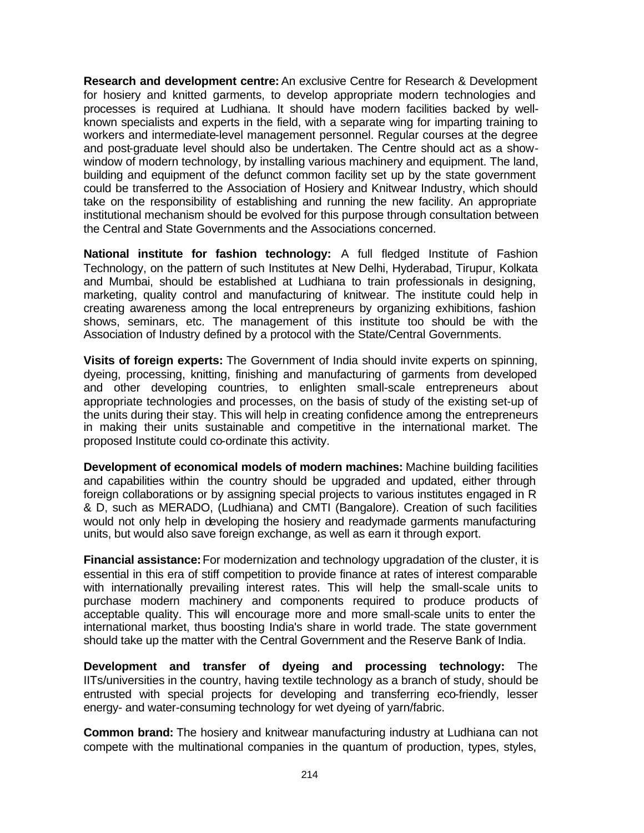**Research and development centre:** An exclusive Centre for Research & Development for hosiery and knitted garments, to develop appropriate modern technologies and processes is required at Ludhiana. It should have modern facilities backed by wellknown specialists and experts in the field, with a separate wing for imparting training to workers and intermediate-level management personnel. Regular courses at the degree and post-graduate level should also be undertaken. The Centre should act as a showwindow of modern technology, by installing various machinery and equipment. The land, building and equipment of the defunct common facility set up by the state government could be transferred to the Association of Hosiery and Knitwear Industry, which should take on the responsibility of establishing and running the new facility. An appropriate institutional mechanism should be evolved for this purpose through consultation between the Central and State Governments and the Associations concerned.

**National institute for fashion technology:** A full fledged Institute of Fashion Technology, on the pattern of such Institutes at New Delhi, Hyderabad, Tirupur, Kolkata and Mumbai, should be established at Ludhiana to train professionals in designing, marketing, quality control and manufacturing of knitwear. The institute could help in creating awareness among the local entrepreneurs by organizing exhibitions, fashion shows, seminars, etc. The management of this institute too should be with the Association of Industry defined by a protocol with the State/Central Governments.

**Visits of foreign experts:** The Government of India should invite experts on spinning, dyeing, processing, knitting, finishing and manufacturing of garments from developed and other developing countries, to enlighten small-scale entrepreneurs about appropriate technologies and processes, on the basis of study of the existing set-up of the units during their stay. This will help in creating confidence among the entrepreneurs in making their units sustainable and competitive in the international market. The proposed Institute could co-ordinate this activity.

**Development of economical models of modern machines:** Machine building facilities and capabilities within the country should be upgraded and updated, either through foreign collaborations or by assigning special projects to various institutes engaged in R & D, such as MERADO, (Ludhiana) and CMTI (Bangalore). Creation of such facilities would not only help in developing the hosiery and readymade garments manufacturing units, but would also save foreign exchange, as well as earn it through export.

**Financial assistance:** For modernization and technology upgradation of the cluster, it is essential in this era of stiff competition to provide finance at rates of interest comparable with internationally prevailing interest rates. This will help the small-scale units to purchase modern machinery and components required to produce products of acceptable quality. This will encourage more and more small-scale units to enter the international market, thus boosting India's share in world trade. The state government should take up the matter with the Central Government and the Reserve Bank of India.

**Development and transfer of dyeing and processing technology:** The IITs/universities in the country, having textile technology as a branch of study, should be entrusted with special projects for developing and transferring eco-friendly, lesser energy- and water-consuming technology for wet dyeing of yarn/fabric.

**Common brand:** The hosiery and knitwear manufacturing industry at Ludhiana can not compete with the multinational companies in the quantum of production, types, styles,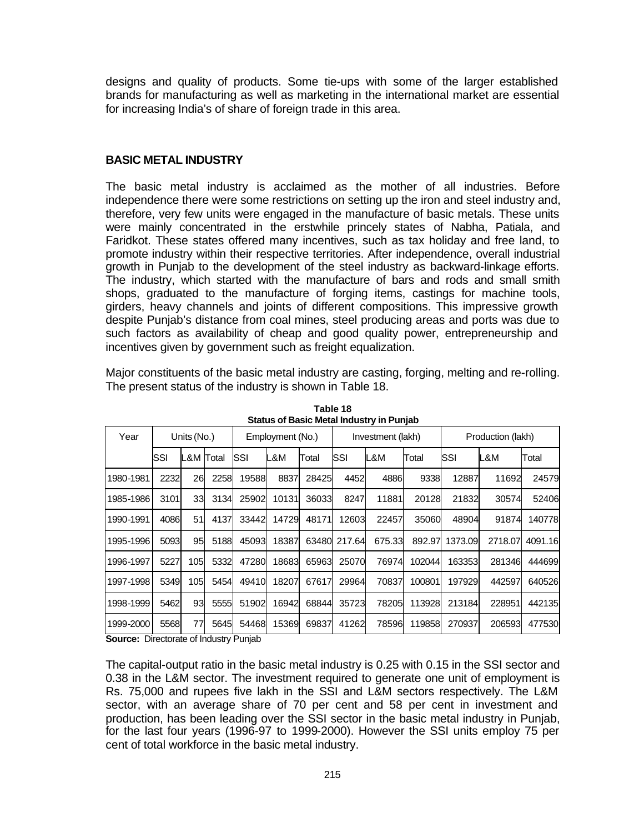designs and quality of products. Some tie-ups with some of the larger established brands for manufacturing as well as marketing in the international market are essential for increasing India's of share of foreign trade in this area.

## **BASIC METAL INDUSTRY**

The basic metal industry is acclaimed as the mother of all industries. Before independence there were some restrictions on setting up the iron and steel industry and, therefore, very few units were engaged in the manufacture of basic metals. These units were mainly concentrated in the erstwhile princely states of Nabha, Patiala, and Faridkot. These states offered many incentives, such as tax holiday and free land, to promote industry within their respective territories. After independence, overall industrial growth in Punjab to the development of the steel industry as backward-linkage efforts. The industry, which started with the manufacture of bars and rods and small smith shops, graduated to the manufacture of forging items, castings for machine tools, girders, heavy channels and joints of different compositions. This impressive growth despite Punjab's distance from coal mines, steel producing areas and ports was due to such factors as availability of cheap and good quality power, entrepreneurship and incentives given by government such as freight equalization.

Major constituents of the basic metal industry are casting, forging, melting and re-rolling. The present status of the industry is shown in Table 18.

| Year      |                                                  | Units (No.) |      |       | Employment (No.) |       | Investment (lakh) |        |        | Production (lakh) |         |         |
|-----------|--------------------------------------------------|-------------|------|-------|------------------|-------|-------------------|--------|--------|-------------------|---------|---------|
|           | lSSI                                             | IL&M Total  |      | SSI   | L&M              | Total | <b>SSI</b>        | L&M    | Total  | SSI               | L&M     | Total   |
| 1980-1981 | 2232                                             | 26          | 2258 | 19588 | 8837             | 28425 | 4452              | 4886   | 9338   | 12887             | 11692   | 24579   |
| 1985-1986 | 3101                                             | 33          | 3134 | 25902 | 10131            | 36033 | 8247              | 11881  | 20128  | 21832             | 30574   | 52406   |
| 1990-1991 | 4086                                             | 51          | 4137 | 33442 | 14729            | 48171 | 12603             | 22457  | 35060  | 48904             | 91874   | 140778  |
| 1995-1996 | 5093                                             | 95          | 5188 | 45093 | 18387            | 63480 | 217.64            | 675.33 | 892.97 | 1373.09           | 2718.07 | 4091.16 |
| 1996-1997 | 5227                                             | 105         | 5332 | 47280 | 18683            | 65963 | 25070             | 76974  | 102044 | 163353            | 281346  | 444699  |
| 1997-1998 | 5349                                             | 105I        | 5454 | 49410 | 18207            | 67617 | 29964             | 70837  | 100801 | 197929            | 442597  | 640526  |
| 1998-1999 | 5462                                             | 93          | 5555 | 51902 | 16942            | 68844 | 35723             | 78205  | 113928 | 213184            | 228951  | 442135  |
| 1999-2000 | 5568<br>Disa atasata ta filia di iatin'i Disabab | 77          | 5645 | 54468 | 15369            | 69837 | 41262             | 78596  | 119858 | 270937            | 206593  | 477530  |

**Table 18 Status of Basic Metal Industry in Punjab**

**Source:** Directorate of Industry Punjab

The capital-output ratio in the basic metal industry is 0.25 with 0.15 in the SSI sector and 0.38 in the L&M sector. The investment required to generate one unit of employment is Rs. 75,000 and rupees five lakh in the SSI and L&M sectors respectively. The L&M sector, with an average share of 70 per cent and 58 per cent in investment and production, has been leading over the SSI sector in the basic metal industry in Punjab, for the last four years (1996-97 to 1999-2000). However the SSI units employ 75 per cent of total workforce in the basic metal industry.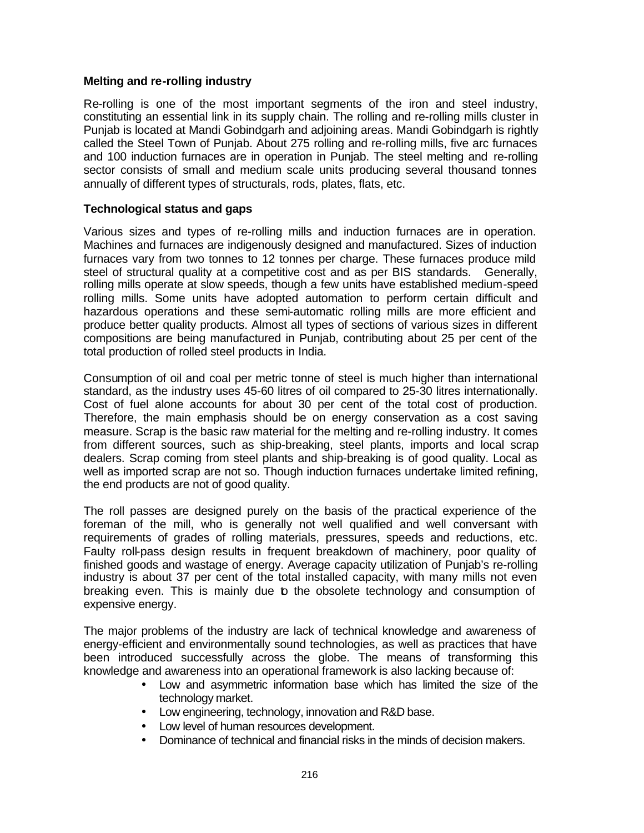## **Melting and re-rolling industry**

Re-rolling is one of the most important segments of the iron and steel industry, constituting an essential link in its supply chain. The rolling and re-rolling mills cluster in Punjab is located at Mandi Gobindgarh and adjoining areas. Mandi Gobindgarh is rightly called the Steel Town of Punjab. About 275 rolling and re-rolling mills, five arc furnaces and 100 induction furnaces are in operation in Punjab. The steel melting and re-rolling sector consists of small and medium scale units producing several thousand tonnes annually of different types of structurals, rods, plates, flats, etc.

## **Technological status and gaps**

Various sizes and types of re-rolling mills and induction furnaces are in operation. Machines and furnaces are indigenously designed and manufactured. Sizes of induction furnaces vary from two tonnes to 12 tonnes per charge. These furnaces produce mild steel of structural quality at a competitive cost and as per BIS standards. Generally, rolling mills operate at slow speeds, though a few units have established medium-speed rolling mills. Some units have adopted automation to perform certain difficult and hazardous operations and these semi-automatic rolling mills are more efficient and produce better quality products. Almost all types of sections of various sizes in different compositions are being manufactured in Punjab, contributing about 25 per cent of the total production of rolled steel products in India.

Consumption of oil and coal per metric tonne of steel is much higher than international standard, as the industry uses 45-60 litres of oil compared to 25-30 litres internationally. Cost of fuel alone accounts for about 30 per cent of the total cost of production. Therefore, the main emphasis should be on energy conservation as a cost saving measure. Scrap is the basic raw material for the melting and re-rolling industry. It comes from different sources, such as ship-breaking, steel plants, imports and local scrap dealers. Scrap coming from steel plants and ship-breaking is of good quality. Local as well as imported scrap are not so. Though induction furnaces undertake limited refining, the end products are not of good quality.

The roll passes are designed purely on the basis of the practical experience of the foreman of the mill, who is generally not well qualified and well conversant with requirements of grades of rolling materials, pressures, speeds and reductions, etc. Faulty roll-pass design results in frequent breakdown of machinery, poor quality of finished goods and wastage of energy. Average capacity utilization of Punjab's re-rolling industry is about 37 per cent of the total installed capacity, with many mills not even breaking even. This is mainly due to the obsolete technology and consumption of expensive energy.

The major problems of the industry are lack of technical knowledge and awareness of energy-efficient and environmentally sound technologies, as well as practices that have been introduced successfully across the globe. The means of transforming this knowledge and awareness into an operational framework is also lacking because of:

- Low and asymmetric information base which has limited the size of the technology market.
- Low engineering, technology, innovation and R&D base.
- Low level of human resources development.
- Dominance of technical and financial risks in the minds of decision makers.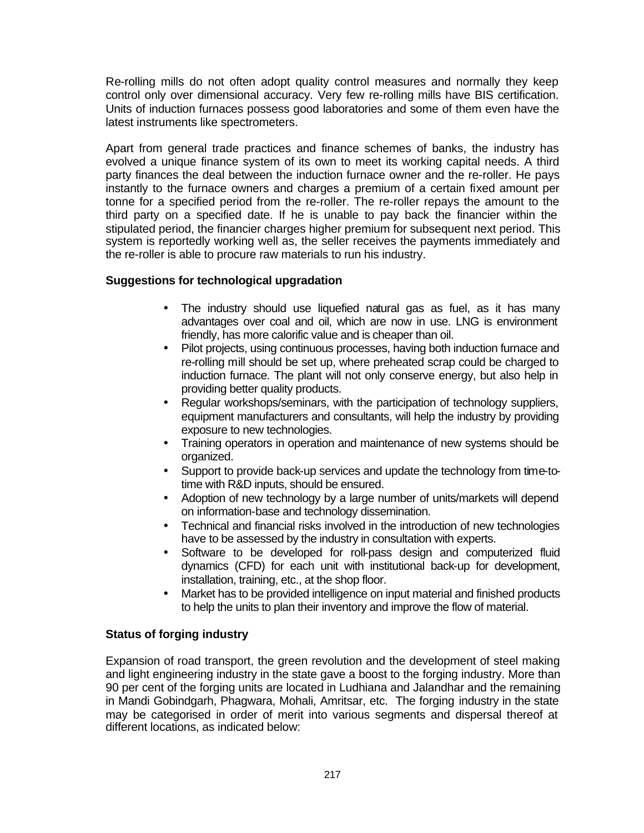Re-rolling mills do not often adopt quality control measures and normally they keep control only over dimensional accuracy. Very few re-rolling mills have BIS certification. Units of induction furnaces possess good laboratories and some of them even have the latest instruments like spectrometers.

Apart from general trade practices and finance schemes of banks, the industry has evolved a unique finance system of its own to meet its working capital needs. A third party finances the deal between the induction furnace owner and the re-roller. He pays instantly to the furnace owners and charges a premium of a certain fixed amount per tonne for a specified period from the re-roller. The re-roller repays the amount to the third party on a specified date. If he is unable to pay back the financier within the stipulated period, the financier charges higher premium for subsequent next period. This system is reportedly working well as, the seller receives the payments immediately and the re-roller is able to procure raw materials to run his industry.

# **Suggestions for technological upgradation**

- The industry should use liquefied natural gas as fuel, as it has many advantages over coal and oil, which are now in use. LNG is environment friendly, has more calorific value and is cheaper than oil.
- Pilot projects, using continuous processes, having both induction furnace and re-rolling mill should be set up, where preheated scrap could be charged to induction furnace. The plant will not only conserve energy, but also help in providing better quality products.
- Regular workshops/seminars, with the participation of technology suppliers, equipment manufacturers and consultants, will help the industry by providing exposure to new technologies.
- Training operators in operation and maintenance of new systems should be organized.
- Support to provide back-up services and update the technology from time-totime with R&D inputs, should be ensured.
- Adoption of new technology by a large number of units/markets will depend on information-base and technology dissemination.
- Technical and financial risks involved in the introduction of new technologies have to be assessed by the industry in consultation with experts.
- Software to be developed for roll-pass design and computerized fluid dynamics (CFD) for each unit with institutional back-up for development, installation, training, etc., at the shop floor.
- Market has to be provided intelligence on input material and finished products to help the units to plan their inventory and improve the flow of material.

# **Status of forging industry**

Expansion of road transport, the green revolution and the development of steel making and light engineering industry in the state gave a boost to the forging industry. More than 90 per cent of the forging units are located in Ludhiana and Jalandhar and the remaining in Mandi Gobindgarh, Phagwara, Mohali, Amritsar, etc. The forging industry in the state may be categorised in order of merit into various segments and dispersal thereof at different locations, as indicated below: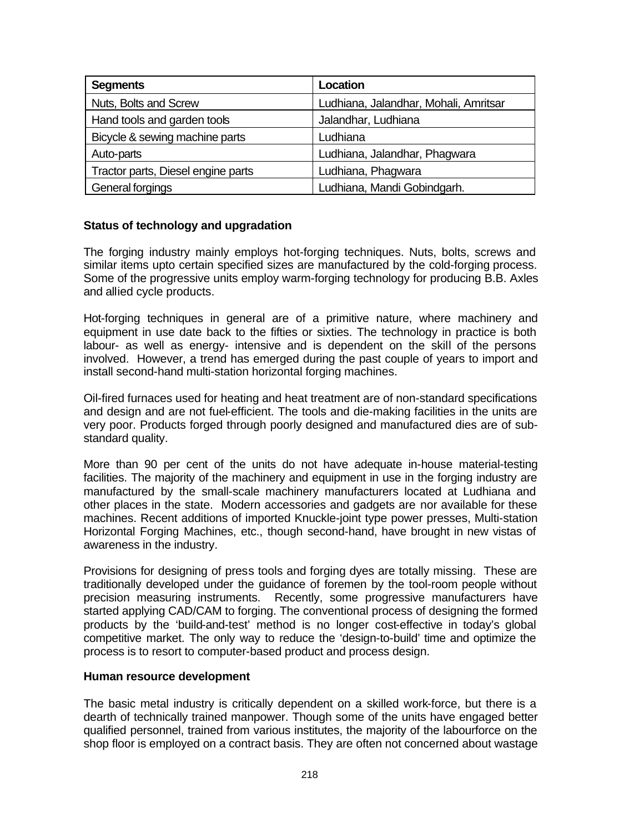| <b>Segments</b>                    | Location                              |
|------------------------------------|---------------------------------------|
| Nuts, Bolts and Screw              | Ludhiana, Jalandhar, Mohali, Amritsar |
| Hand tools and garden tools        | Jalandhar, Ludhiana                   |
| Bicycle & sewing machine parts     | Ludhiana                              |
| Auto-parts                         | Ludhiana, Jalandhar, Phagwara         |
| Tractor parts, Diesel engine parts | Ludhiana, Phagwara                    |
| General forgings                   | Ludhiana, Mandi Gobindgarh.           |

# **Status of technology and upgradation**

The forging industry mainly employs hot-forging techniques. Nuts, bolts, screws and similar items upto certain specified sizes are manufactured by the cold-forging process. Some of the progressive units employ warm-forging technology for producing B.B. Axles and allied cycle products.

Hot-forging techniques in general are of a primitive nature, where machinery and equipment in use date back to the fifties or sixties. The technology in practice is both labour- as well as energy- intensive and is dependent on the skill of the persons involved. However, a trend has emerged during the past couple of years to import and install second-hand multi-station horizontal forging machines.

Oil-fired furnaces used for heating and heat treatment are of non-standard specifications and design and are not fuel-efficient. The tools and die-making facilities in the units are very poor. Products forged through poorly designed and manufactured dies are of substandard quality.

More than 90 per cent of the units do not have adequate in-house material-testing facilities. The majority of the machinery and equipment in use in the forging industry are manufactured by the small-scale machinery manufacturers located at Ludhiana and other places in the state. Modern accessories and gadgets are nor available for these machines. Recent additions of imported Knuckle-joint type power presses, Multi-station Horizontal Forging Machines, etc., though second-hand, have brought in new vistas of awareness in the industry.

Provisions for designing of press tools and forging dyes are totally missing. These are traditionally developed under the guidance of foremen by the tool-room people without precision measuring instruments. Recently, some progressive manufacturers have started applying CAD/CAM to forging. The conventional process of designing the formed products by the 'build-and-test' method is no longer cost-effective in today's global competitive market. The only way to reduce the 'design-to-build' time and optimize the process is to resort to computer-based product and process design.

#### **Human resource development**

The basic metal industry is critically dependent on a skilled work-force, but there is a dearth of technically trained manpower. Though some of the units have engaged better qualified personnel, trained from various institutes, the majority of the labourforce on the shop floor is employed on a contract basis. They are often not concerned about wastage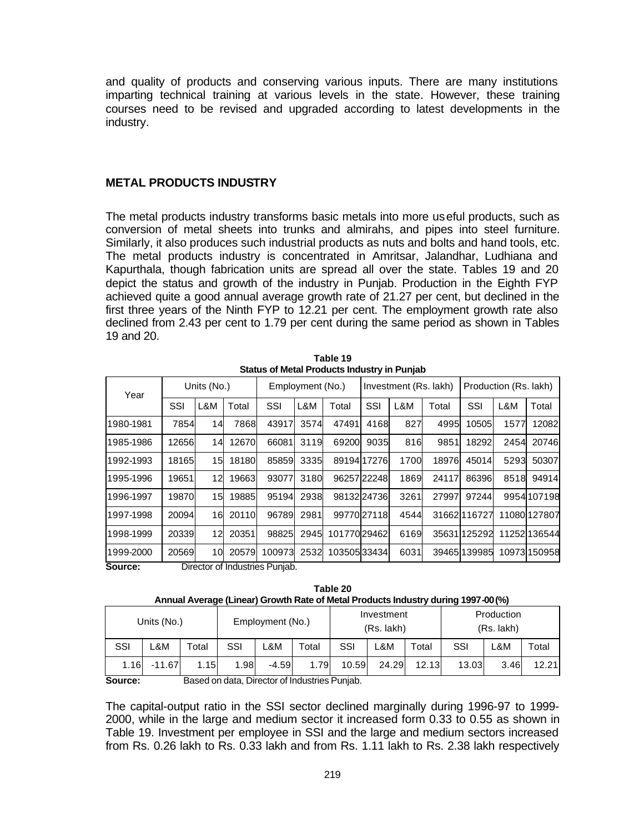and quality of products and conserving various inputs. There are many institutions imparting technical training at various levels in the state. However, these training courses need to be revised and upgraded according to latest developments in the industry.

#### **METAL PRODUCTS INDUSTRY**

The metal products industry transforms basic metals into more useful products, such as conversion of metal sheets into trunks and almirahs, and pipes into steel furniture. Similarly, it also produces such industrial products as nuts and bolts and hand tools, etc. The metal products industry is concentrated in Amritsar, Jalandhar, Ludhiana and Kapurthala, though fabrication units are spread all over the state. Tables 19 and 20 depict the status and growth of the industry in Punjab. Production in the Eighth FYP achieved quite a good annual average growth rate of 21.27 per cent, but declined in the first three years of the Ninth FYP to 12.21 per cent. The employment growth rate also declined from 2.43 per cent to 1.79 per cent during the same period as shown in Tables 19 and 20.

**Table 19 Status of Metal Products Industry in Punjab**

| Year                |       | Units (No.) |              |        | Employment (No.) |              |             | Investment (Rs. lakh) |       | Production (Rs. lakh) |      |              |
|---------------------|-------|-------------|--------------|--------|------------------|--------------|-------------|-----------------------|-------|-----------------------|------|--------------|
|                     | SSI   | L&M         | Total        | SSI    | L&M              | Total        | SSI         | L&M                   | Total | SSI                   | L&M  | Total        |
| 1980-1981           | 7854  | 14          | 7868         | 43917  | 3574             | 47491        | 4168        | 827                   | 4995  | 10505                 | 1577 | 12082        |
| 1985-1986           | 12656 | 14          | 12670        | 66081  | 3119             | 69200        | 9035        | 816                   | 9851  | 18292                 | 2454 | 20746        |
| 1992-1993           | 18165 | 15          | 18180        | 85859  | 3335             |              | 89194 17276 | 1700                  | 18976 | 45014                 | 5293 | 50307        |
| 1995-1996           | 19651 | 12          | 19663        | 93077  | 3180             |              | 96257 22248 | 1869                  | 24117 | 86396                 | 8518 | 94914        |
| 1996-1997           | 19870 | 15          | 19885        | 95194  | 2938             |              | 98132 24736 | 3261                  | 27997 | 97244                 |      | 9954107198   |
| 1997-1998           | 20094 | 16          | <b>20110</b> | 96789  | 2981             |              | 99770 27118 | 4544                  |       | 316621116727          |      | 11080 127807 |
| 1998-1999           | 20339 | 12          | 20351        | 98825  | 2945             | 101770 29462 |             | 6169                  |       | 35631125292           |      | 11252 136544 |
| 1999-2000<br>$\sim$ | 20569 | 10          | 20579        | 100973 | 2532             | 103505 33434 |             | 6031                  |       | 39465 139985          |      | 10973 150958 |

**Source:** Director of Industries Punjab.

**Table 20 Annual Average (Linear) Growth Rate of Metal Products Industry during 1997-00 (%)**

|                                                                                         |       | Production<br>(Rs. lakh) | Investment<br>(Rs. lakh) |  |  | Employment (No.) |  |  |  |  |  | Units (No.) |  |
|-----------------------------------------------------------------------------------------|-------|--------------------------|--------------------------|--|--|------------------|--|--|--|--|--|-------------|--|
| SSI<br>SSI<br>SSI<br>SSI<br>∟&M<br>_&M<br>-&M<br>$\tau$ otal<br>Total<br>Total          | Total | ∟&M                      |                          |  |  |                  |  |  |  |  |  |             |  |
| 1.16<br>$-4.59$<br>1.79<br>10.59<br>$-11.67$<br>1.15<br>1.98<br>24.29<br>12.13<br>13.03 | 12.21 | 3.46                     |                          |  |  |                  |  |  |  |  |  |             |  |

**Source:** Based on data, Director of Industries Punjab.

The capital-output ratio in the SSI sector declined marginally during 1996-97 to 1999- 2000, while in the large and medium sector it increased form 0.33 to 0.55 as shown in Table 19. Investment per employee in SSI and the large and medium sectors increased from Rs. 0.26 lakh to Rs. 0.33 lakh and from Rs. 1.11 lakh to Rs. 2.38 lakh respectively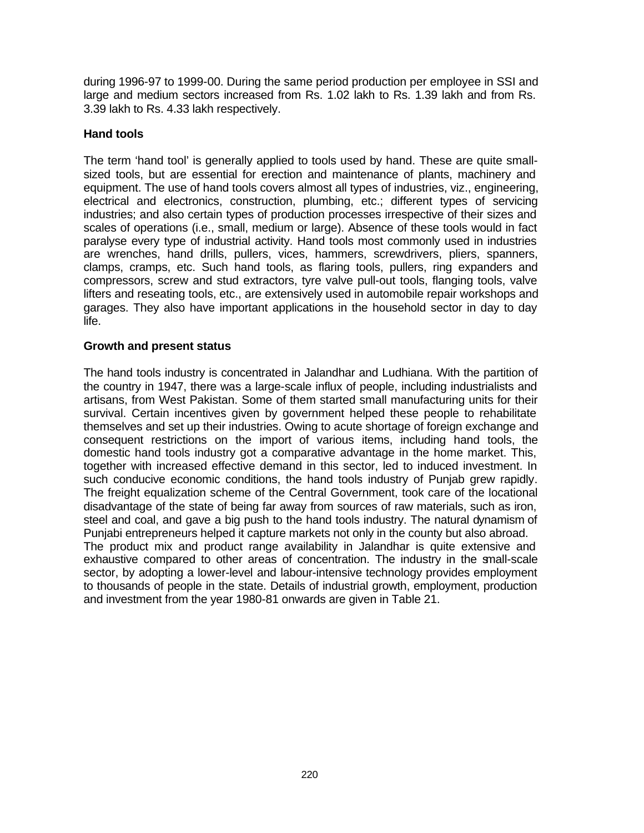during 1996-97 to 1999-00. During the same period production per employee in SSI and large and medium sectors increased from Rs. 1.02 lakh to Rs. 1.39 lakh and from Rs. 3.39 lakh to Rs. 4.33 lakh respectively.

# **Hand tools**

The term 'hand tool' is generally applied to tools used by hand. These are quite smallsized tools, but are essential for erection and maintenance of plants, machinery and equipment. The use of hand tools covers almost all types of industries, viz., engineering, electrical and electronics, construction, plumbing, etc.; different types of servicing industries; and also certain types of production processes irrespective of their sizes and scales of operations (i.e., small, medium or large). Absence of these tools would in fact paralyse every type of industrial activity. Hand tools most commonly used in industries are wrenches, hand drills, pullers, vices, hammers, screwdrivers, pliers, spanners, clamps, cramps, etc. Such hand tools, as flaring tools, pullers, ring expanders and compressors, screw and stud extractors, tyre valve pull-out tools, flanging tools, valve lifters and reseating tools, etc., are extensively used in automobile repair workshops and garages. They also have important applications in the household sector in day to day life.

# **Growth and present status**

The hand tools industry is concentrated in Jalandhar and Ludhiana. With the partition of the country in 1947, there was a large-scale influx of people, including industrialists and artisans, from West Pakistan. Some of them started small manufacturing units for their survival. Certain incentives given by government helped these people to rehabilitate themselves and set up their industries. Owing to acute shortage of foreign exchange and consequent restrictions on the import of various items, including hand tools, the domestic hand tools industry got a comparative advantage in the home market. This, together with increased effective demand in this sector, led to induced investment. In such conducive economic conditions, the hand tools industry of Punjab grew rapidly. The freight equalization scheme of the Central Government, took care of the locational disadvantage of the state of being far away from sources of raw materials, such as iron, steel and coal, and gave a big push to the hand tools industry. The natural dynamism of Punjabi entrepreneurs helped it capture markets not only in the county but also abroad. The product mix and product range availability in Jalandhar is quite extensive and exhaustive compared to other areas of concentration. The industry in the small-scale sector, by adopting a lower-level and labour-intensive technology provides employment to thousands of people in the state. Details of industrial growth, employment, production and investment from the year 1980-81 onwards are given in Table 21.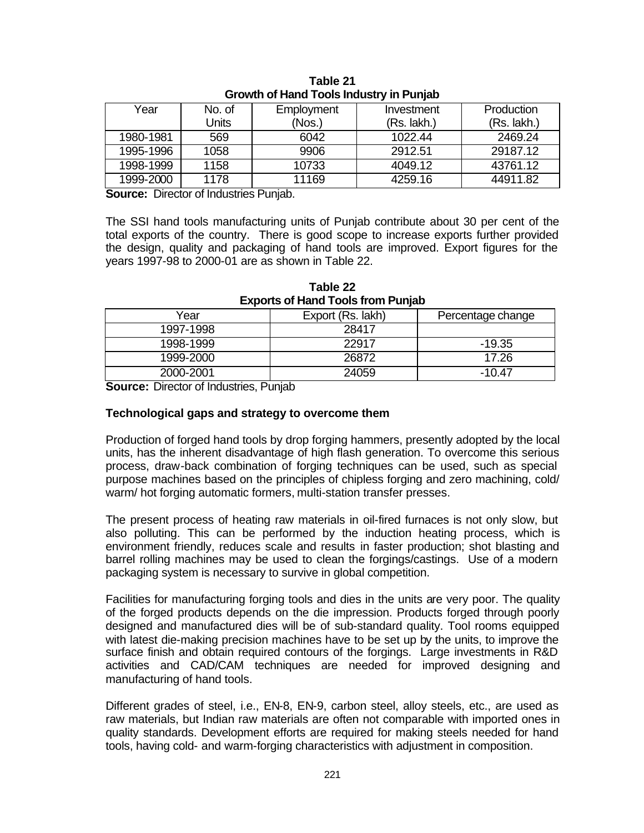| Year      | No. of | Employment | Investment  | Production  |
|-----------|--------|------------|-------------|-------------|
|           | Units  | (Nos.)     | (Rs. lakh.) | (Rs. lakh.) |
| 1980-1981 | 569    | 6042       | 1022.44     | 2469.24     |
| 1995-1996 | 1058   | 9906       | 2912.51     | 29187.12    |
| 1998-1999 | 1158   | 10733      | 4049.12     | 43761.12    |
| 1999-2000 | 1178   | 11169      | 4259.16     | 44911.82    |

**Table 21 Growth of Hand Tools Industry in Punjab**

**Source:** Director of Industries Punjab.

The SSI hand tools manufacturing units of Punjab contribute about 30 per cent of the total exports of the country. There is good scope to increase exports further provided the design, quality and packaging of hand tools are improved. Export figures for the years 1997-98 to 2000-01 are as shown in Table 22.

| EXPOITS OF HAIR TOOIS ITOIT FUITJAD |                                        |        |  |  |  |  |  |  |  |
|-------------------------------------|----------------------------------------|--------|--|--|--|--|--|--|--|
| Year                                | Export (Rs. lakh)<br>Percentage change |        |  |  |  |  |  |  |  |
| 1997-1998                           | 28417                                  |        |  |  |  |  |  |  |  |
| 1998-1999                           | 22917                                  | -19.35 |  |  |  |  |  |  |  |
| 1999-2000                           | 26872                                  | 17.26  |  |  |  |  |  |  |  |
| 2000-2001                           | 24059                                  | -10.47 |  |  |  |  |  |  |  |

**Table 22 Exports of Hand Tools from Punjab**

**Source:** Director of Industries, Punjab

#### **Technological gaps and strategy to overcome them**

Production of forged hand tools by drop forging hammers, presently adopted by the local units, has the inherent disadvantage of high flash generation. To overcome this serious process, draw-back combination of forging techniques can be used, such as special purpose machines based on the principles of chipless forging and zero machining, cold/ warm/ hot forging automatic formers, multi-station transfer presses.

The present process of heating raw materials in oil-fired furnaces is not only slow, but also polluting. This can be performed by the induction heating process, which is environment friendly, reduces scale and results in faster production; shot blasting and barrel rolling machines may be used to clean the forgings/castings. Use of a modern packaging system is necessary to survive in global competition.

Facilities for manufacturing forging tools and dies in the units are very poor. The quality of the forged products depends on the die impression. Products forged through poorly designed and manufactured dies will be of sub-standard quality. Tool rooms equipped with latest die-making precision machines have to be set up by the units, to improve the surface finish and obtain required contours of the forgings. Large investments in R&D activities and CAD/CAM techniques are needed for improved designing and manufacturing of hand tools.

Different grades of steel, i.e., EN-8, EN-9, carbon steel, alloy steels, etc., are used as raw materials, but Indian raw materials are often not comparable with imported ones in quality standards. Development efforts are required for making steels needed for hand tools, having cold- and warm-forging characteristics with adjustment in composition.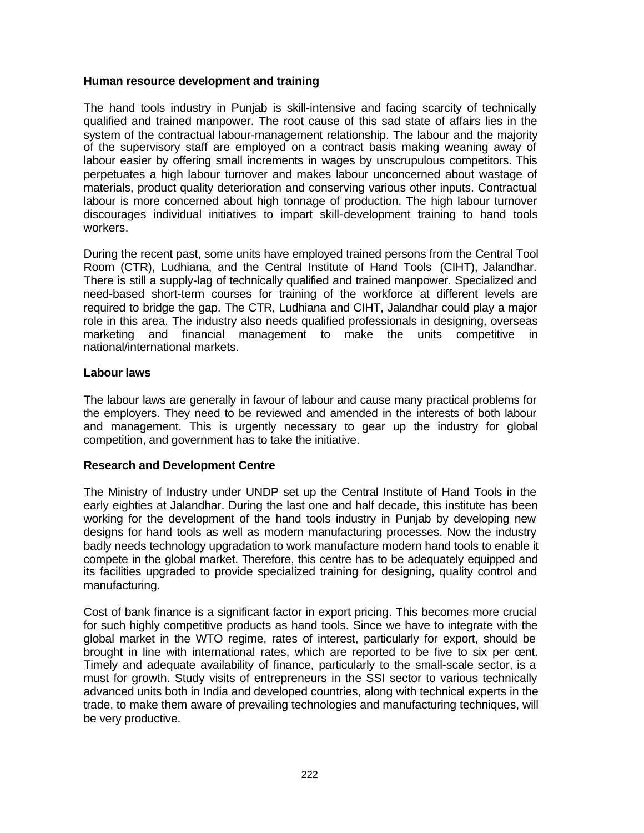# **Human resource development and training**

The hand tools industry in Punjab is skill-intensive and facing scarcity of technically qualified and trained manpower. The root cause of this sad state of affairs lies in the system of the contractual labour-management relationship. The labour and the majority of the supervisory staff are employed on a contract basis making weaning away of labour easier by offering small increments in wages by unscrupulous competitors. This perpetuates a high labour turnover and makes labour unconcerned about wastage of materials, product quality deterioration and conserving various other inputs. Contractual labour is more concerned about high tonnage of production. The high labour turnover discourages individual initiatives to impart skill-development training to hand tools workers.

During the recent past, some units have employed trained persons from the Central Tool Room (CTR), Ludhiana, and the Central Institute of Hand Tools (CIHT), Jalandhar. There is still a supply-lag of technically qualified and trained manpower. Specialized and need-based short-term courses for training of the workforce at different levels are required to bridge the gap. The CTR, Ludhiana and CIHT, Jalandhar could play a major role in this area. The industry also needs qualified professionals in designing, overseas marketing and financial management to make the units competitive in national/international markets.

# **Labour laws**

The labour laws are generally in favour of labour and cause many practical problems for the employers. They need to be reviewed and amended in the interests of both labour and management. This is urgently necessary to gear up the industry for global competition, and government has to take the initiative.

# **Research and Development Centre**

The Ministry of Industry under UNDP set up the Central Institute of Hand Tools in the early eighties at Jalandhar. During the last one and half decade, this institute has been working for the development of the hand tools industry in Punjab by developing new designs for hand tools as well as modern manufacturing processes. Now the industry badly needs technology upgradation to work manufacture modern hand tools to enable it compete in the global market. Therefore, this centre has to be adequately equipped and its facilities upgraded to provide specialized training for designing, quality control and manufacturing.

Cost of bank finance is a significant factor in export pricing. This becomes more crucial for such highly competitive products as hand tools. Since we have to integrate with the global market in the WTO regime, rates of interest, particularly for export, should be brought in line with international rates, which are reported to be five to six per cent. Timely and adequate availability of finance, particularly to the small-scale sector, is a must for growth. Study visits of entrepreneurs in the SSI sector to various technically advanced units both in India and developed countries, along with technical experts in the trade, to make them aware of prevailing technologies and manufacturing techniques, will be very productive.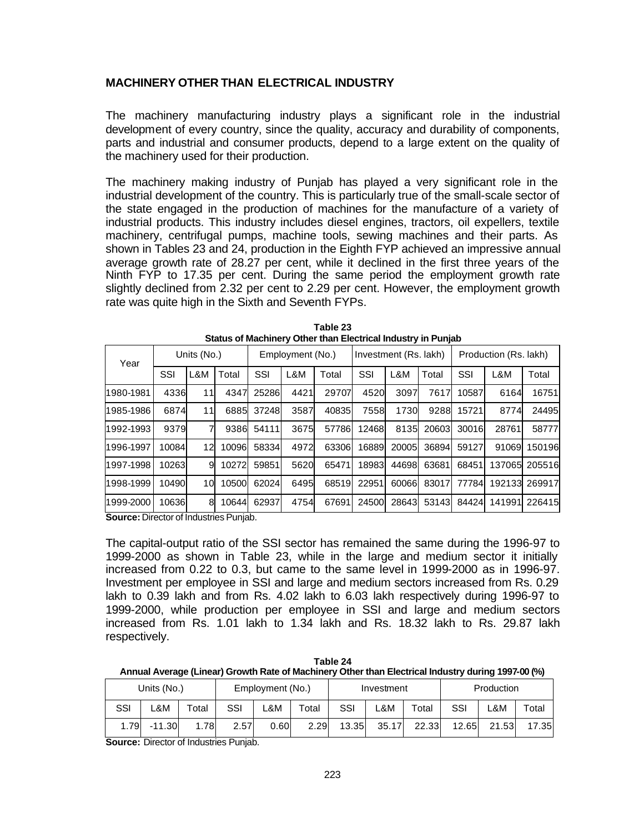## **MACHINERY OTHER THAN ELECTRICAL INDUSTRY**

The machinery manufacturing industry plays a significant role in the industrial development of every country, since the quality, accuracy and durability of components, parts and industrial and consumer products, depend to a large extent on the quality of the machinery used for their production.

The machinery making industry of Punjab has played a very significant role in the industrial development of the country. This is particularly true of the small-scale sector of the state engaged in the production of machines for the manufacture of a variety of industrial products. This industry includes diesel engines, tractors, oil expellers, textile machinery, centrifugal pumps, machine tools, sewing machines and their parts. As shown in Tables 23 and 24, production in the Eighth FYP achieved an impressive annual average growth rate of 28.27 per cent, while it declined in the first three years of the Ninth FYP to 17.35 per cent. During the same period the employment growth rate slightly declined from 2.32 per cent to 2.29 per cent. However, the employment growth rate was quite high in the Sixth and Seventh FYPs.

| Year      | Units (No.) |     |       | Employment (No.) |      |       | Investment (Rs. lakh) |       |       | Production (Rs. lakh) |        |        |
|-----------|-------------|-----|-------|------------------|------|-------|-----------------------|-------|-------|-----------------------|--------|--------|
|           | SSI         | L&M | Total | SSI              | L&M  | Total | SSI                   | L&M   | Total | SSI                   | L&M    | Total  |
| 1980-1981 | 4336        | 11  | 4347  | 25286            | 4421 | 29707 | 4520                  | 3097  | 7617  | 10587                 | 6164   | 16751  |
| 1985-1986 | 6874        | 11  | 6885  | 37248            | 3587 | 40835 | 7558                  | 1730  | 9288  | 15721                 | 8774   | 24495  |
| 1992-1993 | 9379        |     | 9386  | 54111            | 3675 | 57786 | 12468                 | 8135  | 20603 | 30016                 | 28761  | 58777  |
| 1996-1997 | 10084       | 12  | 10096 | 58334            | 4972 | 63306 | 16889                 | 20005 | 36894 | 59127                 | 91069  | 150196 |
| 1997-1998 | 10263       | 9   | 10272 | 59851            | 5620 | 65471 | 18983                 | 44698 | 63681 | 68451                 | 137065 | 205516 |
| 1998-1999 | 10490       | 10  | 10500 | 62024            | 6495 | 68519 | 22951                 | 60066 | 83017 | 77784                 | 192133 | 269917 |
| 1999-2000 | 10636       | 8   | 10644 | 62937            | 4754 | 67691 | 24500                 | 28643 | 53143 | 84424                 | 141991 | 226415 |

| Table 23                                                     |  |
|--------------------------------------------------------------|--|
| Status of Machinery Other than Electrical Industry in Punjab |  |

**Source:** Director of Industries Punjab.

The capital-output ratio of the SSI sector has remained the same during the 1996-97 to 1999-2000 as shown in Table 23, while in the large and medium sector it initially increased from 0.22 to 0.3, but came to the same level in 1999-2000 as in 1996-97. Investment per employee in SSI and large and medium sectors increased from Rs. 0.29 lakh to 0.39 lakh and from Rs. 4.02 lakh to 6.03 lakh respectively during 1996-97 to 1999-2000, while production per employee in SSI and large and medium sectors increased from Rs. 1.01 lakh to 1.34 lakh and Rs. 18.32 lakh to Rs. 29.87 lakh respectively.

| Table 24                                                                                           |
|----------------------------------------------------------------------------------------------------|
| Annual Average (Linear) Growth Rate of Machinery Other than Electrical Industry during 1997-00 (%) |

|      | Units (No.) |             | Employment (No.) |      |             | Investment |       |       | Production |       |       |
|------|-------------|-------------|------------------|------|-------------|------------|-------|-------|------------|-------|-------|
| SSI  | -&M         | $\tau$ otal | SSI              | -&M  | $\tau$ otal | SSI        | .&M   | Total | SSI        | -&M   | Total |
| 1.79 | $-11.30$    | .78         | 2.57             | 0.60 | 2.29        | 13.35      | 35.17 | 22.33 | 12.65      | 21.53 | 17.35 |

**Source:** Director of Industries Punjab.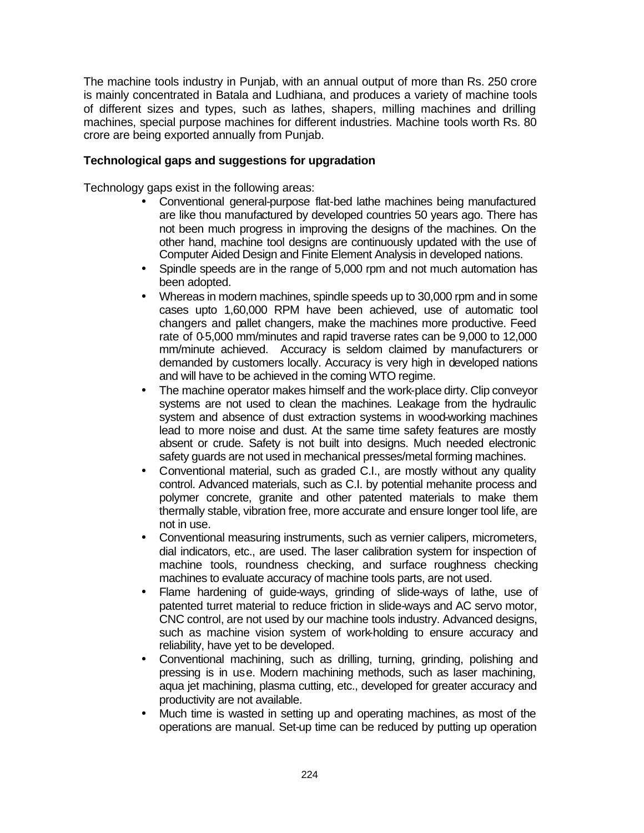The machine tools industry in Punjab, with an annual output of more than Rs. 250 crore is mainly concentrated in Batala and Ludhiana, and produces a variety of machine tools of different sizes and types, such as lathes, shapers, milling machines and drilling machines, special purpose machines for different industries. Machine tools worth Rs. 80 crore are being exported annually from Punjab.

# **Technological gaps and suggestions for upgradation**

Technology gaps exist in the following areas:

- Conventional general-purpose flat-bed lathe machines being manufactured are like thou manufactured by developed countries 50 years ago. There has not been much progress in improving the designs of the machines. On the other hand, machine tool designs are continuously updated with the use of Computer Aided Design and Finite Element Analysis in developed nations.
- Spindle speeds are in the range of 5,000 rpm and not much automation has been adopted.
- Whereas in modern machines, spindle speeds up to 30,000 rpm and in some cases upto 1,60,000 RPM have been achieved, use of automatic tool changers and pallet changers, make the machines more productive. Feed rate of 0-5,000 mm/minutes and rapid traverse rates can be 9,000 to 12,000 mm/minute achieved. Accuracy is seldom claimed by manufacturers or demanded by customers locally. Accuracy is very high in developed nations and will have to be achieved in the coming WTO regime.
- The machine operator makes himself and the work-place dirty. Clip conveyor systems are not used to clean the machines. Leakage from the hydraulic system and absence of dust extraction systems in wood-working machines lead to more noise and dust. At the same time safety features are mostly absent or crude. Safety is not built into designs. Much needed electronic safety guards are not used in mechanical presses/metal forming machines.
- Conventional material, such as graded C.I., are mostly without any quality control. Advanced materials, such as C.I. by potential mehanite process and polymer concrete, granite and other patented materials to make them thermally stable, vibration free, more accurate and ensure longer tool life, are not in use.
- Conventional measuring instruments, such as vernier calipers, micrometers, dial indicators, etc., are used. The laser calibration system for inspection of machine tools, roundness checking, and surface roughness checking machines to evaluate accuracy of machine tools parts, are not used.
- Flame hardening of guide-ways, grinding of slide-ways of lathe, use of patented turret material to reduce friction in slide-ways and AC servo motor, CNC control, are not used by our machine tools industry. Advanced designs, such as machine vision system of work-holding to ensure accuracy and reliability, have yet to be developed.
- Conventional machining, such as drilling, turning, grinding, polishing and pressing is in use. Modern machining methods, such as laser machining, aqua jet machining, plasma cutting, etc., developed for greater accuracy and productivity are not available.
- Much time is wasted in setting up and operating machines, as most of the operations are manual. Set-up time can be reduced by putting up operation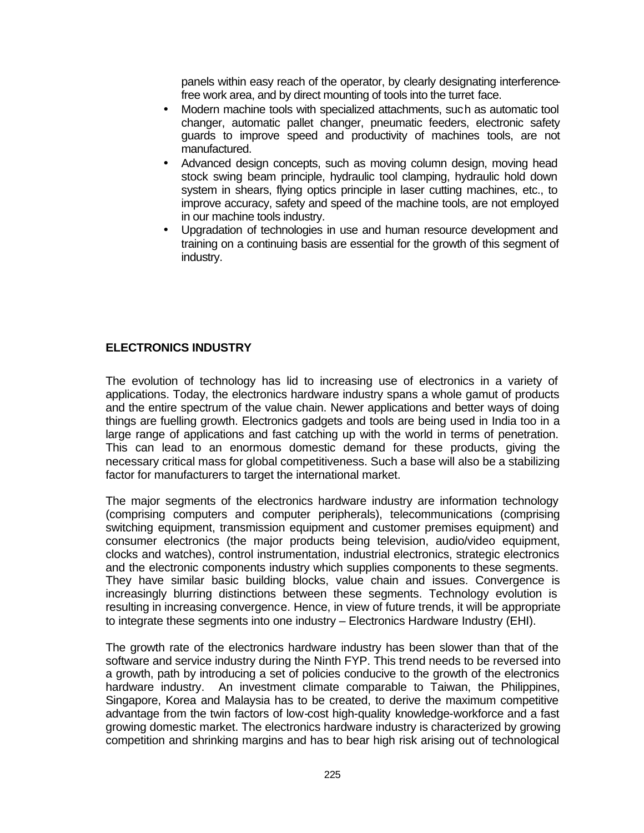panels within easy reach of the operator, by clearly designating interferencefree work area, and by direct mounting of tools into the turret face.

- Modern machine tools with specialized attachments, such as automatic tool changer, automatic pallet changer, pneumatic feeders, electronic safety guards to improve speed and productivity of machines tools, are not manufactured.
- Advanced design concepts, such as moving column design, moving head stock swing beam principle, hydraulic tool clamping, hydraulic hold down system in shears, flying optics principle in laser cutting machines, etc., to improve accuracy, safety and speed of the machine tools, are not employed in our machine tools industry.
- Upgradation of technologies in use and human resource development and training on a continuing basis are essential for the growth of this segment of industry.

# **ELECTRONICS INDUSTRY**

The evolution of technology has lid to increasing use of electronics in a variety of applications. Today, the electronics hardware industry spans a whole gamut of products and the entire spectrum of the value chain. Newer applications and better ways of doing things are fuelling growth. Electronics gadgets and tools are being used in India too in a large range of applications and fast catching up with the world in terms of penetration. This can lead to an enormous domestic demand for these products, giving the necessary critical mass for global competitiveness. Such a base will also be a stabilizing factor for manufacturers to target the international market.

The major segments of the electronics hardware industry are information technology (comprising computers and computer peripherals), telecommunications (comprising switching equipment, transmission equipment and customer premises equipment) and consumer electronics (the major products being television, audio/video equipment, clocks and watches), control instrumentation, industrial electronics, strategic electronics and the electronic components industry which supplies components to these segments. They have similar basic building blocks, value chain and issues. Convergence is increasingly blurring distinctions between these segments. Technology evolution is resulting in increasing convergence. Hence, in view of future trends, it will be appropriate to integrate these segments into one industry – Electronics Hardware Industry (EHI).

The growth rate of the electronics hardware industry has been slower than that of the software and service industry during the Ninth FYP. This trend needs to be reversed into a growth, path by introducing a set of policies conducive to the growth of the electronics hardware industry. An investment climate comparable to Taiwan, the Philippines, Singapore, Korea and Malaysia has to be created, to derive the maximum competitive advantage from the twin factors of low-cost high-quality knowledge-workforce and a fast growing domestic market. The electronics hardware industry is characterized by growing competition and shrinking margins and has to bear high risk arising out of technological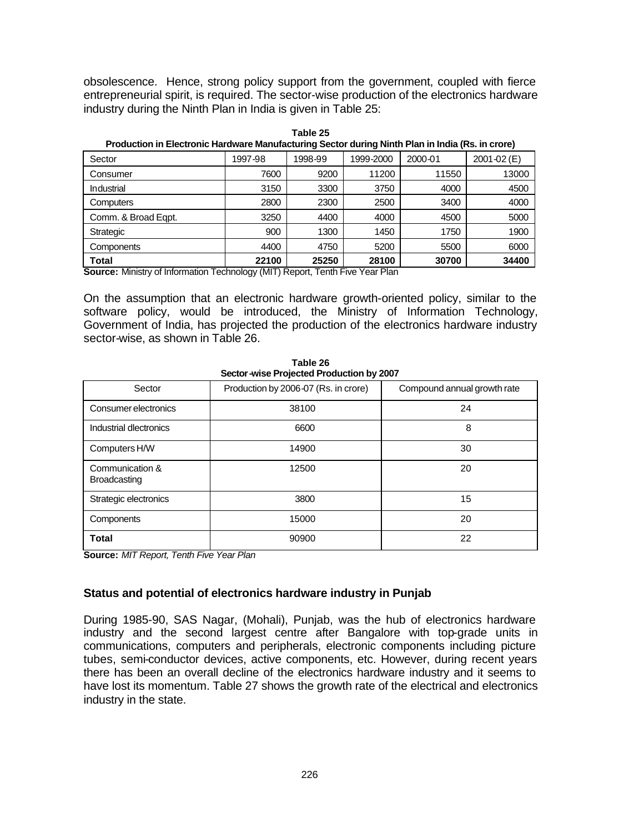obsolescence. Hence, strong policy support from the government, coupled with fierce entrepreneurial spirit, is required. The sector-wise production of the electronics hardware industry during the Ninth Plan in India is given in Table 25:

| <u>Froudonom in Eloca onlightial award manufacturing occion during runtin man in india (res. in orono)</u> |         |         |           |         |             |  |  |  |  |  |  |
|------------------------------------------------------------------------------------------------------------|---------|---------|-----------|---------|-------------|--|--|--|--|--|--|
| Sector                                                                                                     | 1997-98 | 1998-99 | 1999-2000 | 2000-01 | 2001-02 (E) |  |  |  |  |  |  |
| Consumer                                                                                                   | 7600    | 9200    | 11200     | 11550   | 13000       |  |  |  |  |  |  |
| Industrial                                                                                                 | 3150    | 3300    | 3750      | 4000    | 4500        |  |  |  |  |  |  |
| <b>Computers</b>                                                                                           | 2800    | 2300    | 2500      | 3400    | 4000        |  |  |  |  |  |  |
| Comm. & Broad Eqpt.                                                                                        | 3250    | 4400    | 4000      | 4500    | 5000        |  |  |  |  |  |  |
| Strategic                                                                                                  | 900     | 1300    | 1450      | 1750    | 1900        |  |  |  |  |  |  |
| Components                                                                                                 | 4400    | 4750    | 5200      | 5500    | 6000        |  |  |  |  |  |  |
| Total                                                                                                      | 22100   | 25250   | 28100     | 30700   | 34400       |  |  |  |  |  |  |
| Corresponding the University of Technology (MIT) Depart Teath Fire Vess Disp                               |         |         |           |         |             |  |  |  |  |  |  |

**Table 25 Production in Electronic Hardware Manufacturing Sector during Ninth Plan in India (Rs. in crore)**

**Source:** Ministry of Information Technology (MIT) Report, Tenth Five Year Plan

On the assumption that an electronic hardware growth-oriented policy, similar to the software policy, would be introduced, the Ministry of Information Technology, Government of India, has projected the production of the electronics hardware industry sector-wise, as shown in Table 26.

| Sector-wise Projected Production by 2007 |                                      |                             |  |  |  |  |  |  |  |  |
|------------------------------------------|--------------------------------------|-----------------------------|--|--|--|--|--|--|--|--|
| Sector                                   | Production by 2006-07 (Rs. in crore) | Compound annual growth rate |  |  |  |  |  |  |  |  |
| Consumer electronics                     | 38100                                | 24                          |  |  |  |  |  |  |  |  |
| Industrial diectronics                   | 6600                                 | 8                           |  |  |  |  |  |  |  |  |
| Computers H/W                            | 14900                                | 30                          |  |  |  |  |  |  |  |  |
| Communication &<br><b>Broadcasting</b>   | 12500                                | 20                          |  |  |  |  |  |  |  |  |
| Strategic electronics                    | 3800                                 | 15                          |  |  |  |  |  |  |  |  |
| Components                               | 15000                                | 20                          |  |  |  |  |  |  |  |  |
| <b>Total</b>                             | 90900                                | 22                          |  |  |  |  |  |  |  |  |

**Table 26 Sector-wise Projected Production by 2007**

**Source:** *MIT Report, Tenth Five Year Plan*

# **Status and potential of electronics hardware industry in Punjab**

During 1985-90, SAS Nagar, (Mohali), Punjab, was the hub of electronics hardware industry and the second largest centre after Bangalore with top-grade units in communications, computers and peripherals, electronic components including picture tubes, semi-conductor devices, active components, etc. However, during recent years there has been an overall decline of the electronics hardware industry and it seems to have lost its momentum. Table 27 shows the growth rate of the electrical and electronics industry in the state.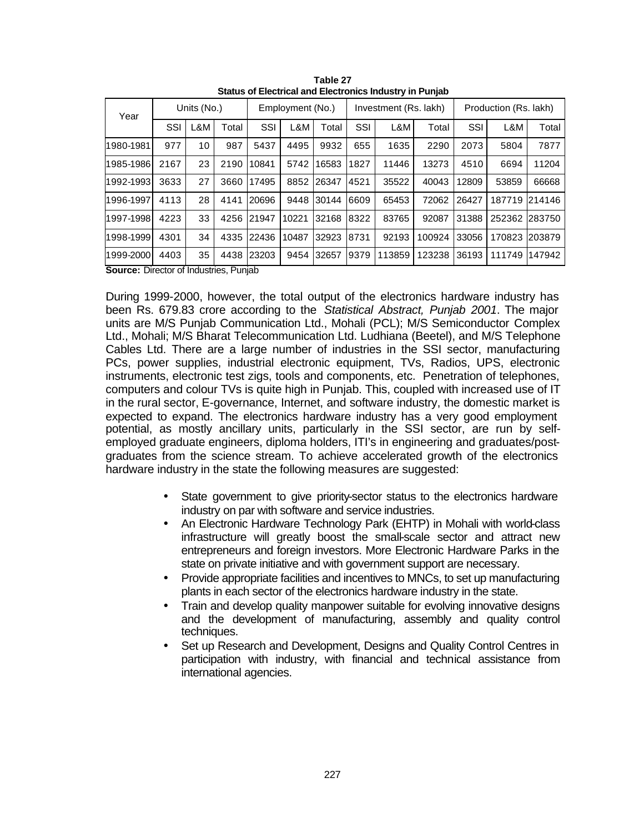| Year                                          | Units (No.) |     |       |       | Employment (No.) |            |      | Investment (Rs. lakh) |        |       | Production (Rs. lakh) |        |  |
|-----------------------------------------------|-------------|-----|-------|-------|------------------|------------|------|-----------------------|--------|-------|-----------------------|--------|--|
|                                               | SSI         | L&M | Total | SSI   | L&M              | Total      | SSI  | L&M                   | Total  | SSI   | L&M                   | Total  |  |
| 1980-1981                                     | 977         | 10  | 987   | 5437  | 4495             | 9932       | 655  | 1635                  | 2290   | 2073  | 5804                  | 7877   |  |
| 1985-1986                                     | 2167        | 23  | 2190  | 10841 | 5742             | 16583      | 1827 | 11446                 | 13273  | 4510  | 6694                  | 11204  |  |
| 1992-1993                                     | 3633        | 27  | 3660  | 17495 |                  | 8852 26347 | 4521 | 35522                 | 40043  | 12809 | 53859                 | 66668  |  |
| 1996-1997                                     | 4113        | 28  | 4141  | 20696 | 9448             | 30144      | 6609 | 65453                 | 72062  | 26427 | 187719                | 214146 |  |
| 1997-1998                                     | 4223        | 33  | 4256  | 21947 | 10221            | 32168      | 8322 | 83765                 | 92087  | 31388 | 252362                | 283750 |  |
| 1998-1999                                     | 4301        | 34  | 4335  | 22436 | 10487            | 32923      | 8731 | 92193                 | 100924 | 33056 | 170823                | 203879 |  |
| 1999-2000                                     | 4403        | 35  | 4438  | 23203 | 9454             | 32657      | 9379 | 113859                | 123238 | 36193 | 111749                | 147942 |  |
| <b>Course:</b> Director of Industries, Dunjob |             |     |       |       |                  |            |      |                       |        |       |                       |        |  |

**Table 27 Status of Electrical and Electronics Industry in Punjab**

**Source:** Director of Industries, Punjab

During 1999-2000, however, the total output of the electronics hardware industry has been Rs. 679.83 crore according to the *Statistical Abstract, Punjab 2001*. The major units are M/S Punjab Communication Ltd., Mohali (PCL); M/S Semiconductor Complex Ltd., Mohali; M/S Bharat Telecommunication Ltd. Ludhiana (Beetel), and M/S Telephone Cables Ltd. There are a large number of industries in the SSI sector, manufacturing PCs, power supplies, industrial electronic equipment, TVs, Radios, UPS, electronic instruments, electronic test zigs, tools and components, etc. Penetration of telephones, computers and colour TVs is quite high in Punjab. This, coupled with increased use of IT in the rural sector, E-governance, Internet, and software industry, the domestic market is expected to expand. The electronics hardware industry has a very good employment potential, as mostly ancillary units, particularly in the SSI sector, are run by selfemployed graduate engineers, diploma holders, ITI's in engineering and graduates/postgraduates from the science stream. To achieve accelerated growth of the electronics hardware industry in the state the following measures are suggested:

- State government to give priority-sector status to the electronics hardware industry on par with software and service industries.
- An Electronic Hardware Technology Park (EHTP) in Mohali with world-class infrastructure will greatly boost the small-scale sector and attract new entrepreneurs and foreign investors. More Electronic Hardware Parks in the state on private initiative and with government support are necessary.
- Provide appropriate facilities and incentives to MNCs, to set up manufacturing plants in each sector of the electronics hardware industry in the state.
- Train and develop quality manpower suitable for evolving innovative designs and the development of manufacturing, assembly and quality control techniques.
- Set up Research and Development, Designs and Quality Control Centres in participation with industry, with financial and technical assistance from international agencies.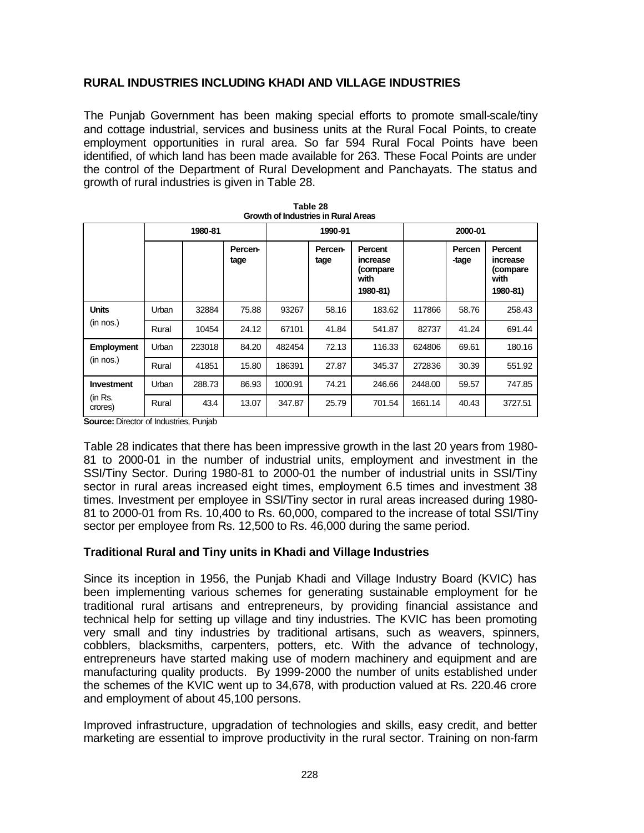# **RURAL INDUSTRIES INCLUDING KHADI AND VILLAGE INDUSTRIES**

The Punjab Government has been making special efforts to promote small-scale/tiny and cottage industrial, services and business units at the Rural Focal Points, to create employment opportunities in rural area. So far 594 Rural Focal Points have been identified, of which land has been made available for 263. These Focal Points are under the control of the Department of Rural Development and Panchayats. The status and growth of rural industries is given in Table 28.

| Growth of Industries in Rural Areas     |       |         |                        |         |                 |                                                     |         |                 |                                                     |  |  |
|-----------------------------------------|-------|---------|------------------------|---------|-----------------|-----------------------------------------------------|---------|-----------------|-----------------------------------------------------|--|--|
|                                         |       | 1980-81 |                        |         | 1990-91         |                                                     |         | 2000-01         |                                                     |  |  |
|                                         |       |         | <b>Percen-</b><br>tage |         | Percen-<br>tage | Percent<br>increase<br>(compare<br>with<br>1980-81) |         | Percen<br>-tage | Percent<br>increase<br>(compare<br>with<br>1980-81) |  |  |
| <b>Units</b>                            | Urban | 32884   | 75.88                  | 93267   | 58.16           | 183.62                                              | 117866  | 58.76           | 258.43                                              |  |  |
| (in nos.)                               | Rural | 10454   | 24.12                  | 67101   | 41.84           | 541.87                                              | 82737   | 41.24           | 691.44                                              |  |  |
| <b>Employment</b>                       | Urban | 223018  | 84.20                  | 482454  | 72.13           | 116.33                                              | 624806  | 69.61           | 180.16                                              |  |  |
| (in nos.)                               | Rural | 41851   | 15.80                  | 186391  | 27.87           | 345.37                                              | 272836  | 30.39           | 551.92                                              |  |  |
| <b>Investment</b><br>(in Rs.<br>crores) | Urban | 288.73  | 86.93                  | 1000.91 | 74.21           | 246.66                                              | 2448.00 | 59.57           | 747.85                                              |  |  |
|                                         | Rural | 43.4    | 13.07                  | 347.87  | 25.79           | 701.54                                              | 1661.14 | 40.43           | 3727.51                                             |  |  |

| Table 28                            |
|-------------------------------------|
| Growth of Industries in Rural Areas |

**Source:** Director of Industries, Punjab

Table 28 indicates that there has been impressive growth in the last 20 years from 1980- 81 to 2000-01 in the number of industrial units, employment and investment in the SSI/Tiny Sector. During 1980-81 to 2000-01 the number of industrial units in SSI/Tiny sector in rural areas increased eight times, employment 6.5 times and investment 38 times. Investment per employee in SSI/Tiny sector in rural areas increased during 1980- 81 to 2000-01 from Rs. 10,400 to Rs. 60,000, compared to the increase of total SSI/Tiny sector per employee from Rs. 12,500 to Rs. 46,000 during the same period.

# **Traditional Rural and Tiny units in Khadi and Village Industries**

Since its inception in 1956, the Punjab Khadi and Village Industry Board (KVIC) has been implementing various schemes for generating sustainable employment for the traditional rural artisans and entrepreneurs, by providing financial assistance and technical help for setting up village and tiny industries. The KVIC has been promoting very small and tiny industries by traditional artisans, such as weavers, spinners, cobblers, blacksmiths, carpenters, potters, etc. With the advance of technology, entrepreneurs have started making use of modern machinery and equipment and are manufacturing quality products. By 1999-2000 the number of units established under the schemes of the KVIC went up to 34,678, with production valued at Rs. 220.46 crore and employment of about 45,100 persons.

Improved infrastructure, upgradation of technologies and skills, easy credit, and better marketing are essential to improve productivity in the rural sector. Training on non-farm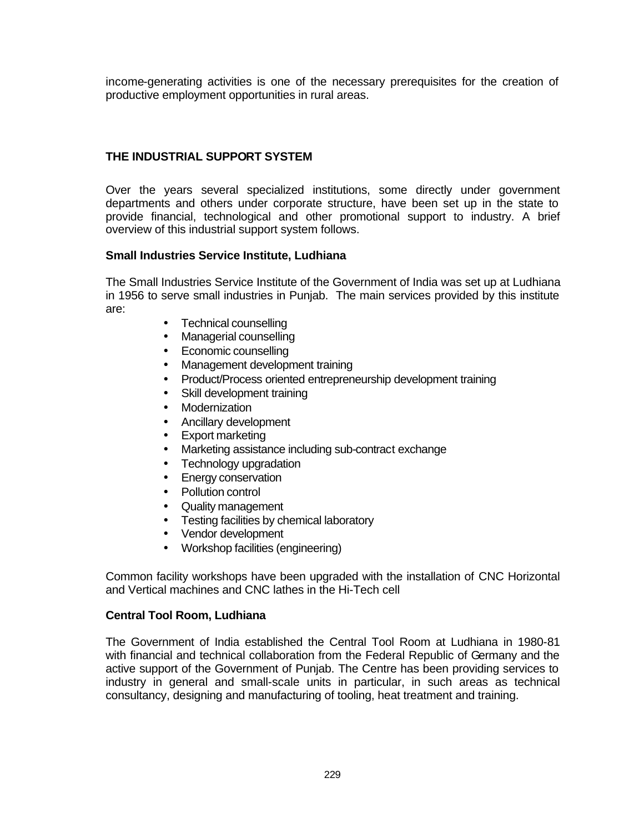income-generating activities is one of the necessary prerequisites for the creation of productive employment opportunities in rural areas.

# **THE INDUSTRIAL SUPPORT SYSTEM**

Over the years several specialized institutions, some directly under government departments and others under corporate structure, have been set up in the state to provide financial, technological and other promotional support to industry. A brief overview of this industrial support system follows.

# **Small Industries Service Institute, Ludhiana**

The Small Industries Service Institute of the Government of India was set up at Ludhiana in 1956 to serve small industries in Punjab. The main services provided by this institute are:

- Technical counselling
- Managerial counselling
- Economic counselling
- Management development training
- Product/Process oriented entrepreneurship development training
- Skill development training
- Modernization
- Ancillary development
- Export marketing
- Marketing assistance including sub-contract exchange
- Technology upgradation
- Energy conservation
- Pollution control
- Quality management
- Testing facilities by chemical laboratory
- Vendor development
- Workshop facilities (engineering)

Common facility workshops have been upgraded with the installation of CNC Horizontal and Vertical machines and CNC lathes in the Hi-Tech cell

#### **Central Tool Room, Ludhiana**

The Government of India established the Central Tool Room at Ludhiana in 1980-81 with financial and technical collaboration from the Federal Republic of Germany and the active support of the Government of Punjab. The Centre has been providing services to industry in general and small-scale units in particular, in such areas as technical consultancy, designing and manufacturing of tooling, heat treatment and training.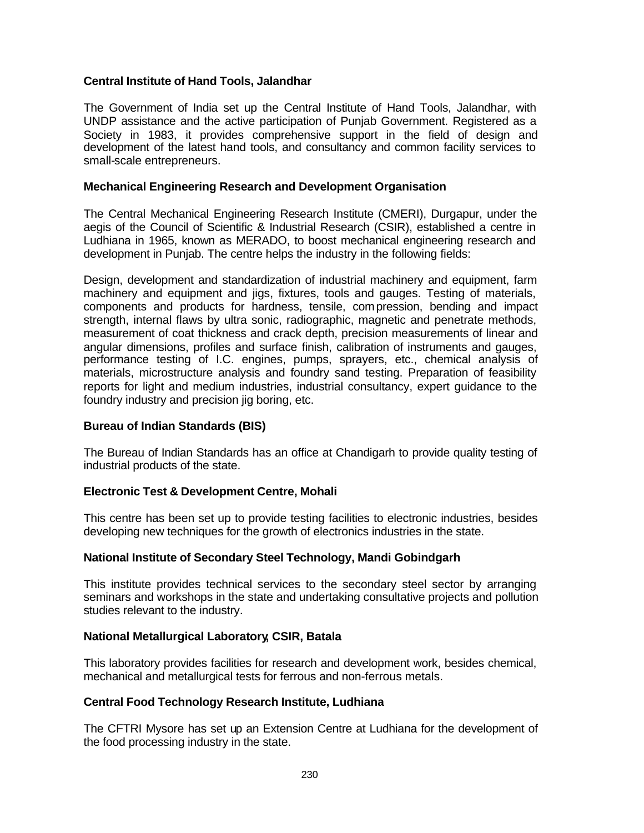# **Central Institute of Hand Tools, Jalandhar**

The Government of India set up the Central Institute of Hand Tools, Jalandhar, with UNDP assistance and the active participation of Punjab Government. Registered as a Society in 1983, it provides comprehensive support in the field of design and development of the latest hand tools, and consultancy and common facility services to small-scale entrepreneurs.

## **Mechanical Engineering Research and Development Organisation**

The Central Mechanical Engineering Research Institute (CMERI), Durgapur, under the aegis of the Council of Scientific & Industrial Research (CSIR), established a centre in Ludhiana in 1965, known as MERADO, to boost mechanical engineering research and development in Punjab. The centre helps the industry in the following fields:

Design, development and standardization of industrial machinery and equipment, farm machinery and equipment and jigs, fixtures, tools and gauges. Testing of materials, components and products for hardness, tensile, compression, bending and impact strength, internal flaws by ultra sonic, radiographic, magnetic and penetrate methods, measurement of coat thickness and crack depth, precision measurements of linear and angular dimensions, profiles and surface finish, calibration of instruments and gauges, performance testing of I.C. engines, pumps, sprayers, etc., chemical analysis of materials, microstructure analysis and foundry sand testing. Preparation of feasibility reports for light and medium industries, industrial consultancy, expert guidance to the foundry industry and precision jig boring, etc.

#### **Bureau of Indian Standards (BIS)**

The Bureau of Indian Standards has an office at Chandigarh to provide quality testing of industrial products of the state.

#### **Electronic Test & Development Centre, Mohali**

This centre has been set up to provide testing facilities to electronic industries, besides developing new techniques for the growth of electronics industries in the state.

#### **National Institute of Secondary Steel Technology, Mandi Gobindgarh**

This institute provides technical services to the secondary steel sector by arranging seminars and workshops in the state and undertaking consultative projects and pollution studies relevant to the industry.

# **National Metallurgical Laboratory, CSIR, Batala**

This laboratory provides facilities for research and development work, besides chemical, mechanical and metallurgical tests for ferrous and non-ferrous metals.

#### **Central Food Technology Research Institute, Ludhiana**

The CFTRI Mysore has set up an Extension Centre at Ludhiana for the development of the food processing industry in the state.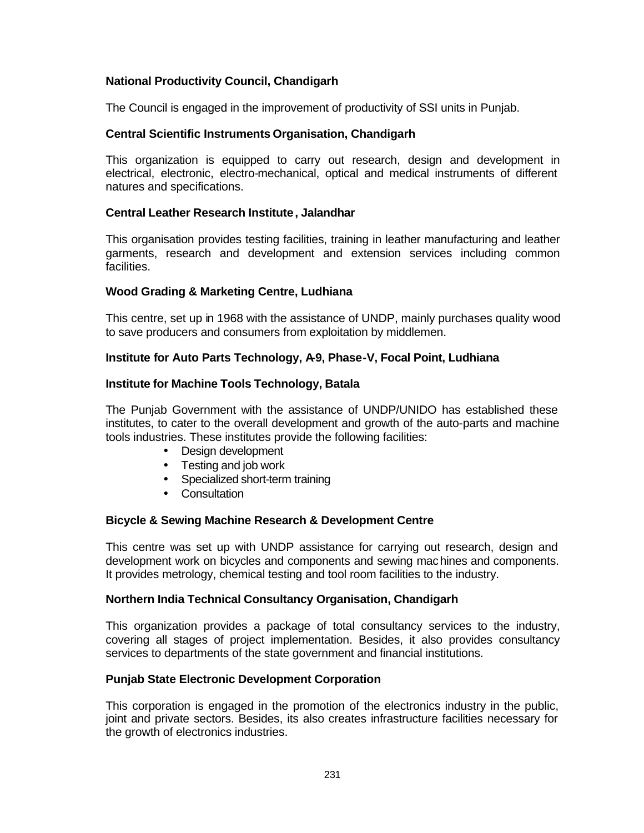# **National Productivity Council, Chandigarh**

The Council is engaged in the improvement of productivity of SSI units in Punjab.

# **Central Scientific Instruments Organisation, Chandigarh**

This organization is equipped to carry out research, design and development in electrical, electronic, electro-mechanical, optical and medical instruments of different natures and specifications.

# **Central Leather Research Institute, Jalandhar**

This organisation provides testing facilities, training in leather manufacturing and leather garments, research and development and extension services including common facilities.

# **Wood Grading & Marketing Centre, Ludhiana**

This centre, set up in 1968 with the assistance of UNDP, mainly purchases quality wood to save producers and consumers from exploitation by middlemen.

# **Institute for Auto Parts Technology, A9, Phase-V, Focal Point, Ludhiana**

# **Institute for Machine Tools Technology, Batala**

The Punjab Government with the assistance of UNDP/UNIDO has established these institutes, to cater to the overall development and growth of the auto-parts and machine tools industries. These institutes provide the following facilities:

- Design development
- Testing and job work
- Specialized short-term training
- Consultation

#### **Bicycle & Sewing Machine Research & Development Centre**

This centre was set up with UNDP assistance for carrying out research, design and development work on bicycles and components and sewing machines and components. It provides metrology, chemical testing and tool room facilities to the industry.

#### **Northern India Technical Consultancy Organisation, Chandigarh**

This organization provides a package of total consultancy services to the industry, covering all stages of project implementation. Besides, it also provides consultancy services to departments of the state government and financial institutions.

# **Punjab State Electronic Development Corporation**

This corporation is engaged in the promotion of the electronics industry in the public, joint and private sectors. Besides, its also creates infrastructure facilities necessary for the growth of electronics industries.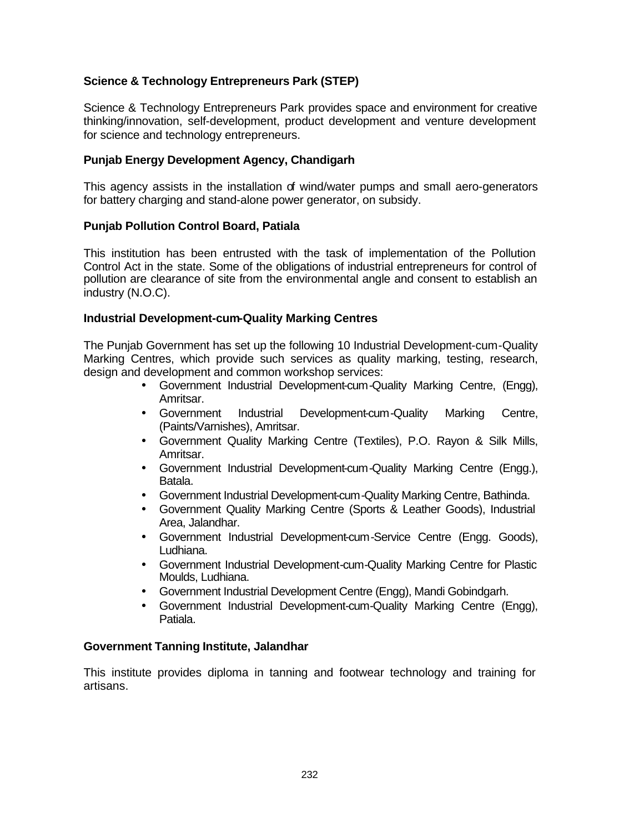# **Science & Technology Entrepreneurs Park (STEP)**

Science & Technology Entrepreneurs Park provides space and environment for creative thinking/innovation, self-development, product development and venture development for science and technology entrepreneurs.

## **Punjab Energy Development Agency, Chandigarh**

This agency assists in the installation of wind/water pumps and small aero-generators for battery charging and stand-alone power generator, on subsidy.

## **Punjab Pollution Control Board, Patiala**

This institution has been entrusted with the task of implementation of the Pollution Control Act in the state. Some of the obligations of industrial entrepreneurs for control of pollution are clearance of site from the environmental angle and consent to establish an industry (N.O.C).

#### **Industrial Development-cum-Quality Marking Centres**

The Punjab Government has set up the following 10 Industrial Development-cum-Quality Marking Centres, which provide such services as quality marking, testing, research, design and development and common workshop services:

- Government Industrial Development-cum-Quality Marking Centre, (Engg), Amritsar.
- Government Industrial Development-cum-Quality Marking Centre, (Paints/Varnishes), Amritsar.
- Government Quality Marking Centre (Textiles), P.O. Rayon & Silk Mills, Amritsar.
- Government Industrial Development-cum-Quality Marking Centre (Engg.), Batala.
- Government Industrial Development-cum-Quality Marking Centre, Bathinda.
- Government Quality Marking Centre (Sports & Leather Goods), Industrial Area, Jalandhar.
- Government Industrial Development-cum-Service Centre (Engg. Goods), Ludhiana.
- Government Industrial Development-cum-Quality Marking Centre for Plastic Moulds, Ludhiana.
- Government Industrial Development Centre (Engg), Mandi Gobindgarh.
- Government Industrial Development-cum-Quality Marking Centre (Engg), Patiala.

#### **Government Tanning Institute, Jalandhar**

This institute provides diploma in tanning and footwear technology and training for artisans.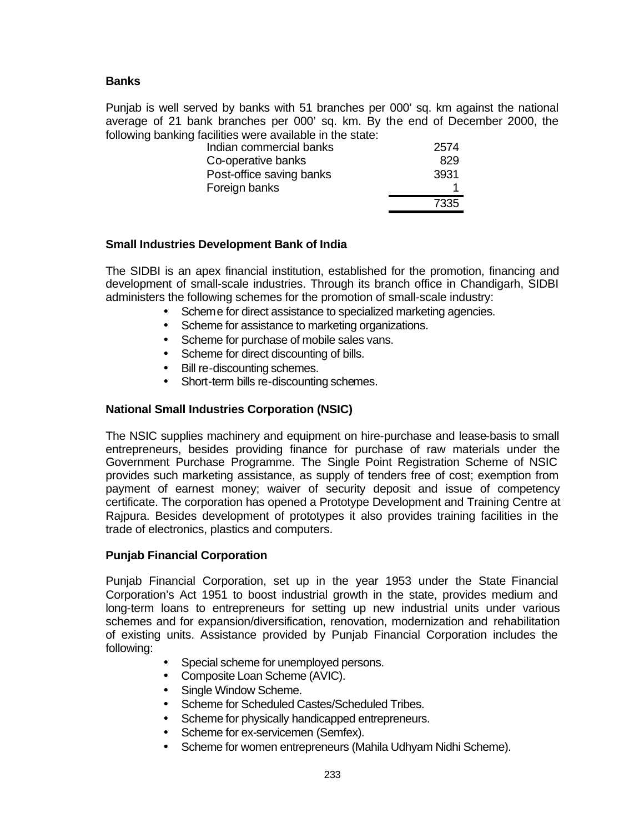# **Banks**

Punjab is well served by banks with 51 branches per 000' sq. km against the national average of 21 bank branches per 000' sq. km. By the end of December 2000, the following banking facilities were available in the state:

| Indian commercial banks  | 2574 |
|--------------------------|------|
| Co-operative banks       | 829  |
| Post-office saving banks | 3931 |
| Foreign banks            |      |
|                          | 7335 |

## **Small Industries Development Bank of India**

The SIDBI is an apex financial institution, established for the promotion, financing and development of small-scale industries. Through its branch office in Chandigarh, SIDBI administers the following schemes for the promotion of small-scale industry:

- Scheme for direct assistance to specialized marketing agencies.
- Scheme for assistance to marketing organizations.
- Scheme for purchase of mobile sales vans.
- Scheme for direct discounting of bills.
- Bill re-discounting schemes.
- Short-term bills re-discounting schemes.

## **National Small Industries Corporation (NSIC)**

The NSIC supplies machinery and equipment on hire-purchase and lease-basis to small entrepreneurs, besides providing finance for purchase of raw materials under the Government Purchase Programme. The Single Point Registration Scheme of NSIC provides such marketing assistance, as supply of tenders free of cost; exemption from payment of earnest money; waiver of security deposit and issue of competency certificate. The corporation has opened a Prototype Development and Training Centre at Rajpura. Besides development of prototypes it also provides training facilities in the trade of electronics, plastics and computers.

#### **Punjab Financial Corporation**

Punjab Financial Corporation, set up in the year 1953 under the State Financial Corporation's Act 1951 to boost industrial growth in the state, provides medium and long-term loans to entrepreneurs for setting up new industrial units under various schemes and for expansion/diversification, renovation, modernization and rehabilitation of existing units. Assistance provided by Punjab Financial Corporation includes the following:

- Special scheme for unemployed persons.
- Composite Loan Scheme (AVIC).
- Single Window Scheme.
- Scheme for Scheduled Castes/Scheduled Tribes.
- Scheme for physically handicapped entrepreneurs.
- Scheme for ex-servicemen (Semfex).
- Scheme for women entrepreneurs (Mahila Udhyam Nidhi Scheme).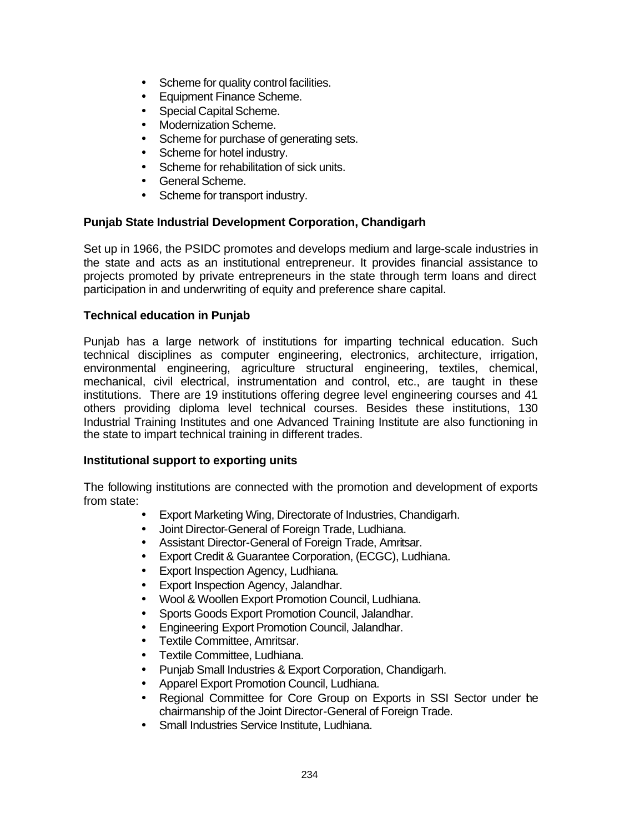- Scheme for quality control facilities.
- Equipment Finance Scheme.
- Special Capital Scheme.
- Modernization Scheme.
- Scheme for purchase of generating sets.
- Scheme for hotel industry.
- Scheme for rehabilitation of sick units.
- General Scheme.
- Scheme for transport industry.

# **Punjab State Industrial Development Corporation, Chandigarh**

Set up in 1966, the PSIDC promotes and develops medium and large-scale industries in the state and acts as an institutional entrepreneur. It provides financial assistance to projects promoted by private entrepreneurs in the state through term loans and direct participation in and underwriting of equity and preference share capital.

# **Technical education in Punjab**

Punjab has a large network of institutions for imparting technical education. Such technical disciplines as computer engineering, electronics, architecture, irrigation, environmental engineering, agriculture structural engineering, textiles, chemical, mechanical, civil electrical, instrumentation and control, etc., are taught in these institutions. There are 19 institutions offering degree level engineering courses and 41 others providing diploma level technical courses. Besides these institutions, 130 Industrial Training Institutes and one Advanced Training Institute are also functioning in the state to impart technical training in different trades.

# **Institutional support to exporting units**

The following institutions are connected with the promotion and development of exports from state:

- Export Marketing Wing, Directorate of Industries, Chandigarh.
- Joint Director-General of Foreign Trade, Ludhiana.
- Assistant Director-General of Foreign Trade, Amritsar.
- Export Credit & Guarantee Corporation, (ECGC), Ludhiana.
- Export Inspection Agency, Ludhiana.
- Export Inspection Agency, Jalandhar.
- Wool & Woollen Export Promotion Council, Ludhiana.
- Sports Goods Export Promotion Council, Jalandhar.
- Engineering Export Promotion Council, Jalandhar.
- Textile Committee, Amritsar.
- Textile Committee, Ludhiana.
- Punjab Small Industries & Export Corporation, Chandigarh.
- Apparel Export Promotion Council, Ludhiana.
- Regional Committee for Core Group on Exports in SSI Sector under the chairmanship of the Joint Director-General of Foreign Trade.
- Small Industries Service Institute, Ludhiana.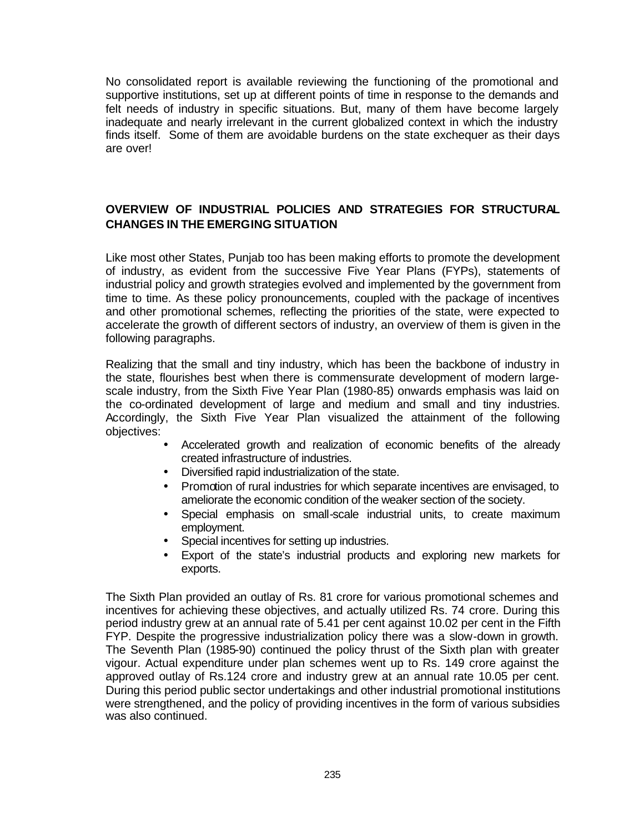No consolidated report is available reviewing the functioning of the promotional and supportive institutions, set up at different points of time in response to the demands and felt needs of industry in specific situations. But, many of them have become largely inadequate and nearly irrelevant in the current globalized context in which the industry finds itself. Some of them are avoidable burdens on the state exchequer as their days are over!

# **OVERVIEW OF INDUSTRIAL POLICIES AND STRATEGIES FOR STRUCTURAL CHANGES IN THE EMERGING SITUATION**

Like most other States, Punjab too has been making efforts to promote the development of industry, as evident from the successive Five Year Plans (FYPs), statements of industrial policy and growth strategies evolved and implemented by the government from time to time. As these policy pronouncements, coupled with the package of incentives and other promotional schemes, reflecting the priorities of the state, were expected to accelerate the growth of different sectors of industry, an overview of them is given in the following paragraphs.

Realizing that the small and tiny industry, which has been the backbone of industry in the state, flourishes best when there is commensurate development of modern largescale industry, from the Sixth Five Year Plan (1980-85) onwards emphasis was laid on the co-ordinated development of large and medium and small and tiny industries. Accordingly, the Sixth Five Year Plan visualized the attainment of the following objectives:

- Accelerated growth and realization of economic benefits of the already created infrastructure of industries.
- Diversified rapid industrialization of the state.
- Promotion of rural industries for which separate incentives are envisaged, to ameliorate the economic condition of the weaker section of the society.
- Special emphasis on small-scale industrial units, to create maximum employment.
- Special incentives for setting up industries.
- Export of the state's industrial products and exploring new markets for exports.

The Sixth Plan provided an outlay of Rs. 81 crore for various promotional schemes and incentives for achieving these objectives, and actually utilized Rs. 74 crore. During this period industry grew at an annual rate of 5.41 per cent against 10.02 per cent in the Fifth FYP. Despite the progressive industrialization policy there was a slow-down in growth. The Seventh Plan (1985-90) continued the policy thrust of the Sixth plan with greater vigour. Actual expenditure under plan schemes went up to Rs. 149 crore against the approved outlay of Rs.124 crore and industry grew at an annual rate 10.05 per cent. During this period public sector undertakings and other industrial promotional institutions were strengthened, and the policy of providing incentives in the form of various subsidies was also continued.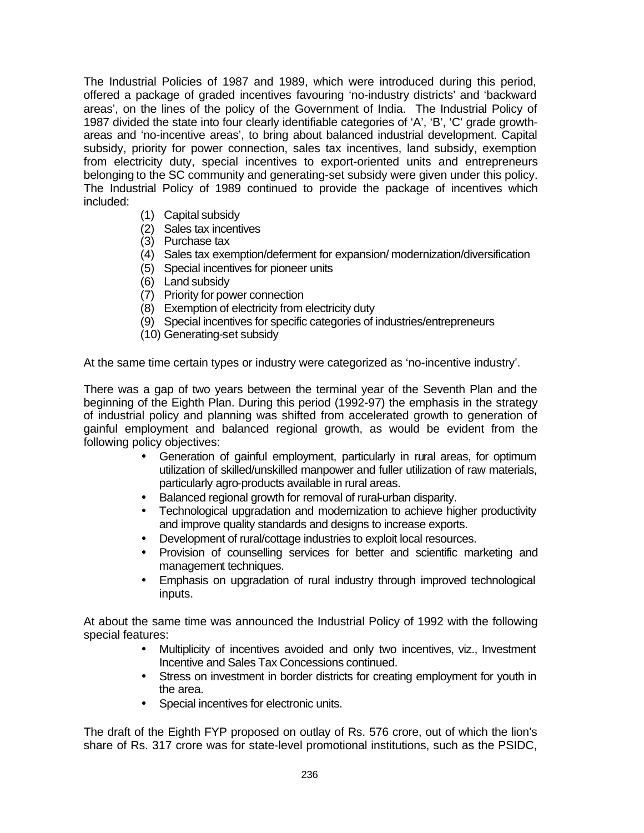The Industrial Policies of 1987 and 1989, which were introduced during this period, offered a package of graded incentives favouring 'no-industry districts' and 'backward areas', on the lines of the policy of the Government of India. The Industrial Policy of 1987 divided the state into four clearly identifiable categories of 'A', 'B', 'C' grade growthareas and 'no-incentive areas', to bring about balanced industrial development. Capital subsidy, priority for power connection, sales tax incentives, land subsidy, exemption from electricity duty, special incentives to export-oriented units and entrepreneurs belonging to the SC community and generating-set subsidy were given under this policy. The Industrial Policy of 1989 continued to provide the package of incentives which included:

- (1) Capital subsidy
- (2) Sales tax incentives
- (3) Purchase tax
- (4) Sales tax exemption/deferment for expansion/ modernization/diversification
- (5) Special incentives for pioneer units
- (6) Land subsidy
- (7) Priority for power connection
- (8) Exemption of electricity from electricity duty
- (9) Special incentives for specific categories of industries/entrepreneurs
- (10) Generating-set subsidy

At the same time certain types or industry were categorized as 'no-incentive industry'.

There was a gap of two years between the terminal year of the Seventh Plan and the beginning of the Eighth Plan. During this period (1992-97) the emphasis in the strategy of industrial policy and planning was shifted from accelerated growth to generation of gainful employment and balanced regional growth, as would be evident from the following policy objectives:

- Generation of gainful employment, particularly in rural areas, for optimum utilization of skilled/unskilled manpower and fuller utilization of raw materials, particularly agro-products available in rural areas.
- Balanced regional growth for removal of rural-urban disparity.
- Technological upgradation and modernization to achieve higher productivity and improve quality standards and designs to increase exports.
- Development of rural/cottage industries to exploit local resources.
- Provision of counselling services for better and scientific marketing and management techniques.
- Emphasis on upgradation of rural industry through improved technological inputs.

At about the same time was announced the Industrial Policy of 1992 with the following special features:

- Multiplicity of incentives avoided and only two incentives, viz., Investment Incentive and Sales Tax Concessions continued.
- Stress on investment in border districts for creating employment for youth in the area.
- Special incentives for electronic units.

The draft of the Eighth FYP proposed on outlay of Rs. 576 crore, out of which the lion's share of Rs. 317 crore was for state-level promotional institutions, such as the PSIDC,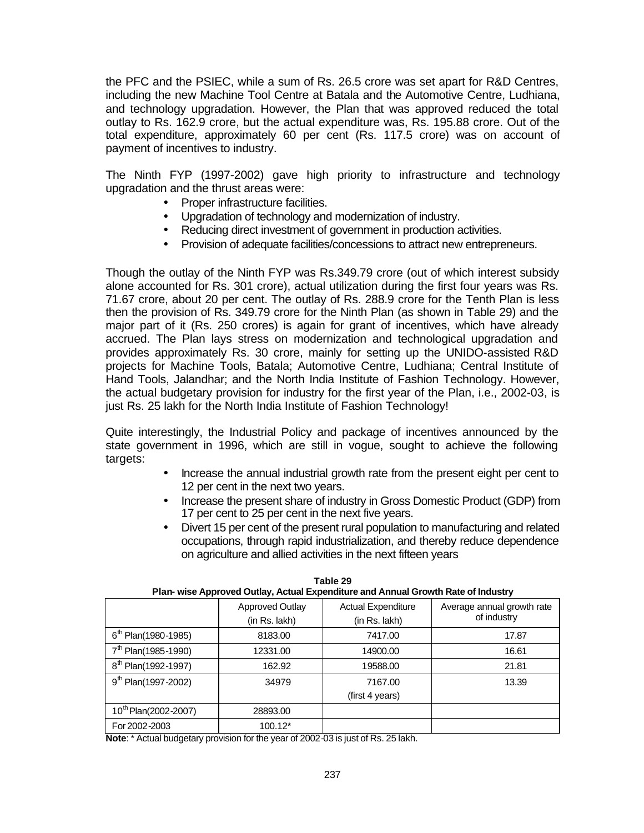the PFC and the PSIEC, while a sum of Rs. 26.5 crore was set apart for R&D Centres, including the new Machine Tool Centre at Batala and the Automotive Centre, Ludhiana, and technology upgradation. However, the Plan that was approved reduced the total outlay to Rs. 162.9 crore, but the actual expenditure was, Rs. 195.88 crore. Out of the total expenditure, approximately 60 per cent (Rs. 117.5 crore) was on account of payment of incentives to industry.

The Ninth FYP (1997-2002) gave high priority to infrastructure and technology upgradation and the thrust areas were:

- Proper infrastructure facilities.
- Upgradation of technology and modernization of industry.
- Reducing direct investment of government in production activities.
- Provision of adequate facilities/concessions to attract new entrepreneurs.

Though the outlay of the Ninth FYP was Rs.349.79 crore (out of which interest subsidy alone accounted for Rs. 301 crore), actual utilization during the first four years was Rs. 71.67 crore, about 20 per cent. The outlay of Rs. 288.9 crore for the Tenth Plan is less then the provision of Rs. 349.79 crore for the Ninth Plan (as shown in Table 29) and the major part of it (Rs. 250 crores) is again for grant of incentives, which have already accrued. The Plan lays stress on modernization and technological upgradation and provides approximately Rs. 30 crore, mainly for setting up the UNIDO-assisted R&D projects for Machine Tools, Batala; Automotive Centre, Ludhiana; Central Institute of Hand Tools, Jalandhar; and the North India Institute of Fashion Technology. However, the actual budgetary provision for industry for the first year of the Plan, i.e., 2002-03, is just Rs. 25 lakh for the North India Institute of Fashion Technology!

Quite interestingly, the Industrial Policy and package of incentives announced by the state government in 1996, which are still in vogue, sought to achieve the following targets:

- Increase the annual industrial growth rate from the present eight per cent to 12 per cent in the next two years.
- Increase the present share of industry in Gross Domestic Product (GDP) from 17 per cent to 25 per cent in the next five years.
- Divert 15 per cent of the present rural population to manufacturing and related occupations, through rapid industrialization, and thereby reduce dependence on agriculture and allied activities in the next fifteen years

| Plan-wise Approved Outlay, Actual Expenditure and Annual Growth Rate of Industry |                 |                           |                            |  |  |  |  |  |  |  |
|----------------------------------------------------------------------------------|-----------------|---------------------------|----------------------------|--|--|--|--|--|--|--|
|                                                                                  | Approved Outlay | <b>Actual Expenditure</b> | Average annual growth rate |  |  |  |  |  |  |  |
|                                                                                  | (in Rs. lakh)   | (in Rs. lakh)             | of industry                |  |  |  |  |  |  |  |
| $6th$ Plan(1980-1985)                                                            | 8183.00         | 7417.00                   | 17.87                      |  |  |  |  |  |  |  |
| $7th$ Plan(1985-1990)                                                            | 12331.00        | 14900.00                  | 16.61                      |  |  |  |  |  |  |  |
| 8 <sup>th</sup> Plan(1992-1997)                                                  | 162.92          | 19588.00                  | 21.81                      |  |  |  |  |  |  |  |
| $9^{th}$ Plan(1997-2002)                                                         | 34979           | 7167.00                   | 13.39                      |  |  |  |  |  |  |  |
|                                                                                  |                 | (first 4 years)           |                            |  |  |  |  |  |  |  |
| 10 <sup>th</sup> Plan(2002-2007)                                                 | 28893.00        |                           |                            |  |  |  |  |  |  |  |
| For 2002-2003                                                                    | $100.12*$       |                           |                            |  |  |  |  |  |  |  |

**Table 29**

**Note**: \* Actual budgetary provision for the year of 2002-03 is just of Rs. 25 lakh.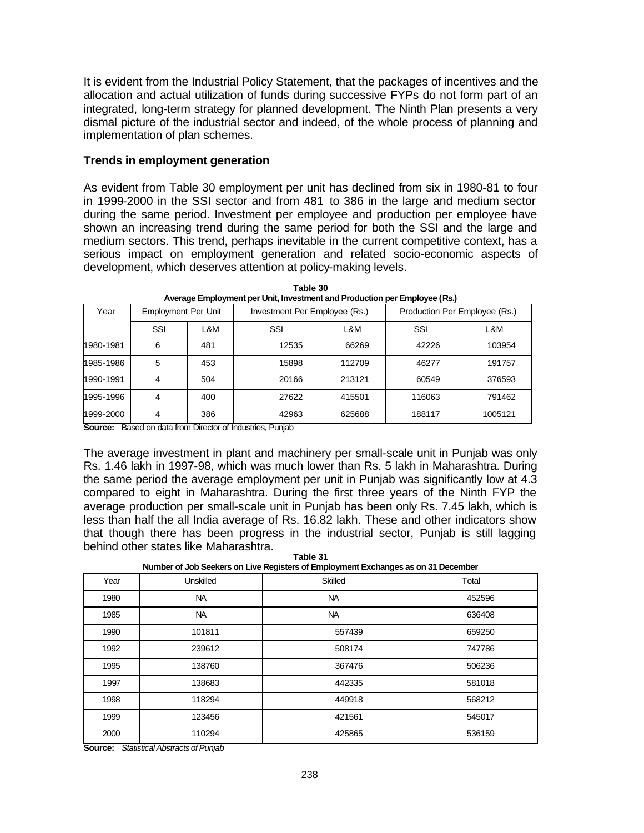It is evident from the Industrial Policy Statement, that the packages of incentives and the allocation and actual utilization of funds during successive FYPs do not form part of an integrated, long-term strategy for planned development. The Ninth Plan presents a very dismal picture of the industrial sector and indeed, of the whole process of planning and implementation of plan schemes.

#### **Trends in employment generation**

As evident from Table 30 employment per unit has declined from six in 1980-81 to four in 1999-2000 in the SSI sector and from 481 to 386 in the large and medium sector during the same period. Investment per employee and production per employee have shown an increasing trend during the same period for both the SSI and the large and medium sectors. This trend, perhaps inevitable in the current competitive context, has a serious impact on employment generation and related socio-economic aspects of development, which deserves attention at policy-making levels.

| Year      | Employment Per Unit |     | Investment Per Employee (Rs.) |        | Production Per Employee (Rs.) |         |
|-----------|---------------------|-----|-------------------------------|--------|-------------------------------|---------|
|           | SSI                 | L&M | SSI                           | L&M    | SSI                           | L&M     |
| 1980-1981 | 6                   | 481 | 12535                         | 66269  | 42226                         | 103954  |
| 1985-1986 | 5                   | 453 | 15898                         | 112709 | 46277                         | 191757  |
| 1990-1991 | 4                   | 504 | 20166                         | 213121 | 60549                         | 376593  |
| 1995-1996 | 4                   | 400 | 27622                         | 415501 | 116063                        | 791462  |
| 1999-2000 | 4                   | 386 | 42963                         | 625688 | 188117                        | 1005121 |

**Table 30 Average Employment per Unit, Investment and Production per Employee (Rs.)**

**Source:** Based on data from Director of Industries, Punjab

The average investment in plant and machinery per small-scale unit in Punjab was only Rs. 1.46 lakh in 1997-98, which was much lower than Rs. 5 lakh in Maharashtra. During the same period the average employment per unit in Punjab was significantly low at 4.3 compared to eight in Maharashtra. During the first three years of the Ninth FYP the average production per small-scale unit in Punjab has been only Rs. 7.45 lakh, which is less than half the all India average of Rs. 16.82 lakh. These and other indicators show that though there has been progress in the industrial sector, Punjab is still lagging behind other states like Maharashtra. **Table 31**

**Number of Job Seekers on Live Registers of Employment Exchanges as on 31 December**

| Year | <b>Unskilled</b> | -טי<br>.<br><br><b>Skilled</b> | Total  |
|------|------------------|--------------------------------|--------|
| 1980 | <b>NA</b>        | <b>NA</b>                      | 452596 |
| 1985 | NA.              | NA.                            | 636408 |
| 1990 | 101811           | 557439                         | 659250 |
| 1992 | 239612           | 508174                         | 747786 |
| 1995 | 138760           | 367476                         | 506236 |
| 1997 | 138683           | 442335                         | 581018 |
| 1998 | 118294           | 449918                         | 568212 |
| 1999 | 123456           | 421561                         | 545017 |
| 2000 | 110294           | 425865                         | 536159 |

**Source:** *Statistical Abstracts of Punjab*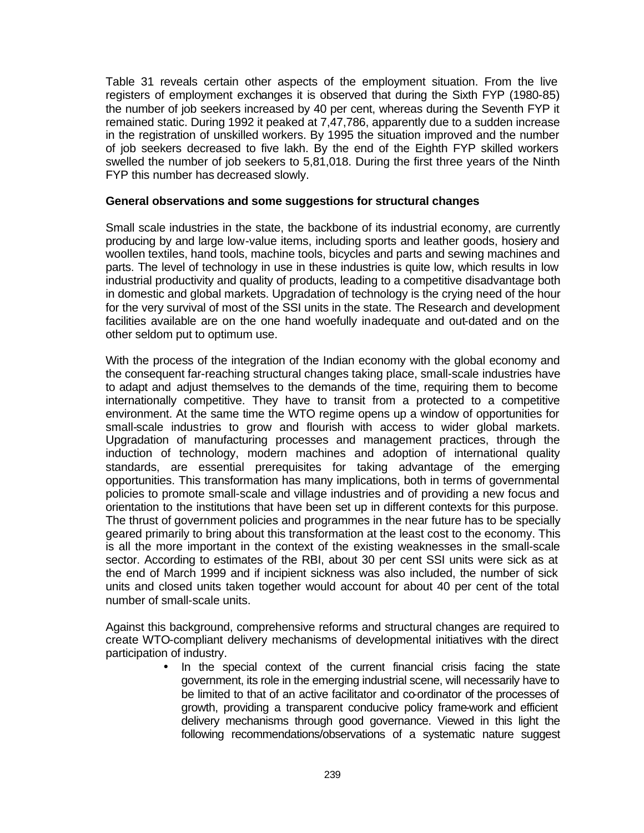Table 31 reveals certain other aspects of the employment situation. From the live registers of employment exchanges it is observed that during the Sixth FYP (1980-85) the number of job seekers increased by 40 per cent, whereas during the Seventh FYP it remained static. During 1992 it peaked at 7,47,786, apparently due to a sudden increase in the registration of unskilled workers. By 1995 the situation improved and the number of job seekers decreased to five lakh. By the end of the Eighth FYP skilled workers swelled the number of job seekers to 5,81,018. During the first three years of the Ninth FYP this number has decreased slowly.

#### **General observations and some suggestions for structural changes**

Small scale industries in the state, the backbone of its industrial economy, are currently producing by and large low-value items, including sports and leather goods, hosiery and woollen textiles, hand tools, machine tools, bicycles and parts and sewing machines and parts. The level of technology in use in these industries is quite low, which results in low industrial productivity and quality of products, leading to a competitive disadvantage both in domestic and global markets. Upgradation of technology is the crying need of the hour for the very survival of most of the SSI units in the state. The Research and development facilities available are on the one hand woefully inadequate and out-dated and on the other seldom put to optimum use.

With the process of the integration of the Indian economy with the global economy and the consequent far-reaching structural changes taking place, small-scale industries have to adapt and adjust themselves to the demands of the time, requiring them to become internationally competitive. They have to transit from a protected to a competitive environment. At the same time the WTO regime opens up a window of opportunities for small-scale industries to grow and flourish with access to wider global markets. Upgradation of manufacturing processes and management practices, through the induction of technology, modern machines and adoption of international quality standards, are essential prerequisites for taking advantage of the emerging opportunities. This transformation has many implications, both in terms of governmental policies to promote small-scale and village industries and of providing a new focus and orientation to the institutions that have been set up in different contexts for this purpose. The thrust of government policies and programmes in the near future has to be specially geared primarily to bring about this transformation at the least cost to the economy. This is all the more important in the context of the existing weaknesses in the small-scale sector. According to estimates of the RBI, about 30 per cent SSI units were sick as at the end of March 1999 and if incipient sickness was also included, the number of sick units and closed units taken together would account for about 40 per cent of the total number of small-scale units.

Against this background, comprehensive reforms and structural changes are required to create WTO-compliant delivery mechanisms of developmental initiatives with the direct participation of industry.

> • In the special context of the current financial crisis facing the state government, its role in the emerging industrial scene, will necessarily have to be limited to that of an active facilitator and co-ordinator of the processes of growth, providing a transparent conducive policy frame-work and efficient delivery mechanisms through good governance. Viewed in this light the following recommendations/observations of a systematic nature suggest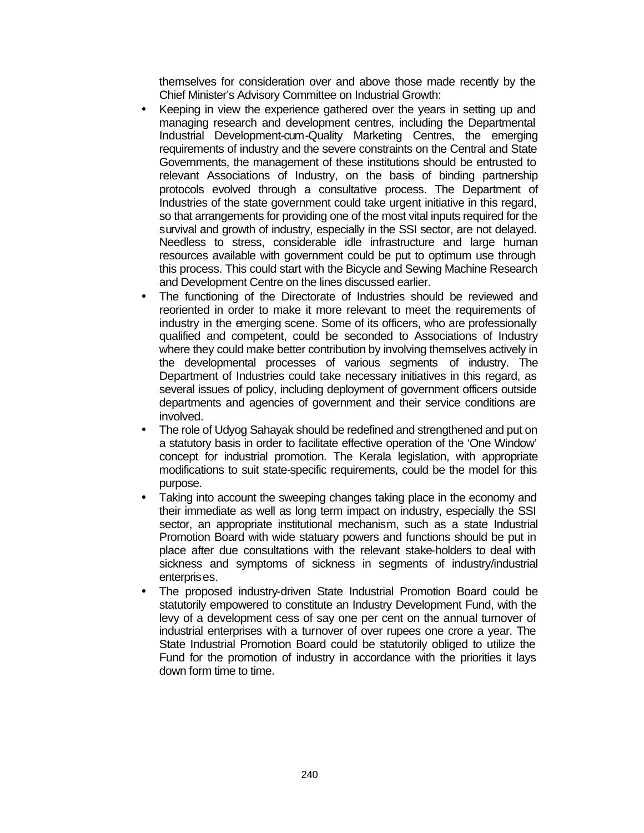themselves for consideration over and above those made recently by the Chief Minister's Advisory Committee on Industrial Growth:

- Keeping in view the experience gathered over the years in setting up and managing research and development centres, including the Departmental Industrial Development-cum-Quality Marketing Centres, the emerging requirements of industry and the severe constraints on the Central and State Governments, the management of these institutions should be entrusted to relevant Associations of Industry, on the basis of binding partnership protocols evolved through a consultative process. The Department of Industries of the state government could take urgent initiative in this regard, so that arrangements for providing one of the most vital inputs required for the survival and growth of industry, especially in the SSI sector, are not delayed. Needless to stress, considerable idle infrastructure and large human resources available with government could be put to optimum use through this process. This could start with the Bicycle and Sewing Machine Research and Development Centre on the lines discussed earlier.
- The functioning of the Directorate of Industries should be reviewed and reoriented in order to make it more relevant to meet the requirements of industry in the emerging scene. Some of its officers, who are professionally qualified and competent, could be seconded to Associations of Industry where they could make better contribution by involving themselves actively in the developmental processes of various segments of industry. The Department of Industries could take necessary initiatives in this regard, as several issues of policy, including deployment of government officers outside departments and agencies of government and their service conditions are involved.
- The role of Udyog Sahayak should be redefined and strengthened and put on a statutory basis in order to facilitate effective operation of the 'One Window' concept for industrial promotion. The Kerala legislation, with appropriate modifications to suit state-specific requirements, could be the model for this purpose.
- Taking into account the sweeping changes taking place in the economy and their immediate as well as long term impact on industry, especially the SSI sector, an appropriate institutional mechanism, such as a state Industrial Promotion Board with wide statuary powers and functions should be put in place after due consultations with the relevant stake-holders to deal with sickness and symptoms of sickness in segments of industry/industrial enterprises.
- The proposed industry-driven State Industrial Promotion Board could be statutorily empowered to constitute an Industry Development Fund, with the levy of a development cess of say one per cent on the annual turnover of industrial enterprises with a turnover of over rupees one crore a year. The State Industrial Promotion Board could be statutorily obliged to utilize the Fund for the promotion of industry in accordance with the priorities it lays down form time to time.